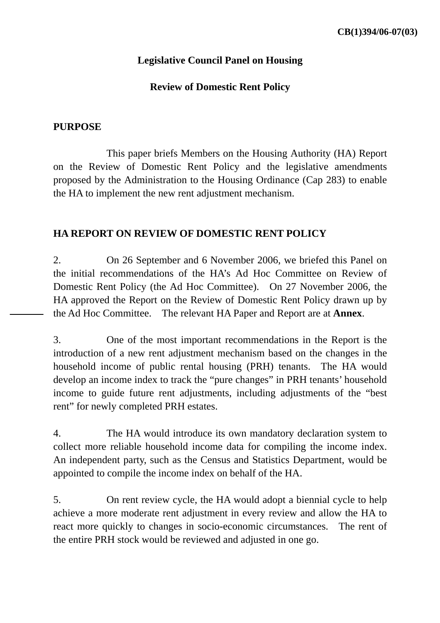#### **Legislative Council Panel on Housing**

#### **Review of Domestic Rent Policy**

#### **PURPOSE**

 This paper briefs Members on the Housing Authority (HA) Report on the Review of Domestic Rent Policy and the legislative amendments proposed by the Administration to the Housing Ordinance (Cap 283) to enable the HA to implement the new rent adjustment mechanism.

#### **HA REPORT ON REVIEW OF DOMESTIC RENT POLICY**

2. On 26 September and 6 November 2006, we briefed this Panel on the initial recommendations of the HA's Ad Hoc Committee on Review of Domestic Rent Policy (the Ad Hoc Committee). On 27 November 2006, the HA approved the Report on the Review of Domestic Rent Policy drawn up by the Ad Hoc Committee. The relevant HA Paper and Report are at **Annex**.

3. One of the most important recommendations in the Report is the introduction of a new rent adjustment mechanism based on the changes in the household income of public rental housing (PRH) tenants. The HA would develop an income index to track the "pure changes" in PRH tenants' household income to guide future rent adjustments, including adjustments of the "best rent" for newly completed PRH estates.

4. The HA would introduce its own mandatory declaration system to collect more reliable household income data for compiling the income index. An independent party, such as the Census and Statistics Department, would be appointed to compile the income index on behalf of the HA.

5. On rent review cycle, the HA would adopt a biennial cycle to help achieve a more moderate rent adjustment in every review and allow the HA to react more quickly to changes in socio-economic circumstances. The rent of the entire PRH stock would be reviewed and adjusted in one go.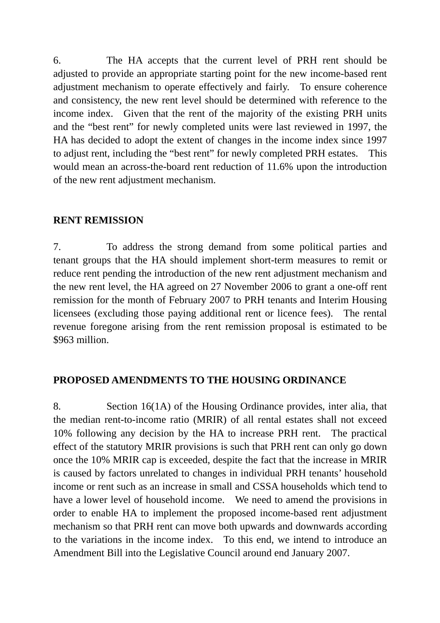6. The HA accepts that the current level of PRH rent should be adjusted to provide an appropriate starting point for the new income-based rent adjustment mechanism to operate effectively and fairly. To ensure coherence and consistency, the new rent level should be determined with reference to the income index. Given that the rent of the majority of the existing PRH units and the "best rent" for newly completed units were last reviewed in 1997, the HA has decided to adopt the extent of changes in the income index since 1997 to adjust rent, including the "best rent" for newly completed PRH estates. This would mean an across-the-board rent reduction of 11.6% upon the introduction of the new rent adjustment mechanism.

#### **RENT REMISSION**

7. To address the strong demand from some political parties and tenant groups that the HA should implement short-term measures to remit or reduce rent pending the introduction of the new rent adjustment mechanism and the new rent level, the HA agreed on 27 November 2006 to grant a one-off rent remission for the month of February 2007 to PRH tenants and Interim Housing licensees (excluding those paying additional rent or licence fees). The rental revenue foregone arising from the rent remission proposal is estimated to be \$963 million.

#### **PROPOSED AMENDMENTS TO THE HOUSING ORDINANCE**

8. Section 16(1A) of the Housing Ordinance provides, inter alia, that the median rent-to-income ratio (MRIR) of all rental estates shall not exceed 10% following any decision by the HA to increase PRH rent. The practical effect of the statutory MRIR provisions is such that PRH rent can only go down once the 10% MRIR cap is exceeded, despite the fact that the increase in MRIR is caused by factors unrelated to changes in individual PRH tenants' household income or rent such as an increase in small and CSSA households which tend to have a lower level of household income. We need to amend the provisions in order to enable HA to implement the proposed income-based rent adjustment mechanism so that PRH rent can move both upwards and downwards according to the variations in the income index. To this end, we intend to introduce an Amendment Bill into the Legislative Council around end January 2007.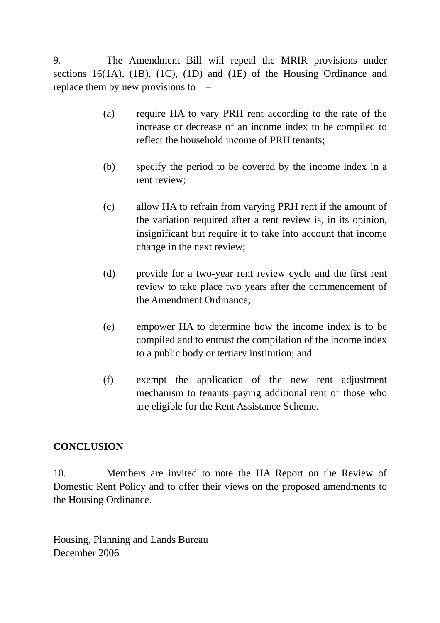9. The Amendment Bill will repeal the MRIR provisions under sections 16(1A), (1B), (1C), (1D) and (1E) of the Housing Ordinance and replace them by new provisions to –

- (a) require HA to vary PRH rent according to the rate of the increase or decrease of an income index to be compiled to reflect the household income of PRH tenants;
- (b) specify the period to be covered by the income index in a rent review;
- (c) allow HA to refrain from varying PRH rent if the amount of the variation required after a rent review is, in its opinion, insignificant but require it to take into account that income change in the next review;
- (d) provide for a two-year rent review cycle and the first rent review to take place two years after the commencement of the Amendment Ordinance;
- (e) empower HA to determine how the income index is to be compiled and to entrust the compilation of the income index to a public body or tertiary institution; and
- (f) exempt the application of the new rent adjustment mechanism to tenants paying additional rent or those who are eligible for the Rent Assistance Scheme.

#### **CONCLUSION**

10. Members are invited to note the HA Report on the Review of Domestic Rent Policy and to offer their views on the proposed amendments to the Housing Ordinance.

Housing, Planning and Lands Bureau December 2006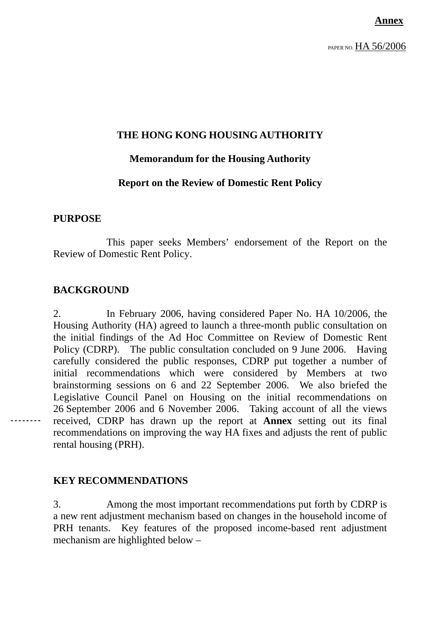PAPER NO. HA 56/2006

#### **THE HONG KONG HOUSING AUTHORITY**

#### **Memorandum for the Housing Authority**

#### **Report on the Review of Domestic Rent Policy**

#### **PURPOSE**

 This paper seeks Members' endorsement of the Report on the Review of Domestic Rent Policy.

#### **BACKGROUND**

2. In February 2006, having considered Paper No. HA 10/2006, the Housing Authority (HA) agreed to launch a three-month public consultation on the initial findings of the Ad Hoc Committee on Review of Domestic Rent Policy (CDRP). The public consultation concluded on 9 June 2006. Having carefully considered the public responses, CDRP put together a number of initial recommendations which were considered by Members at two brainstorming sessions on 6 and 22 September 2006. We also briefed the Legislative Council Panel on Housing on the initial recommendations on 26 September 2006 and 6 November 2006. Taking account of all the views received, CDRP has drawn up the report at **Annex** setting out its final recommendations on improving the way HA fixes and adjusts the rent of public rental housing (PRH).

#### **KEY RECOMMENDATIONS**

3. Among the most important recommendations put forth by CDRP is a new rent adjustment mechanism based on changes in the household income of PRH tenants. Key features of the proposed income-based rent adjustment mechanism are highlighted below –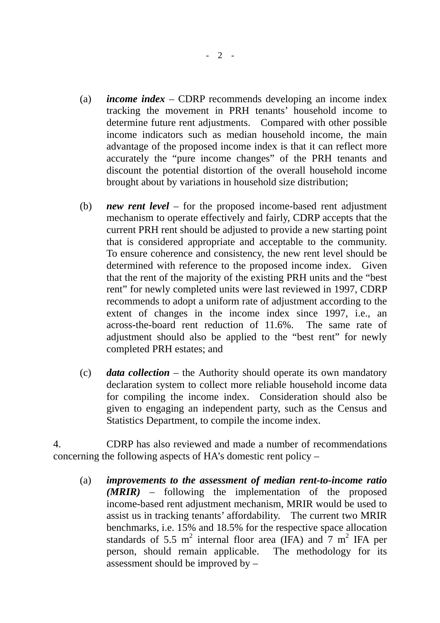- (a) *income index* CDRP recommends developing an income index tracking the movement in PRH tenants' household income to determine future rent adjustments. Compared with other possible income indicators such as median household income, the main advantage of the proposed income index is that it can reflect more accurately the "pure income changes" of the PRH tenants and discount the potential distortion of the overall household income brought about by variations in household size distribution;
- (b) *new rent level* for the proposed income-based rent adjustment mechanism to operate effectively and fairly, CDRP accepts that the current PRH rent should be adjusted to provide a new starting point that is considered appropriate and acceptable to the community. To ensure coherence and consistency, the new rent level should be determined with reference to the proposed income index. Given that the rent of the majority of the existing PRH units and the "best rent" for newly completed units were last reviewed in 1997, CDRP recommends to adopt a uniform rate of adjustment according to the extent of changes in the income index since 1997, i.e., an across-the-board rent reduction of 11.6%. The same rate of adjustment should also be applied to the "best rent" for newly completed PRH estates; and
- (c) *data collection* the Authority should operate its own mandatory declaration system to collect more reliable household income data for compiling the income index. Consideration should also be given to engaging an independent party, such as the Census and Statistics Department, to compile the income index.

4. CDRP has also reviewed and made a number of recommendations concerning the following aspects of HA's domestic rent policy –

(a) *improvements to the assessment of median rent-to-income ratio (MRIR)* – following the implementation of the proposed income-based rent adjustment mechanism, MRIR would be used to assist us in tracking tenants' affordability. The current two MRIR benchmarks, i.e. 15% and 18.5% for the respective space allocation standards of 5.5  $m^2$  internal floor area (IFA) and  $7 m^2$  IFA per person, should remain applicable. The methodology for its assessment should be improved by –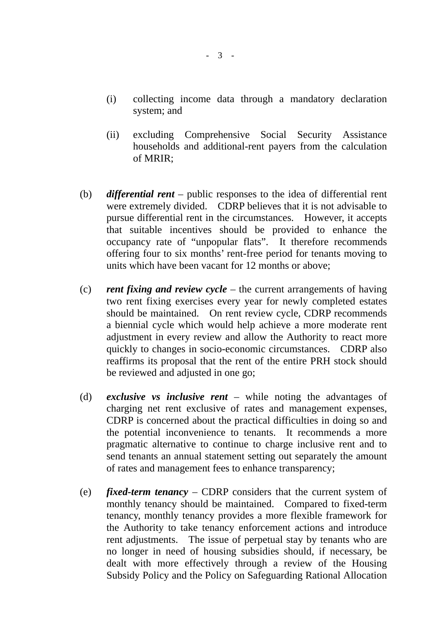- (i) collecting income data through a mandatory declaration system; and
- (ii) excluding Comprehensive Social Security Assistance households and additional-rent payers from the calculation of MRIR;
- (b) *differential rent* public responses to the idea of differential rent were extremely divided. CDRP believes that it is not advisable to pursue differential rent in the circumstances. However, it accepts that suitable incentives should be provided to enhance the occupancy rate of "unpopular flats". It therefore recommends offering four to six months' rent-free period for tenants moving to units which have been vacant for 12 months or above;
- (c) *rent fixing and review cycle* the current arrangements of having two rent fixing exercises every year for newly completed estates should be maintained. On rent review cycle, CDRP recommends a biennial cycle which would help achieve a more moderate rent adjustment in every review and allow the Authority to react more quickly to changes in socio-economic circumstances. CDRP also reaffirms its proposal that the rent of the entire PRH stock should be reviewed and adjusted in one go;
- (d) *exclusive vs inclusive rent*  while noting the advantages of charging net rent exclusive of rates and management expenses, CDRP is concerned about the practical difficulties in doing so and the potential inconvenience to tenants. It recommends a more pragmatic alternative to continue to charge inclusive rent and to send tenants an annual statement setting out separately the amount of rates and management fees to enhance transparency;
- (e) *fixed-term tenancy* CDRP considers that the current system of monthly tenancy should be maintained. Compared to fixed-term tenancy, monthly tenancy provides a more flexible framework for the Authority to take tenancy enforcement actions and introduce rent adjustments. The issue of perpetual stay by tenants who are no longer in need of housing subsidies should, if necessary, be dealt with more effectively through a review of the Housing Subsidy Policy and the Policy on Safeguarding Rational Allocation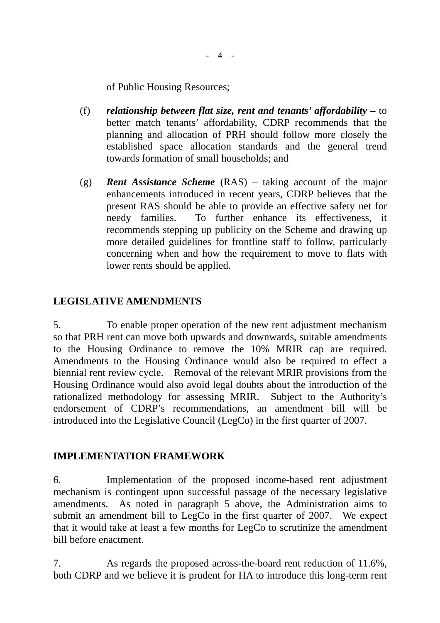of Public Housing Resources;

- (f) *relationship between flat size, rent and tenants' affordability* to better match tenants' affordability, CDRP recommends that the planning and allocation of PRH should follow more closely the established space allocation standards and the general trend towards formation of small households; and
- (g) *Rent Assistance Scheme* (RAS) taking account of the major enhancements introduced in recent years, CDRP believes that the present RAS should be able to provide an effective safety net for needy families. To further enhance its effectiveness, it recommends stepping up publicity on the Scheme and drawing up more detailed guidelines for frontline staff to follow, particularly concerning when and how the requirement to move to flats with lower rents should be applied.

#### **LEGISLATIVE AMENDMENTS**

5. To enable proper operation of the new rent adjustment mechanism so that PRH rent can move both upwards and downwards, suitable amendments to the Housing Ordinance to remove the 10% MRIR cap are required. Amendments to the Housing Ordinance would also be required to effect a biennial rent review cycle. Removal of the relevant MRIR provisions from the Housing Ordinance would also avoid legal doubts about the introduction of the rationalized methodology for assessing MRIR. Subject to the Authority's endorsement of CDRP's recommendations, an amendment bill will be introduced into the Legislative Council (LegCo) in the first quarter of 2007.

#### **IMPLEMENTATION FRAMEWORK**

6. Implementation of the proposed income-based rent adjustment mechanism is contingent upon successful passage of the necessary legislative amendments. As noted in paragraph 5 above, the Administration aims to submit an amendment bill to LegCo in the first quarter of 2007. We expect that it would take at least a few months for LegCo to scrutinize the amendment bill before enactment.

7. As regards the proposed across-the-board rent reduction of 11.6%, both CDRP and we believe it is prudent for HA to introduce this long-term rent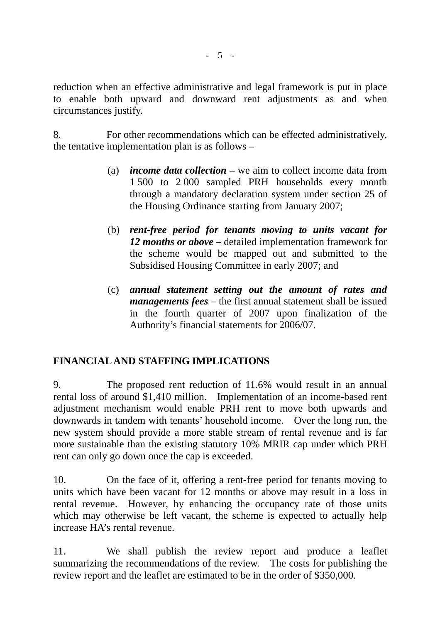reduction when an effective administrative and legal framework is put in place to enable both upward and downward rent adjustments as and when circumstances justify.

8. For other recommendations which can be effected administratively, the tentative implementation plan is as follows –

- (a) *income data collection* we aim to collect income data from 1 500 to 2 000 sampled PRH households every month through a mandatory declaration system under section 25 of the Housing Ordinance starting from January 2007;
- (b) *rent-free period for tenants moving to units vacant for 12 months or above –* detailed implementation framework for the scheme would be mapped out and submitted to the Subsidised Housing Committee in early 2007; and
- (c) *annual statement setting out the amount of rates and managements fees* – the first annual statement shall be issued in the fourth quarter of 2007 upon finalization of the Authority's financial statements for 2006/07.

## **FINANCIAL AND STAFFING IMPLICATIONS**

9. The proposed rent reduction of 11.6% would result in an annual rental loss of around \$1,410 million. Implementation of an income-based rent adjustment mechanism would enable PRH rent to move both upwards and downwards in tandem with tenants' household income. Over the long run, the new system should provide a more stable stream of rental revenue and is far more sustainable than the existing statutory 10% MRIR cap under which PRH rent can only go down once the cap is exceeded.

10. On the face of it, offering a rent-free period for tenants moving to units which have been vacant for 12 months or above may result in a loss in rental revenue. However, by enhancing the occupancy rate of those units which may otherwise be left vacant, the scheme is expected to actually help increase HA's rental revenue.

11. We shall publish the review report and produce a leaflet summarizing the recommendations of the review. The costs for publishing the review report and the leaflet are estimated to be in the order of \$350,000.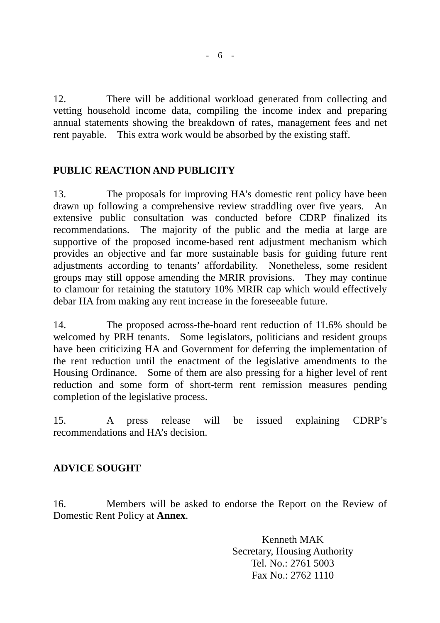12. There will be additional workload generated from collecting and vetting household income data, compiling the income index and preparing annual statements showing the breakdown of rates, management fees and net rent payable. This extra work would be absorbed by the existing staff.

## **PUBLIC REACTION AND PUBLICITY**

13. The proposals for improving HA's domestic rent policy have been drawn up following a comprehensive review straddling over five years. An extensive public consultation was conducted before CDRP finalized its recommendations. The majority of the public and the media at large are supportive of the proposed income-based rent adjustment mechanism which provides an objective and far more sustainable basis for guiding future rent adjustments according to tenants' affordability. Nonetheless, some resident groups may still oppose amending the MRIR provisions. They may continue to clamour for retaining the statutory 10% MRIR cap which would effectively debar HA from making any rent increase in the foreseeable future.

14. The proposed across-the-board rent reduction of 11.6% should be welcomed by PRH tenants. Some legislators, politicians and resident groups have been criticizing HA and Government for deferring the implementation of the rent reduction until the enactment of the legislative amendments to the Housing Ordinance. Some of them are also pressing for a higher level of rent reduction and some form of short-term rent remission measures pending completion of the legislative process.

15. A press release will be issued explaining CDRP's recommendations and HA's decision.

## **ADVICE SOUGHT**

16. Members will be asked to endorse the Report on the Review of Domestic Rent Policy at **Annex**.

> Kenneth MAK Secretary, Housing Authority Tel. No.: 2761 5003 Fax No.: 2762 1110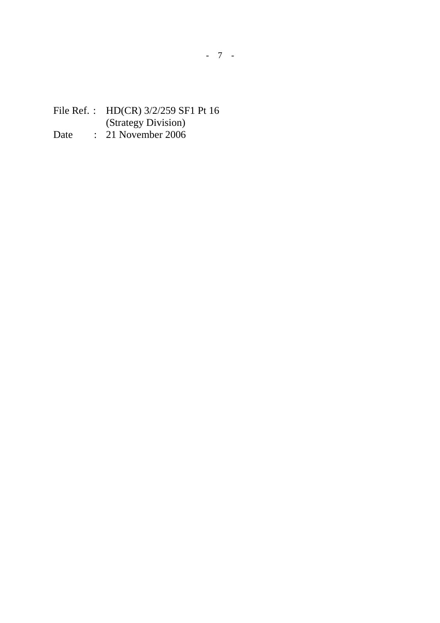## File Ref. : HD(CR) 3/2/259 SF1 Pt 16 (Strategy Division) Date : 21 November 2006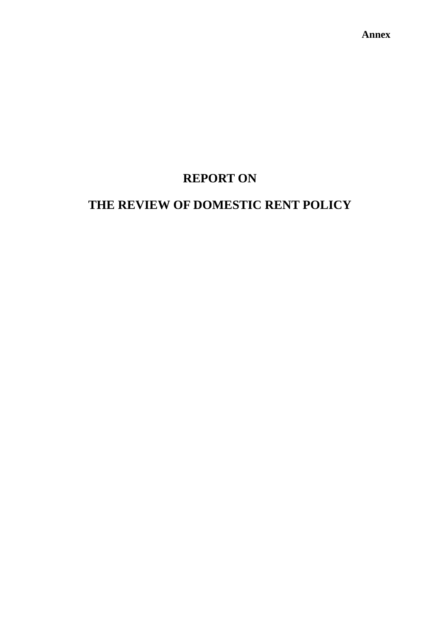**Annex** 

# **REPORT ON**

# **THE REVIEW OF DOMESTIC RENT POLICY**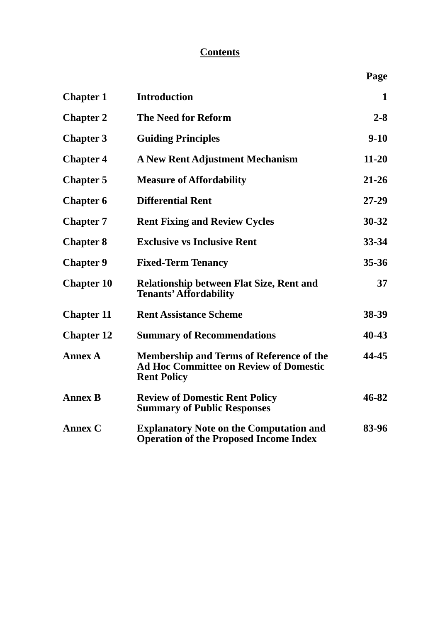# **Contents**

| <b>Chapter 1</b>  | <b>Introduction</b>                                                                                                    | $\mathbf{1}$ |
|-------------------|------------------------------------------------------------------------------------------------------------------------|--------------|
| <b>Chapter 2</b>  | <b>The Need for Reform</b>                                                                                             | $2 - 8$      |
| <b>Chapter 3</b>  | <b>Guiding Principles</b>                                                                                              | $9 - 10$     |
| <b>Chapter 4</b>  | <b>A New Rent Adjustment Mechanism</b>                                                                                 | $11 - 20$    |
| <b>Chapter 5</b>  | <b>Measure of Affordability</b>                                                                                        | $21 - 26$    |
| <b>Chapter 6</b>  | <b>Differential Rent</b>                                                                                               | $27 - 29$    |
| <b>Chapter 7</b>  | <b>Rent Fixing and Review Cycles</b>                                                                                   | $30 - 32$    |
| <b>Chapter 8</b>  | <b>Exclusive vs Inclusive Rent</b>                                                                                     | 33-34        |
| <b>Chapter 9</b>  | <b>Fixed-Term Tenancy</b>                                                                                              | $35 - 36$    |
| <b>Chapter 10</b> | <b>Relationship between Flat Size, Rent and</b><br><b>Tenants' Affordability</b>                                       | 37           |
| <b>Chapter 11</b> | <b>Rent Assistance Scheme</b>                                                                                          | 38-39        |
| <b>Chapter 12</b> | <b>Summary of Recommendations</b>                                                                                      | 40-43        |
| <b>Annex A</b>    | <b>Membership and Terms of Reference of the</b><br><b>Ad Hoc Committee on Review of Domestic</b><br><b>Rent Policy</b> | 44-45        |
| <b>Annex B</b>    | <b>Review of Domestic Rent Policy</b><br><b>Summary of Public Responses</b>                                            | 46-82        |
| <b>Annex C</b>    | <b>Explanatory Note on the Computation and</b><br><b>Operation of the Proposed Income Index</b>                        | 83-96        |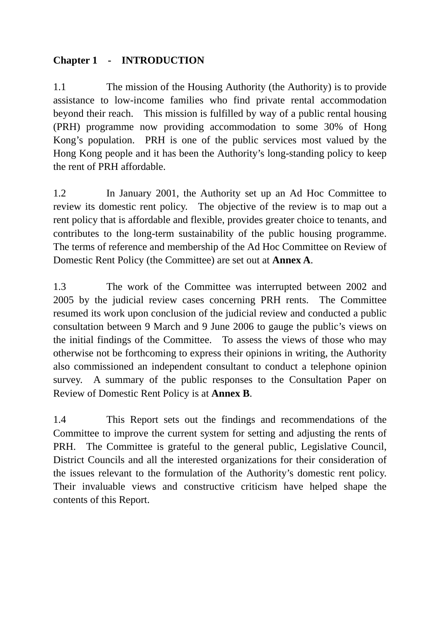# **Chapter 1 - INTRODUCTION**

1.1 The mission of the Housing Authority (the Authority) is to provide assistance to low-income families who find private rental accommodation beyond their reach. This mission is fulfilled by way of a public rental housing (PRH) programme now providing accommodation to some 30% of Hong Kong's population. PRH is one of the public services most valued by the Hong Kong people and it has been the Authority's long-standing policy to keep the rent of PRH affordable.

1.2 In January 2001, the Authority set up an Ad Hoc Committee to review its domestic rent policy. The objective of the review is to map out a rent policy that is affordable and flexible, provides greater choice to tenants, and contributes to the long-term sustainability of the public housing programme. The terms of reference and membership of the Ad Hoc Committee on Review of Domestic Rent Policy (the Committee) are set out at **Annex A**.

1.3 The work of the Committee was interrupted between 2002 and 2005 by the judicial review cases concerning PRH rents. The Committee resumed its work upon conclusion of the judicial review and conducted a public consultation between 9 March and 9 June 2006 to gauge the public's views on the initial findings of the Committee. To assess the views of those who may otherwise not be forthcoming to express their opinions in writing, the Authority also commissioned an independent consultant to conduct a telephone opinion survey. A summary of the public responses to the Consultation Paper on Review of Domestic Rent Policy is at **Annex B**.

1.4 This Report sets out the findings and recommendations of the Committee to improve the current system for setting and adjusting the rents of PRH. The Committee is grateful to the general public, Legislative Council, District Councils and all the interested organizations for their consideration of the issues relevant to the formulation of the Authority's domestic rent policy. Their invaluable views and constructive criticism have helped shape the contents of this Report.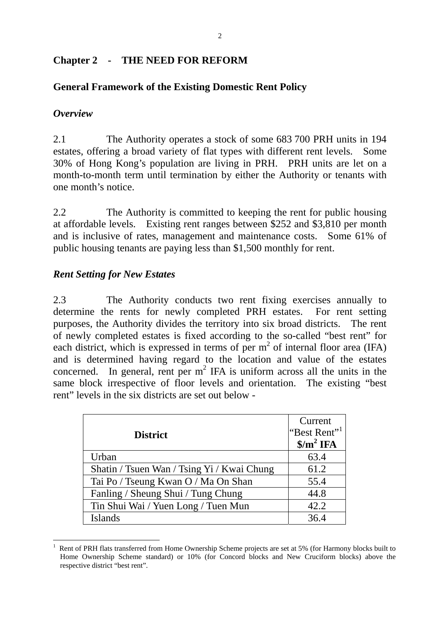#### **Chapter 2 - THE NEED FOR REFORM**

#### **General Framework of the Existing Domestic Rent Policy**

#### *Overview*

2.1 The Authority operates a stock of some 683 700 PRH units in 194 estates, offering a broad variety of flat types with different rent levels. Some 30% of Hong Kong's population are living in PRH. PRH units are let on a month-to-month term until termination by either the Authority or tenants with one month's notice.

2.2 The Authority is committed to keeping the rent for public housing at affordable levels. Existing rent ranges between \$252 and \$3,810 per month and is inclusive of rates, management and maintenance costs. Some 61% of public housing tenants are paying less than \$1,500 monthly for rent.

#### *Rent Setting for New Estates*

2.3 The Authority conducts two rent fixing exercises annually to determine the rents for newly completed PRH estates. For rent setting purposes, the Authority divides the territory into six broad districts. The rent of newly completed estates is fixed according to the so-called "best rent" for each district, which is expressed in terms of per  $m<sup>2</sup>$  of internal floor area (IFA) and is determined having regard to the location and value of the estates concerned. In general, rent per  $m^2$  IFA is uniform across all the units in the same block irrespective of floor levels and orientation. The existing "best rent" levels in the six districts are set out below -

| <b>District</b>                            | Current<br>"Best Rent" <sup>1</sup><br>$\sin^2$ IFA |
|--------------------------------------------|-----------------------------------------------------|
| Urban                                      | 63.4                                                |
| Shatin / Tsuen Wan / Tsing Yi / Kwai Chung | 61.2                                                |
| Tai Po / Tseung Kwan O / Ma On Shan        | 55.4                                                |
| Fanling / Sheung Shui / Tung Chung         | 44.8                                                |
| Tin Shui Wai / Yuen Long / Tuen Mun        | 42.2                                                |
| <b>Islands</b>                             | 36.4                                                |

<sup>1</sup> 1 Rent of PRH flats transferred from Home Ownership Scheme projects are set at 5% (for Harmony blocks built to Home Ownership Scheme standard) or 10% (for Concord blocks and New Cruciform blocks) above the respective district "best rent".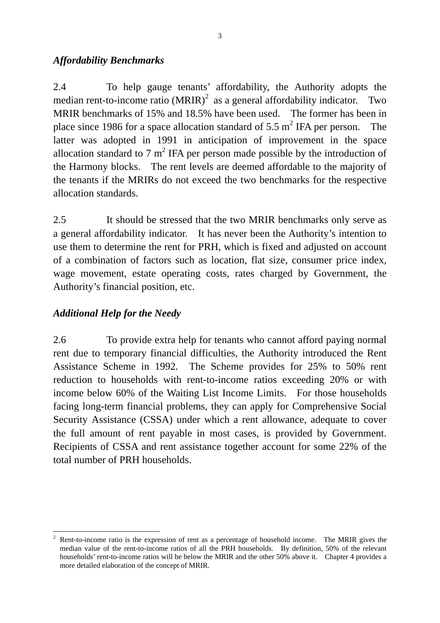#### *Affordability Benchmarks*

2.4 To help gauge tenants' affordability, the Authority adopts the median rent-to-income ratio  $(MRIR)^2$  as a general affordability indicator. Two MRIR benchmarks of 15% and 18.5% have been used. The former has been in place since 1986 for a space allocation standard of 5.5  $m^2$  IFA per person. The latter was adopted in 1991 in anticipation of improvement in the space allocation standard to 7  $m^2$  IFA per person made possible by the introduction of the Harmony blocks. The rent levels are deemed affordable to the majority of the tenants if the MRIRs do not exceed the two benchmarks for the respective allocation standards.

2.5 It should be stressed that the two MRIR benchmarks only serve as a general affordability indicator. It has never been the Authority's intention to use them to determine the rent for PRH, which is fixed and adjusted on account of a combination of factors such as location, flat size, consumer price index, wage movement, estate operating costs, rates charged by Government, the Authority's financial position, etc.

# *Additional Help for the Needy*

2.6 To provide extra help for tenants who cannot afford paying normal rent due to temporary financial difficulties, the Authority introduced the Rent Assistance Scheme in 1992. The Scheme provides for 25% to 50% rent reduction to households with rent-to-income ratios exceeding 20% or with income below 60% of the Waiting List Income Limits. For those households facing long-term financial problems, they can apply for Comprehensive Social Security Assistance (CSSA) under which a rent allowance, adequate to cover the full amount of rent payable in most cases, is provided by Government. Recipients of CSSA and rent assistance together account for some 22% of the total number of PRH households.

<sup>1</sup> 2 Rent-to-income ratio is the expression of rent as a percentage of household income. The MRIR gives the median value of the rent-to-income ratios of all the PRH households. By definition, 50% of the relevant households' rent-to-income ratios will be below the MRIR and the other 50% above it. Chapter 4 provides a more detailed elaboration of the concept of MRIR.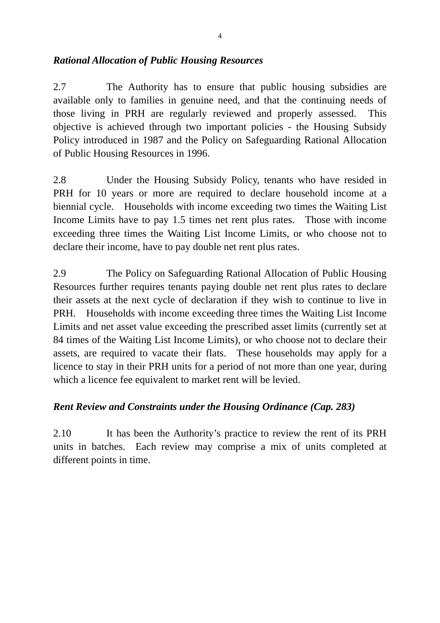#### *Rational Allocation of Public Housing Resources*

2.7 The Authority has to ensure that public housing subsidies are available only to families in genuine need, and that the continuing needs of those living in PRH are regularly reviewed and properly assessed. This objective is achieved through two important policies - the Housing Subsidy Policy introduced in 1987 and the Policy on Safeguarding Rational Allocation of Public Housing Resources in 1996.

2.8 Under the Housing Subsidy Policy, tenants who have resided in PRH for 10 years or more are required to declare household income at a biennial cycle. Households with income exceeding two times the Waiting List Income Limits have to pay 1.5 times net rent plus rates. Those with income exceeding three times the Waiting List Income Limits, or who choose not to declare their income, have to pay double net rent plus rates.

2.9 The Policy on Safeguarding Rational Allocation of Public Housing Resources further requires tenants paying double net rent plus rates to declare their assets at the next cycle of declaration if they wish to continue to live in PRH. Households with income exceeding three times the Waiting List Income Limits and net asset value exceeding the prescribed asset limits (currently set at 84 times of the Waiting List Income Limits), or who choose not to declare their assets, are required to vacate their flats. These households may apply for a licence to stay in their PRH units for a period of not more than one year, during which a licence fee equivalent to market rent will be levied.

## *Rent Review and Constraints under the Housing Ordinance (Cap. 283)*

2.10 It has been the Authority's practice to review the rent of its PRH units in batches. Each review may comprise a mix of units completed at different points in time.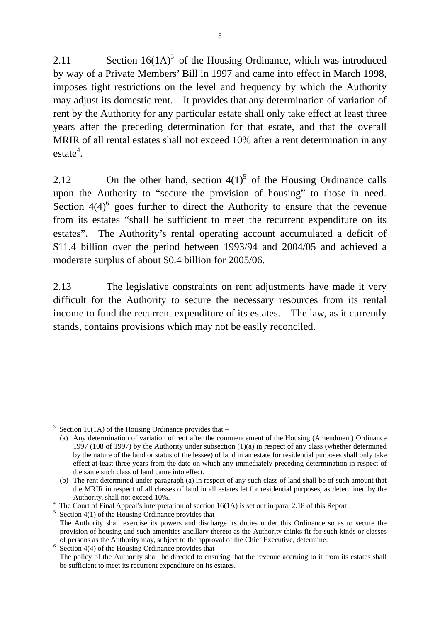2.11 Section  $16(1A)^3$  of the Housing Ordinance, which was introduced by way of a Private Members' Bill in 1997 and came into effect in March 1998, imposes tight restrictions on the level and frequency by which the Authority may adjust its domestic rent. It provides that any determination of variation of rent by the Authority for any particular estate shall only take effect at least three years after the preceding determination for that estate, and that the overall MRIR of all rental estates shall not exceed 10% after a rent determination in any  $e$ stat $e^4$ .

2.12 On the other hand, section  $4(1)^5$  of the Housing Ordinance calls upon the Authority to "secure the provision of housing" to those in need. Section  $4(4)^6$  goes further to direct the Authority to ensure that the revenue from its estates "shall be sufficient to meet the recurrent expenditure on its estates". The Authority's rental operating account accumulated a deficit of \$11.4 billion over the period between 1993/94 and 2004/05 and achieved a moderate surplus of about \$0.4 billion for 2005/06.

2.13 The legislative constraints on rent adjustments have made it very difficult for the Authority to secure the necessary resources from its rental income to fund the recurrent expenditure of its estates. The law, as it currently stands, contains provisions which may not be easily reconciled.

<sup>&</sup>lt;u>.</u> 3 Section 16(1A) of the Housing Ordinance provides that –

<sup>(</sup>a) Any determination of variation of rent after the commencement of the Housing (Amendment) Ordinance 1997 (108 of 1997) by the Authority under subsection (1)(a) in respect of any class (whether determined by the nature of the land or status of the lessee) of land in an estate for residential purposes shall only take effect at least three years from the date on which any immediately preceding determination in respect of the same such class of land came into effect.

<sup>(</sup>b) The rent determined under paragraph (a) in respect of any such class of land shall be of such amount that the MRIR in respect of all classes of land in all estates let for residential purposes, as determined by the Authority, shall not exceed 10%.

<sup>&</sup>lt;sup>4</sup> The Court of Final Appeal's interpretation of section 16(1A) is set out in para. 2.18 of this Report.

 $5$  Section 4(1) of the Housing Ordinance provides that -

The Authority shall exercise its powers and discharge its duties under this Ordinance so as to secure the provision of housing and such amenities ancillary thereto as the Authority thinks fit for such kinds or classes of persons as the Authority may, subject to the approval of the Chief Executive, determine. 6

 $6$  Section 4(4) of the Housing Ordinance provides that -

The policy of the Authority shall be directed to ensuring that the revenue accruing to it from its estates shall be sufficient to meet its recurrent expenditure on its estates.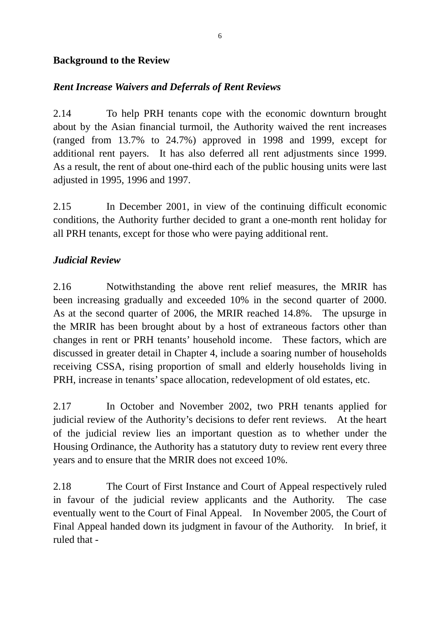#### **Background to the Review**

## *Rent Increase Waivers and Deferrals of Rent Reviews*

2.14 To help PRH tenants cope with the economic downturn brought about by the Asian financial turmoil, the Authority waived the rent increases (ranged from 13.7% to 24.7%) approved in 1998 and 1999, except for additional rent payers. It has also deferred all rent adjustments since 1999. As a result, the rent of about one-third each of the public housing units were last adjusted in 1995, 1996 and 1997.

2.15 In December 2001, in view of the continuing difficult economic conditions, the Authority further decided to grant a one-month rent holiday for all PRH tenants, except for those who were paying additional rent.

## *Judicial Review*

2.16 Notwithstanding the above rent relief measures, the MRIR has been increasing gradually and exceeded 10% in the second quarter of 2000. As at the second quarter of 2006, the MRIR reached 14.8%. The upsurge in the MRIR has been brought about by a host of extraneous factors other than changes in rent or PRH tenants' household income. These factors, which are discussed in greater detail in Chapter 4, include a soaring number of households receiving CSSA, rising proportion of small and elderly households living in PRH, increase in tenants' space allocation, redevelopment of old estates, etc.

2.17 In October and November 2002, two PRH tenants applied for judicial review of the Authority's decisions to defer rent reviews. At the heart of the judicial review lies an important question as to whether under the Housing Ordinance, the Authority has a statutory duty to review rent every three years and to ensure that the MRIR does not exceed 10%.

2.18 The Court of First Instance and Court of Appeal respectively ruled in favour of the judicial review applicants and the Authority. The case eventually went to the Court of Final Appeal. In November 2005, the Court of Final Appeal handed down its judgment in favour of the Authority. In brief, it ruled that -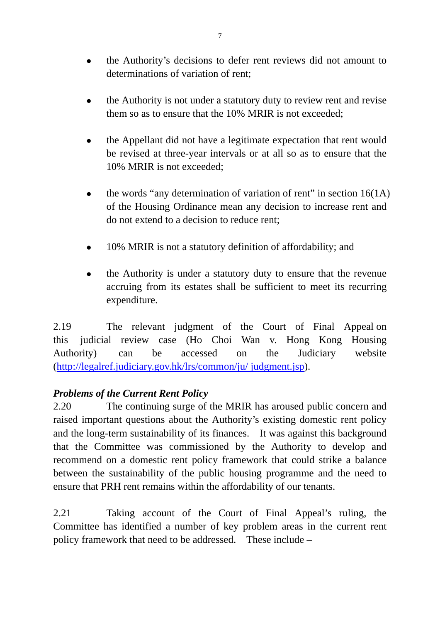- <sup>z</sup> the Authority's decisions to defer rent reviews did not amount to determinations of variation of rent;
- the Authority is not under a statutory duty to review rent and revise them so as to ensure that the 10% MRIR is not exceeded;
- the Appellant did not have a legitimate expectation that rent would be revised at three-year intervals or at all so as to ensure that the 10% MRIR is not exceeded;
- the words "any determination of variation of rent" in section  $16(1A)$ of the Housing Ordinance mean any decision to increase rent and do not extend to a decision to reduce rent;
- 10% MRIR is not a statutory definition of affordability; and
- the Authority is under a statutory duty to ensure that the revenue accruing from its estates shall be sufficient to meet its recurring expenditure.

2.19 The relevant judgment of the Court of Final Appeal on this judicial review case (Ho Choi Wan v. Hong Kong Housing Authority) can be accessed on the Judiciary website (http://legalref.judiciary.gov.hk/lrs/common/ju/ judgment.jsp).

# *Problems of the Current Rent Policy*

2.20 The continuing surge of the MRIR has aroused public concern and raised important questions about the Authority's existing domestic rent policy and the long-term sustainability of its finances. It was against this background that the Committee was commissioned by the Authority to develop and recommend on a domestic rent policy framework that could strike a balance between the sustainability of the public housing programme and the need to ensure that PRH rent remains within the affordability of our tenants.

2.21 Taking account of the Court of Final Appeal's ruling, the Committee has identified a number of key problem areas in the current rent policy framework that need to be addressed. These include –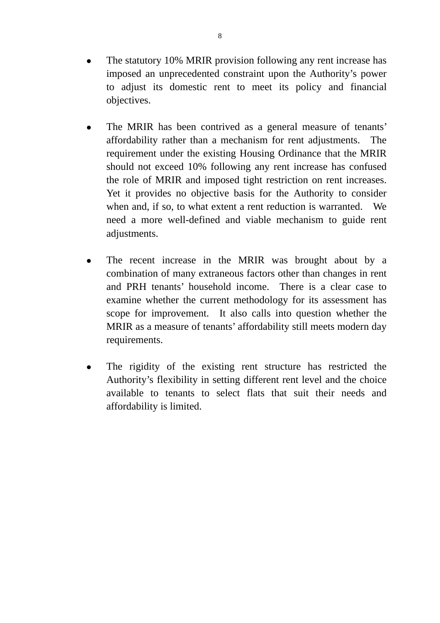- The statutory 10% MRIR provision following any rent increase has imposed an unprecedented constraint upon the Authority's power to adjust its domestic rent to meet its policy and financial objectives.
- The MRIR has been contrived as a general measure of tenants' affordability rather than a mechanism for rent adjustments. The requirement under the existing Housing Ordinance that the MRIR should not exceed 10% following any rent increase has confused the role of MRIR and imposed tight restriction on rent increases. Yet it provides no objective basis for the Authority to consider when and, if so, to what extent a rent reduction is warranted. We need a more well-defined and viable mechanism to guide rent adjustments.
- The recent increase in the MRIR was brought about by a combination of many extraneous factors other than changes in rent and PRH tenants' household income. There is a clear case to examine whether the current methodology for its assessment has scope for improvement. It also calls into question whether the MRIR as a measure of tenants' affordability still meets modern day requirements.
- The rigidity of the existing rent structure has restricted the Authority's flexibility in setting different rent level and the choice available to tenants to select flats that suit their needs and affordability is limited.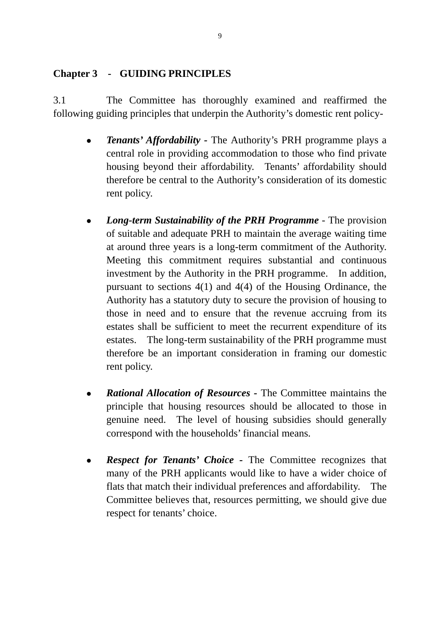## **Chapter 3 - GUIDING PRINCIPLES**

3.1 The Committee has thoroughly examined and reaffirmed the following guiding principles that underpin the Authority's domestic rent policy-

- *Tenants' Affordability* The Authority's PRH programme plays a central role in providing accommodation to those who find private housing beyond their affordability. Tenants' affordability should therefore be central to the Authority's consideration of its domestic rent policy.
- *Long-term Sustainability of the PRH Programme* The provision of suitable and adequate PRH to maintain the average waiting time at around three years is a long-term commitment of the Authority. Meeting this commitment requires substantial and continuous investment by the Authority in the PRH programme. In addition, pursuant to sections 4(1) and 4(4) of the Housing Ordinance, the Authority has a statutory duty to secure the provision of housing to those in need and to ensure that the revenue accruing from its estates shall be sufficient to meet the recurrent expenditure of its estates. The long-term sustainability of the PRH programme must therefore be an important consideration in framing our domestic rent policy.
- *Rational Allocation of Resources* The Committee maintains the principle that housing resources should be allocated to those in genuine need. The level of housing subsidies should generally correspond with the households' financial means.
- *Respect for Tenants' Choice* The Committee recognizes that many of the PRH applicants would like to have a wider choice of flats that match their individual preferences and affordability. The Committee believes that, resources permitting, we should give due respect for tenants' choice.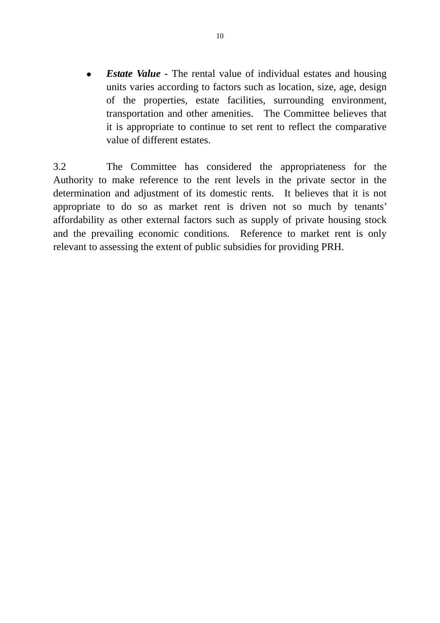*Estate Value* - The rental value of individual estates and housing units varies according to factors such as location, size, age, design of the properties, estate facilities, surrounding environment, transportation and other amenities. The Committee believes that it is appropriate to continue to set rent to reflect the comparative value of different estates.

3.2 The Committee has considered the appropriateness for the Authority to make reference to the rent levels in the private sector in the determination and adjustment of its domestic rents. It believes that it is not appropriate to do so as market rent is driven not so much by tenants' affordability as other external factors such as supply of private housing stock and the prevailing economic conditions. Reference to market rent is only relevant to assessing the extent of public subsidies for providing PRH.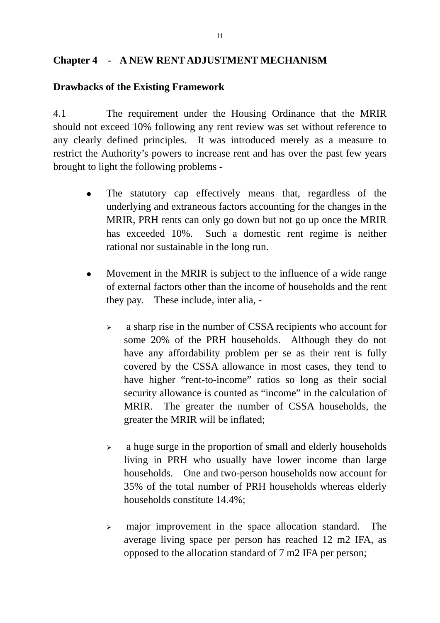#### **Chapter 4 - A NEW RENT ADJUSTMENT MECHANISM**

#### **Drawbacks of the Existing Framework**

4.1 The requirement under the Housing Ordinance that the MRIR should not exceed 10% following any rent review was set without reference to any clearly defined principles. It was introduced merely as a measure to restrict the Authority's powers to increase rent and has over the past few years brought to light the following problems -

- The statutory cap effectively means that, regardless of the underlying and extraneous factors accounting for the changes in the MRIR, PRH rents can only go down but not go up once the MRIR has exceeded 10%. Such a domestic rent regime is neither rational nor sustainable in the long run.
- Movement in the MRIR is subject to the influence of a wide range of external factors other than the income of households and the rent they pay. These include, inter alia, -
	- <sup>¾</sup> a sharp rise in the number of CSSA recipients who account for some 20% of the PRH households. Although they do not have any affordability problem per se as their rent is fully covered by the CSSA allowance in most cases, they tend to have higher "rent-to-income" ratios so long as their social security allowance is counted as "income" in the calculation of MRIR. The greater the number of CSSA households, the greater the MRIR will be inflated;
	- $\geq$  a huge surge in the proportion of small and elderly households living in PRH who usually have lower income than large households. One and two-person households now account for 35% of the total number of PRH households whereas elderly households constitute 14.4%;
	- $\geq$  major improvement in the space allocation standard. The average living space per person has reached 12 m2 IFA, as opposed to the allocation standard of 7 m2 IFA per person;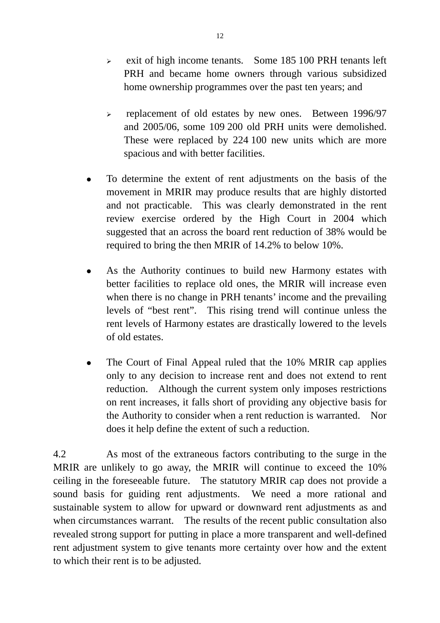- $\ge$  exit of high income tenants. Some 185 100 PRH tenants left PRH and became home owners through various subsidized home ownership programmes over the past ten years; and
- <sup>¾</sup> replacement of old estates by new ones. Between 1996/97 and 2005/06, some 109 200 old PRH units were demolished. These were replaced by 224 100 new units which are more spacious and with better facilities.
- To determine the extent of rent adjustments on the basis of the movement in MRIR may produce results that are highly distorted and not practicable. This was clearly demonstrated in the rent review exercise ordered by the High Court in 2004 which suggested that an across the board rent reduction of 38% would be required to bring the then MRIR of 14.2% to below 10%.
- As the Authority continues to build new Harmony estates with better facilities to replace old ones, the MRIR will increase even when there is no change in PRH tenants' income and the prevailing levels of "best rent". This rising trend will continue unless the rent levels of Harmony estates are drastically lowered to the levels of old estates.
- The Court of Final Appeal ruled that the 10% MRIR cap applies only to any decision to increase rent and does not extend to rent reduction. Although the current system only imposes restrictions on rent increases, it falls short of providing any objective basis for the Authority to consider when a rent reduction is warranted. Nor does it help define the extent of such a reduction.

4.2 As most of the extraneous factors contributing to the surge in the MRIR are unlikely to go away, the MRIR will continue to exceed the 10% ceiling in the foreseeable future. The statutory MRIR cap does not provide a sound basis for guiding rent adjustments. We need a more rational and sustainable system to allow for upward or downward rent adjustments as and when circumstances warrant. The results of the recent public consultation also revealed strong support for putting in place a more transparent and well-defined rent adjustment system to give tenants more certainty over how and the extent to which their rent is to be adjusted.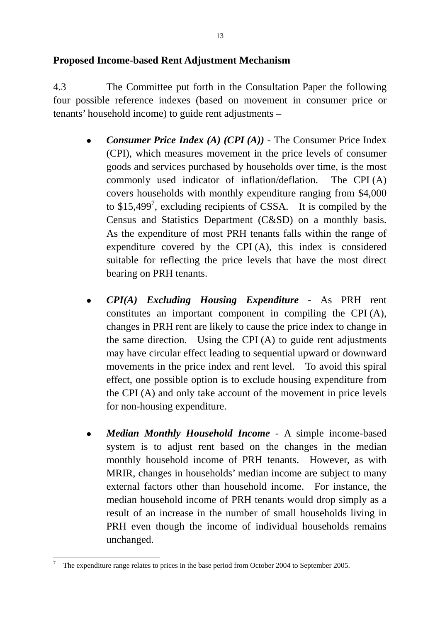#### **Proposed Income-based Rent Adjustment Mechanism**

4.3 The Committee put forth in the Consultation Paper the following four possible reference indexes (based on movement in consumer price or tenants' household income) to guide rent adjustments –

- *Consumer Price Index (A) (CPI (A))* The Consumer Price Index (CPI), which measures movement in the price levels of consumer goods and services purchased by households over time, is the most commonly used indicator of inflation/deflation. The CPI (A) covers households with monthly expenditure ranging from \$4,000 to \$15,499<sup>7</sup>, excluding recipients of CSSA. It is compiled by the Census and Statistics Department (C&SD) on a monthly basis. As the expenditure of most PRH tenants falls within the range of expenditure covered by the CPI (A), this index is considered suitable for reflecting the price levels that have the most direct bearing on PRH tenants.
- <sup>z</sup> *CPI(A) Excluding Housing Expenditure*  As PRH rent constitutes an important component in compiling the CPI (A), changes in PRH rent are likely to cause the price index to change in the same direction. Using the CPI (A) to guide rent adjustments may have circular effect leading to sequential upward or downward movements in the price index and rent level. To avoid this spiral effect, one possible option is to exclude housing expenditure from the CPI (A) and only take account of the movement in price levels for non-housing expenditure.
- <sup>z</sup> *Median Monthly Household Income* A simple income-based system is to adjust rent based on the changes in the median monthly household income of PRH tenants. However, as with MRIR, changes in households' median income are subject to many external factors other than household income. For instance, the median household income of PRH tenants would drop simply as a result of an increase in the number of small households living in PRH even though the income of individual households remains unchanged.

1

<sup>7</sup> The expenditure range relates to prices in the base period from October 2004 to September 2005.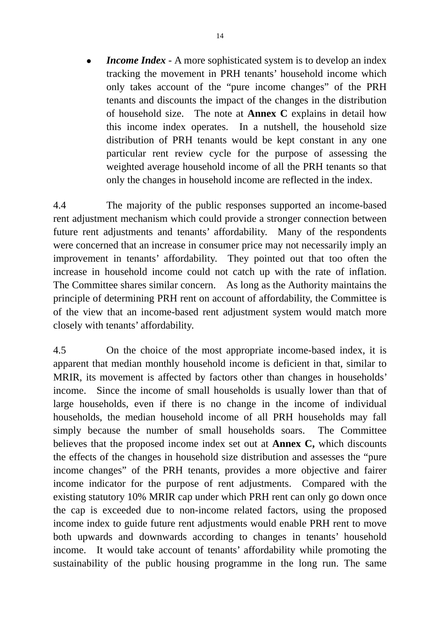*Income Index* - A more sophisticated system is to develop an index tracking the movement in PRH tenants' household income which only takes account of the "pure income changes" of the PRH tenants and discounts the impact of the changes in the distribution of household size. The note at **Annex C** explains in detail how this income index operates. In a nutshell, the household size distribution of PRH tenants would be kept constant in any one particular rent review cycle for the purpose of assessing the weighted average household income of all the PRH tenants so that only the changes in household income are reflected in the index.

4.4 The majority of the public responses supported an income-based rent adjustment mechanism which could provide a stronger connection between future rent adjustments and tenants' affordability. Many of the respondents were concerned that an increase in consumer price may not necessarily imply an improvement in tenants' affordability. They pointed out that too often the increase in household income could not catch up with the rate of inflation. The Committee shares similar concern. As long as the Authority maintains the principle of determining PRH rent on account of affordability, the Committee is of the view that an income-based rent adjustment system would match more closely with tenants' affordability.

4.5 On the choice of the most appropriate income-based index, it is apparent that median monthly household income is deficient in that, similar to MRIR, its movement is affected by factors other than changes in households' income. Since the income of small households is usually lower than that of large households, even if there is no change in the income of individual households, the median household income of all PRH households may fall simply because the number of small households soars. The Committee believes that the proposed income index set out at **Annex C,** which discounts the effects of the changes in household size distribution and assesses the "pure income changes" of the PRH tenants, provides a more objective and fairer income indicator for the purpose of rent adjustments. Compared with the existing statutory 10% MRIR cap under which PRH rent can only go down once the cap is exceeded due to non-income related factors, using the proposed income index to guide future rent adjustments would enable PRH rent to move both upwards and downwards according to changes in tenants' household income. It would take account of tenants' affordability while promoting the sustainability of the public housing programme in the long run. The same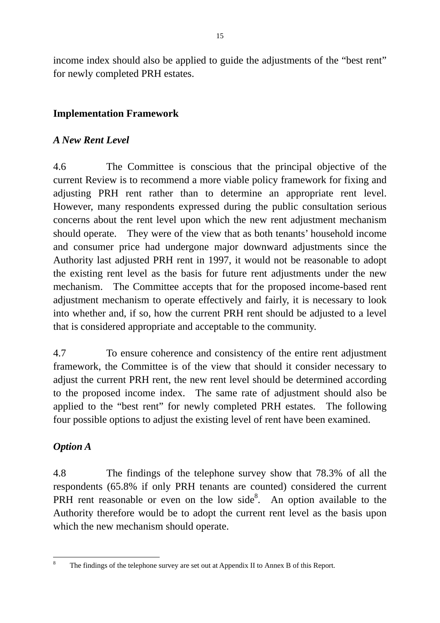income index should also be applied to guide the adjustments of the "best rent" for newly completed PRH estates.

## **Implementation Framework**

## *A New Rent Level*

4.6 The Committee is conscious that the principal objective of the current Review is to recommend a more viable policy framework for fixing and adjusting PRH rent rather than to determine an appropriate rent level. However, many respondents expressed during the public consultation serious concerns about the rent level upon which the new rent adjustment mechanism should operate. They were of the view that as both tenants' household income and consumer price had undergone major downward adjustments since the Authority last adjusted PRH rent in 1997, it would not be reasonable to adopt the existing rent level as the basis for future rent adjustments under the new mechanism. The Committee accepts that for the proposed income-based rent adjustment mechanism to operate effectively and fairly, it is necessary to look into whether and, if so, how the current PRH rent should be adjusted to a level that is considered appropriate and acceptable to the community.

4.7 To ensure coherence and consistency of the entire rent adjustment framework, the Committee is of the view that should it consider necessary to adjust the current PRH rent, the new rent level should be determined according to the proposed income index. The same rate of adjustment should also be applied to the "best rent" for newly completed PRH estates. The following four possible options to adjust the existing level of rent have been examined.

# *Option A*

4.8 The findings of the telephone survey show that 78.3% of all the respondents (65.8% if only PRH tenants are counted) considered the current PRH rent reasonable or even on the low side<sup>8</sup>. An option available to the Authority therefore would be to adopt the current rent level as the basis upon which the new mechanism should operate.

 $\frac{1}{8}$ The findings of the telephone survey are set out at Appendix II to Annex B of this Report.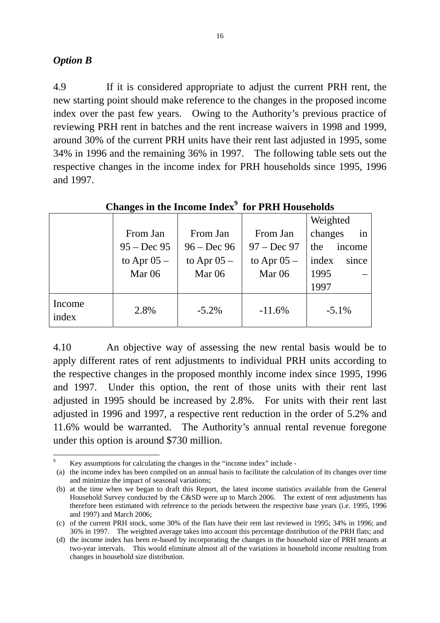#### *Option B*

1

4.9 If it is considered appropriate to adjust the current PRH rent, the new starting point should make reference to the changes in the proposed income index over the past few years. Owing to the Authority's previous practice of reviewing PRH rent in batches and the rent increase waivers in 1998 and 1999, around 30% of the current PRH units have their rent last adjusted in 1995, some 34% in 1996 and the remaining 36% in 1997. The following table sets out the respective changes in the income index for PRH households since 1995, 1996 and 1997.

|                 | o             |               |                   |                |  |
|-----------------|---------------|---------------|-------------------|----------------|--|
|                 |               |               |                   | Weighted       |  |
|                 | From Jan      | From Jan      | From Jan          | in<br>changes  |  |
|                 | $95 - Dec 95$ | $96 - Dec 96$ | $97 - Dec 97$     | the<br>income  |  |
|                 | to Apr $05 -$ | to Apr $05 -$ | to Apr $05 -$     | since<br>index |  |
|                 | Mar $06$      | Mar $06$      | Mar <sub>06</sub> | 1995           |  |
|                 |               |               |                   | 1997           |  |
| Income<br>index | 2.8%          | $-5.2\%$      | $-11.6%$          | $-5.1\%$       |  |

## **Changes in the Income Index<sup>9</sup> for PRH Households**

4.10 An objective way of assessing the new rental basis would be to apply different rates of rent adjustments to individual PRH units according to the respective changes in the proposed monthly income index since 1995, 1996 and 1997. Under this option, the rent of those units with their rent last adjusted in 1995 should be increased by 2.8%. For units with their rent last adjusted in 1996 and 1997, a respective rent reduction in the order of 5.2% and 11.6% would be warranted. The Authority's annual rental revenue foregone under this option is around \$730 million.

<sup>9</sup> Key assumptions for calculating the changes in the "income index" include -

<sup>(</sup>a) the income index has been compiled on an annual basis to facilitate the calculation of its changes over time and minimize the impact of seasonal variations;

<sup>(</sup>b) at the time when we began to draft this Report, the latest income statistics available from the General Household Survey conducted by the C&SD were up to March 2006. The extent of rent adjustments has therefore been estimated with reference to the periods between the respective base years (i.e. 1995, 1996 and 1997) and March 2006;

<sup>(</sup>c) of the current PRH stock, some 30% of the flats have their rent last reviewed in 1995; 34% in 1996; and 36% in 1997. The weighted average takes into account this percentage distribution of the PRH flats; and

<sup>(</sup>d) the income index has been re-based by incorporating the changes in the household size of PRH tenants at two-year intervals. This would eliminate almost all of the variations in household income resulting from changes in household size distribution.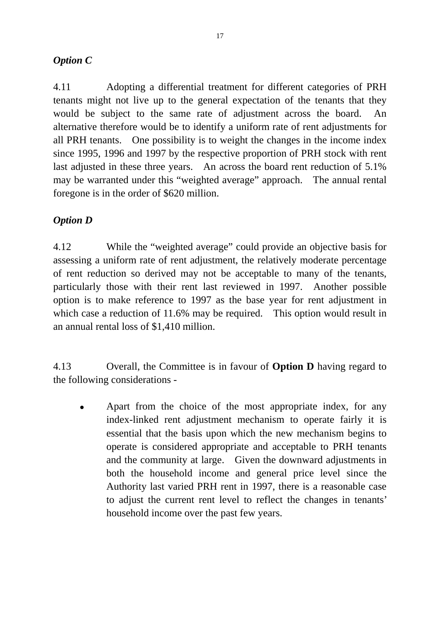## *Option C*

4.11 Adopting a differential treatment for different categories of PRH tenants might not live up to the general expectation of the tenants that they would be subject to the same rate of adjustment across the board. An alternative therefore would be to identify a uniform rate of rent adjustments for all PRH tenants. One possibility is to weight the changes in the income index since 1995, 1996 and 1997 by the respective proportion of PRH stock with rent last adjusted in these three years. An across the board rent reduction of 5.1% may be warranted under this "weighted average" approach. The annual rental foregone is in the order of \$620 million.

## *Option D*

4.12 While the "weighted average" could provide an objective basis for assessing a uniform rate of rent adjustment, the relatively moderate percentage of rent reduction so derived may not be acceptable to many of the tenants, particularly those with their rent last reviewed in 1997. Another possible option is to make reference to 1997 as the base year for rent adjustment in which case a reduction of 11.6% may be required. This option would result in an annual rental loss of \$1,410 million.

4.13 Overall, the Committee is in favour of **Option D** having regard to the following considerations -

Apart from the choice of the most appropriate index, for any index-linked rent adjustment mechanism to operate fairly it is essential that the basis upon which the new mechanism begins to operate is considered appropriate and acceptable to PRH tenants and the community at large. Given the downward adjustments in both the household income and general price level since the Authority last varied PRH rent in 1997, there is a reasonable case to adjust the current rent level to reflect the changes in tenants' household income over the past few years.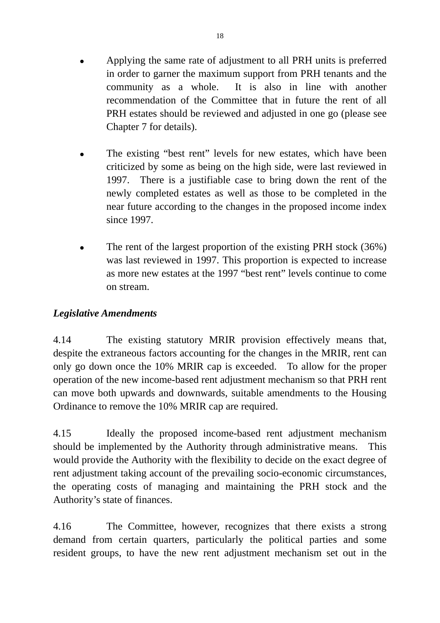- Applying the same rate of adjustment to all PRH units is preferred in order to garner the maximum support from PRH tenants and the community as a whole. It is also in line with another recommendation of the Committee that in future the rent of all PRH estates should be reviewed and adjusted in one go (please see Chapter 7 for details).
- The existing "best rent" levels for new estates, which have been criticized by some as being on the high side, were last reviewed in 1997. There is a justifiable case to bring down the rent of the newly completed estates as well as those to be completed in the near future according to the changes in the proposed income index since 1997.
- The rent of the largest proportion of the existing PRH stock (36%) was last reviewed in 1997. This proportion is expected to increase as more new estates at the 1997 "best rent" levels continue to come on stream.

## *Legislative Amendments*

4.14 The existing statutory MRIR provision effectively means that, despite the extraneous factors accounting for the changes in the MRIR, rent can only go down once the 10% MRIR cap is exceeded. To allow for the proper operation of the new income-based rent adjustment mechanism so that PRH rent can move both upwards and downwards, suitable amendments to the Housing Ordinance to remove the 10% MRIR cap are required.

4.15 Ideally the proposed income-based rent adjustment mechanism should be implemented by the Authority through administrative means. This would provide the Authority with the flexibility to decide on the exact degree of rent adjustment taking account of the prevailing socio-economic circumstances, the operating costs of managing and maintaining the PRH stock and the Authority's state of finances.

4.16 The Committee, however, recognizes that there exists a strong demand from certain quarters, particularly the political parties and some resident groups, to have the new rent adjustment mechanism set out in the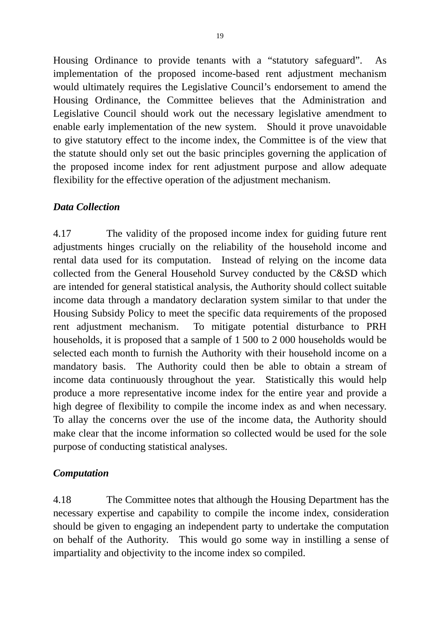Housing Ordinance to provide tenants with a "statutory safeguard". As implementation of the proposed income-based rent adjustment mechanism would ultimately requires the Legislative Council's endorsement to amend the Housing Ordinance, the Committee believes that the Administration and Legislative Council should work out the necessary legislative amendment to enable early implementation of the new system. Should it prove unavoidable to give statutory effect to the income index, the Committee is of the view that the statute should only set out the basic principles governing the application of the proposed income index for rent adjustment purpose and allow adequate flexibility for the effective operation of the adjustment mechanism.

## *Data Collection*

4.17 The validity of the proposed income index for guiding future rent adjustments hinges crucially on the reliability of the household income and rental data used for its computation. Instead of relying on the income data collected from the General Household Survey conducted by the C&SD which are intended for general statistical analysis, the Authority should collect suitable income data through a mandatory declaration system similar to that under the Housing Subsidy Policy to meet the specific data requirements of the proposed rent adjustment mechanism. To mitigate potential disturbance to PRH households, it is proposed that a sample of 1 500 to 2 000 households would be selected each month to furnish the Authority with their household income on a mandatory basis. The Authority could then be able to obtain a stream of income data continuously throughout the year. Statistically this would help produce a more representative income index for the entire year and provide a high degree of flexibility to compile the income index as and when necessary. To allay the concerns over the use of the income data, the Authority should make clear that the income information so collected would be used for the sole purpose of conducting statistical analyses.

## *Computation*

4.18 The Committee notes that although the Housing Department has the necessary expertise and capability to compile the income index, consideration should be given to engaging an independent party to undertake the computation on behalf of the Authority. This would go some way in instilling a sense of impartiality and objectivity to the income index so compiled.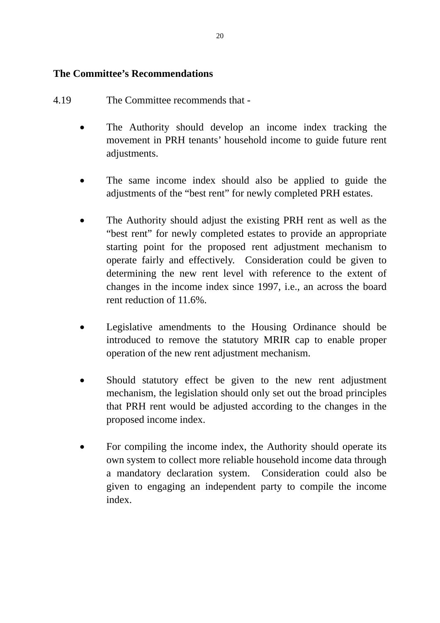#### **The Committee's Recommendations**

- 4.19 The Committee recommends that
	- The Authority should develop an income index tracking the movement in PRH tenants' household income to guide future rent adjustments.
	- The same income index should also be applied to guide the adjustments of the "best rent" for newly completed PRH estates.
	- The Authority should adjust the existing PRH rent as well as the "best rent" for newly completed estates to provide an appropriate starting point for the proposed rent adjustment mechanism to operate fairly and effectively. Consideration could be given to determining the new rent level with reference to the extent of changes in the income index since 1997, i.e., an across the board rent reduction of 11.6%.
	- Legislative amendments to the Housing Ordinance should be introduced to remove the statutory MRIR cap to enable proper operation of the new rent adjustment mechanism.
	- Should statutory effect be given to the new rent adjustment mechanism, the legislation should only set out the broad principles that PRH rent would be adjusted according to the changes in the proposed income index.
	- For compiling the income index, the Authority should operate its own system to collect more reliable household income data through a mandatory declaration system. Consideration could also be given to engaging an independent party to compile the income index.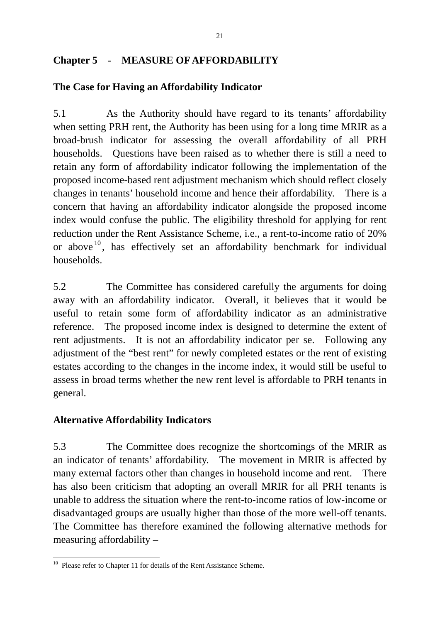## **Chapter 5 - MEASURE OF AFFORDABILITY**

#### **The Case for Having an Affordability Indicator**

5.1 As the Authority should have regard to its tenants' affordability when setting PRH rent, the Authority has been using for a long time MRIR as a broad-brush indicator for assessing the overall affordability of all PRH households. Questions have been raised as to whether there is still a need to retain any form of affordability indicator following the implementation of the proposed income-based rent adjustment mechanism which should reflect closely changes in tenants' household income and hence their affordability. There is a concern that having an affordability indicator alongside the proposed income index would confuse the public. The eligibility threshold for applying for rent reduction under the Rent Assistance Scheme, i.e., a rent-to-income ratio of 20% or above<sup>10</sup>, has effectively set an affordability benchmark for individual households.

5.2 The Committee has considered carefully the arguments for doing away with an affordability indicator. Overall, it believes that it would be useful to retain some form of affordability indicator as an administrative reference. The proposed income index is designed to determine the extent of rent adjustments. It is not an affordability indicator per se. Following any adjustment of the "best rent" for newly completed estates or the rent of existing estates according to the changes in the income index, it would still be useful to assess in broad terms whether the new rent level is affordable to PRH tenants in general.

#### **Alternative Affordability Indicators**

1

5.3 The Committee does recognize the shortcomings of the MRIR as an indicator of tenants' affordability. The movement in MRIR is affected by many external factors other than changes in household income and rent. There has also been criticism that adopting an overall MRIR for all PRH tenants is unable to address the situation where the rent-to-income ratios of low-income or disadvantaged groups are usually higher than those of the more well-off tenants. The Committee has therefore examined the following alternative methods for measuring affordability –

<sup>&</sup>lt;sup>10</sup> Please refer to Chapter 11 for details of the Rent Assistance Scheme.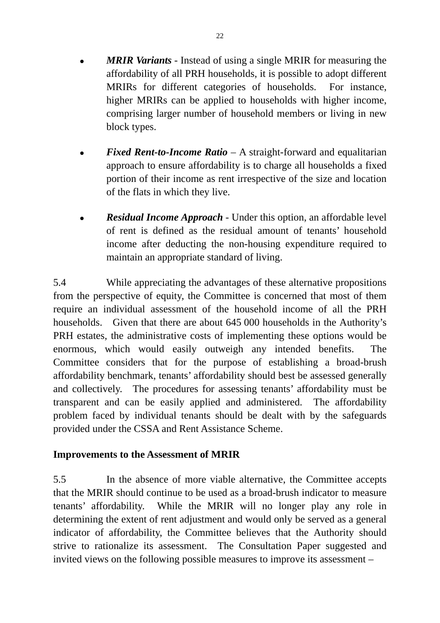- **MRIR Variants** Instead of using a single MRIR for measuring the affordability of all PRH households, it is possible to adopt different MRIRs for different categories of households. For instance, higher MRIRs can be applied to households with higher income, comprising larger number of household members or living in new block types.
- *Fixed Rent-to-Income Ratio* A straight-forward and equalitarian approach to ensure affordability is to charge all households a fixed portion of their income as rent irrespective of the size and location of the flats in which they live.
- *Residual Income Approach* Under this option, an affordable level of rent is defined as the residual amount of tenants' household income after deducting the non-housing expenditure required to maintain an appropriate standard of living.

5.4 While appreciating the advantages of these alternative propositions from the perspective of equity, the Committee is concerned that most of them require an individual assessment of the household income of all the PRH households. Given that there are about 645 000 households in the Authority's PRH estates, the administrative costs of implementing these options would be enormous, which would easily outweigh any intended benefits. The Committee considers that for the purpose of establishing a broad-brush affordability benchmark, tenants' affordability should best be assessed generally and collectively. The procedures for assessing tenants' affordability must be transparent and can be easily applied and administered. The affordability problem faced by individual tenants should be dealt with by the safeguards provided under the CSSA and Rent Assistance Scheme.

## **Improvements to the Assessment of MRIR**

5.5 In the absence of more viable alternative, the Committee accepts that the MRIR should continue to be used as a broad-brush indicator to measure tenants' affordability. While the MRIR will no longer play any role in determining the extent of rent adjustment and would only be served as a general indicator of affordability, the Committee believes that the Authority should strive to rationalize its assessment. The Consultation Paper suggested and invited views on the following possible measures to improve its assessment –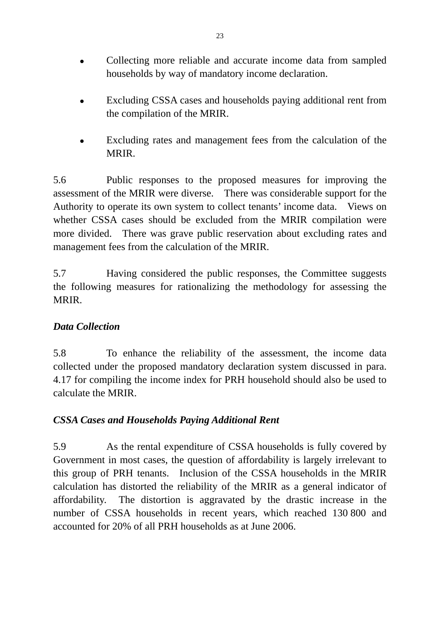- Collecting more reliable and accurate income data from sampled households by way of mandatory income declaration.
- Excluding CSSA cases and households paying additional rent from the compilation of the MRIR.
- Excluding rates and management fees from the calculation of the MRIR.

5.6 Public responses to the proposed measures for improving the assessment of the MRIR were diverse. There was considerable support for the Authority to operate its own system to collect tenants' income data. Views on whether CSSA cases should be excluded from the MRIR compilation were more divided. There was grave public reservation about excluding rates and management fees from the calculation of the MRIR.

5.7 Having considered the public responses, the Committee suggests the following measures for rationalizing the methodology for assessing the MRIR.

## *Data Collection*

5.8 To enhance the reliability of the assessment, the income data collected under the proposed mandatory declaration system discussed in para. 4.17 for compiling the income index for PRH household should also be used to calculate the MRIR.

## *CSSA Cases and Households Paying Additional Rent*

5.9 As the rental expenditure of CSSA households is fully covered by Government in most cases, the question of affordability is largely irrelevant to this group of PRH tenants. Inclusion of the CSSA households in the MRIR calculation has distorted the reliability of the MRIR as a general indicator of affordability. The distortion is aggravated by the drastic increase in the number of CSSA households in recent years, which reached 130 800 and accounted for 20% of all PRH households as at June 2006.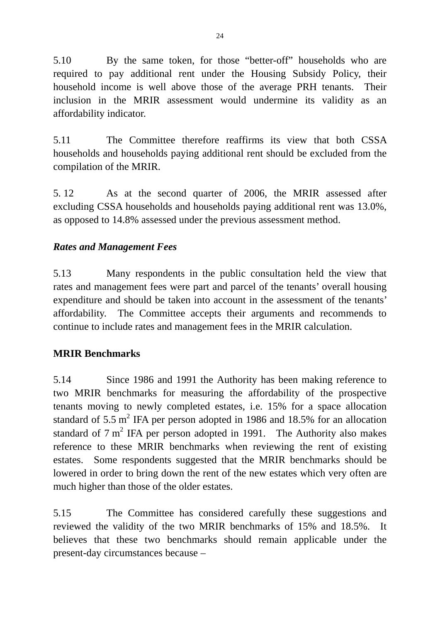5.10 By the same token, for those "better-off" households who are required to pay additional rent under the Housing Subsidy Policy, their household income is well above those of the average PRH tenants. Their inclusion in the MRIR assessment would undermine its validity as an affordability indicator.

5.11 The Committee therefore reaffirms its view that both CSSA households and households paying additional rent should be excluded from the compilation of the MRIR.

5. 12 As at the second quarter of 2006, the MRIR assessed after excluding CSSA households and households paying additional rent was 13.0%, as opposed to 14.8% assessed under the previous assessment method.

## *Rates and Management Fees*

5.13 Many respondents in the public consultation held the view that rates and management fees were part and parcel of the tenants' overall housing expenditure and should be taken into account in the assessment of the tenants' affordability. The Committee accepts their arguments and recommends to continue to include rates and management fees in the MRIR calculation.

#### **MRIR Benchmarks**

5.14 Since 1986 and 1991 the Authority has been making reference to two MRIR benchmarks for measuring the affordability of the prospective tenants moving to newly completed estates, i.e. 15% for a space allocation standard of 5.5 m<sup>2</sup> IFA per person adopted in 1986 and 18.5% for an allocation standard of  $7 \text{ m}^2$  IFA per person adopted in 1991. The Authority also makes reference to these MRIR benchmarks when reviewing the rent of existing estates. Some respondents suggested that the MRIR benchmarks should be lowered in order to bring down the rent of the new estates which very often are much higher than those of the older estates.

5.15 The Committee has considered carefully these suggestions and reviewed the validity of the two MRIR benchmarks of 15% and 18.5%. It believes that these two benchmarks should remain applicable under the present-day circumstances because –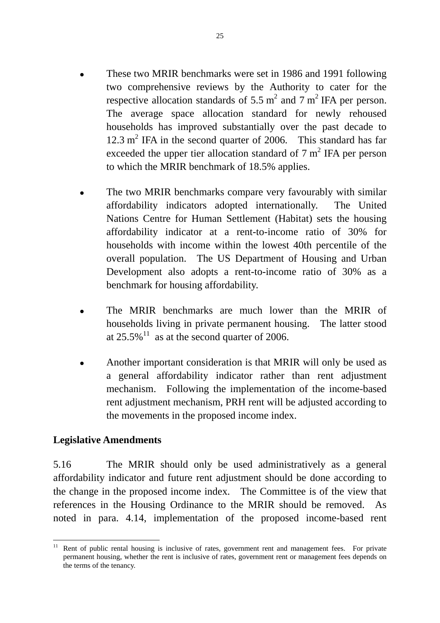- These two MRIR benchmarks were set in 1986 and 1991 following two comprehensive reviews by the Authority to cater for the respective allocation standards of 5.5  $m^2$  and 7  $m^2$  IFA per person. The average space allocation standard for newly rehoused households has improved substantially over the past decade to  $12.3 \text{ m}^2$  IFA in the second quarter of 2006. This standard has far exceeded the upper tier allocation standard of  $7 \text{ m}^2$  IFA per person to which the MRIR benchmark of 18.5% applies.
- The two MRIR benchmarks compare very favourably with similar affordability indicators adopted internationally. The United Nations Centre for Human Settlement (Habitat) sets the housing affordability indicator at a rent-to-income ratio of 30% for households with income within the lowest 40th percentile of the overall population. The US Department of Housing and Urban Development also adopts a rent-to-income ratio of 30% as a benchmark for housing affordability.
- The MRIR benchmarks are much lower than the MRIR of households living in private permanent housing. The latter stood at  $25.5\%$ <sup>11</sup> as at the second quarter of 2006.
- Another important consideration is that MRIR will only be used as a general affordability indicator rather than rent adjustment mechanism. Following the implementation of the income-based rent adjustment mechanism, PRH rent will be adjusted according to the movements in the proposed income index.

#### **Legislative Amendments**

1

5.16 The MRIR should only be used administratively as a general affordability indicator and future rent adjustment should be done according to the change in the proposed income index. The Committee is of the view that references in the Housing Ordinance to the MRIR should be removed. As noted in para. 4.14, implementation of the proposed income-based rent

Rent of public rental housing is inclusive of rates, government rent and management fees. For private permanent housing, whether the rent is inclusive of rates, government rent or management fees depends on the terms of the tenancy.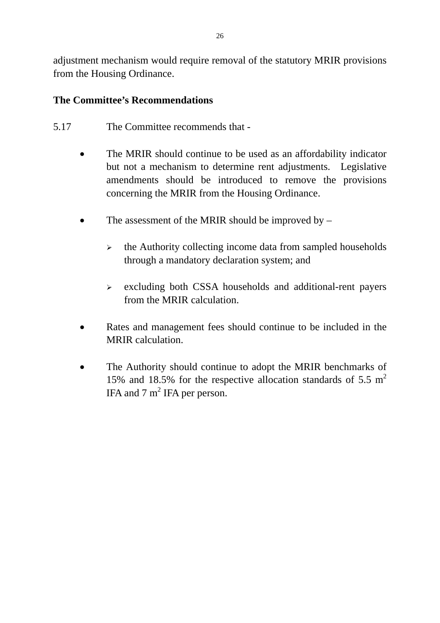adjustment mechanism would require removal of the statutory MRIR provisions from the Housing Ordinance.

## **The Committee's Recommendations**

- 5.17 The Committee recommends that
	- The MRIR should continue to be used as an affordability indicator but not a mechanism to determine rent adjustments. Legislative amendments should be introduced to remove the provisions concerning the MRIR from the Housing Ordinance.
	- The assessment of the MRIR should be improved by  $-$ 
		- $\triangleright$  the Authority collecting income data from sampled households through a mandatory declaration system; and
		- $\triangleright$  excluding both CSSA households and additional-rent payers from the MRIR calculation.
	- Rates and management fees should continue to be included in the MRIR calculation.
	- The Authority should continue to adopt the MRIR benchmarks of 15% and 18.5% for the respective allocation standards of 5.5  $m<sup>2</sup>$ IFA and  $7 \text{ m}^2$  IFA per person.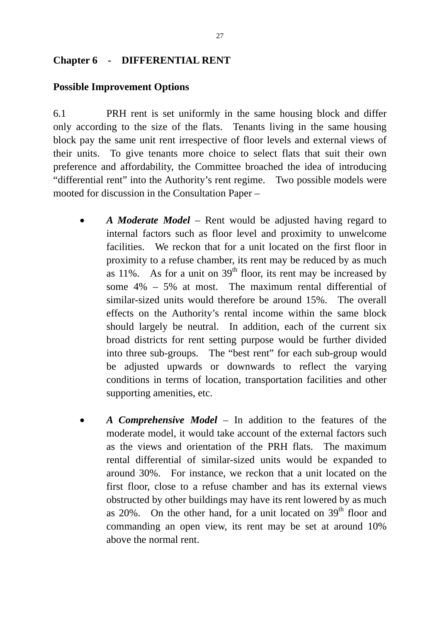#### **Chapter 6 - DIFFERENTIAL RENT**

#### **Possible Improvement Options**

6.1 PRH rent is set uniformly in the same housing block and differ only according to the size of the flats. Tenants living in the same housing block pay the same unit rent irrespective of floor levels and external views of their units. To give tenants more choice to select flats that suit their own preference and affordability, the Committee broached the idea of introducing "differential rent" into the Authority's rent regime. Two possible models were mooted for discussion in the Consultation Paper –

- *A Moderate Model*  Rent would be adjusted having regard to internal factors such as floor level and proximity to unwelcome facilities. We reckon that for a unit located on the first floor in proximity to a refuse chamber, its rent may be reduced by as much as 11%. As for a unit on  $39<sup>th</sup>$  floor, its rent may be increased by some 4% – 5% at most. The maximum rental differential of similar-sized units would therefore be around 15%. The overall effects on the Authority's rental income within the same block should largely be neutral. In addition, each of the current six broad districts for rent setting purpose would be further divided into three sub-groups. The "best rent" for each sub-group would be adjusted upwards or downwards to reflect the varying conditions in terms of location, transportation facilities and other supporting amenities, etc.
- *A Comprehensive Model*  In addition to the features of the moderate model, it would take account of the external factors such as the views and orientation of the PRH flats. The maximum rental differential of similar-sized units would be expanded to around 30%. For instance, we reckon that a unit located on the first floor, close to a refuse chamber and has its external views obstructed by other buildings may have its rent lowered by as much as  $20\%$ . On the other hand, for a unit located on  $39<sup>th</sup>$  floor and commanding an open view, its rent may be set at around 10% above the normal rent.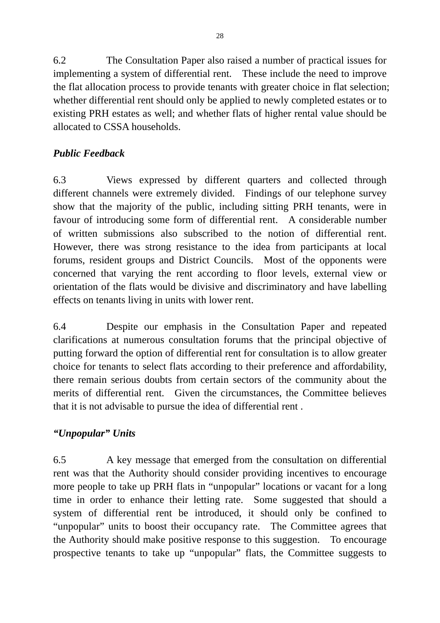6.2 The Consultation Paper also raised a number of practical issues for implementing a system of differential rent. These include the need to improve the flat allocation process to provide tenants with greater choice in flat selection; whether differential rent should only be applied to newly completed estates or to existing PRH estates as well; and whether flats of higher rental value should be allocated to CSSA households.

# *Public Feedback*

6.3 Views expressed by different quarters and collected through different channels were extremely divided. Findings of our telephone survey show that the majority of the public, including sitting PRH tenants, were in favour of introducing some form of differential rent. A considerable number of written submissions also subscribed to the notion of differential rent. However, there was strong resistance to the idea from participants at local forums, resident groups and District Councils. Most of the opponents were concerned that varying the rent according to floor levels, external view or orientation of the flats would be divisive and discriminatory and have labelling effects on tenants living in units with lower rent.

6.4 Despite our emphasis in the Consultation Paper and repeated clarifications at numerous consultation forums that the principal objective of putting forward the option of differential rent for consultation is to allow greater choice for tenants to select flats according to their preference and affordability, there remain serious doubts from certain sectors of the community about the merits of differential rent. Given the circumstances, the Committee believes that it is not advisable to pursue the idea of differential rent .

# *"Unpopular" Units*

6.5 A key message that emerged from the consultation on differential rent was that the Authority should consider providing incentives to encourage more people to take up PRH flats in "unpopular" locations or vacant for a long time in order to enhance their letting rate. Some suggested that should a system of differential rent be introduced, it should only be confined to "unpopular" units to boost their occupancy rate. The Committee agrees that the Authority should make positive response to this suggestion. To encourage prospective tenants to take up "unpopular" flats, the Committee suggests to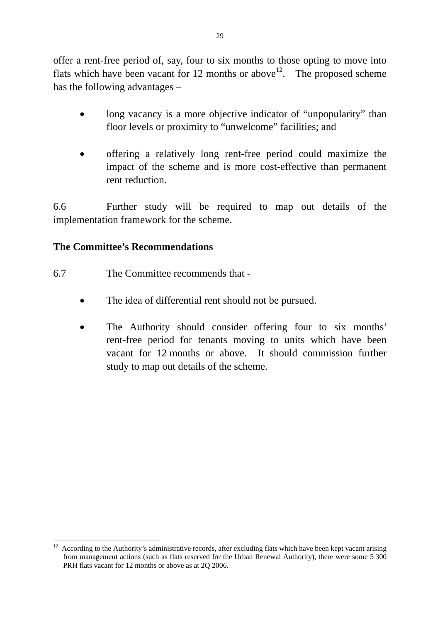offer a rent-free period of, say, four to six months to those opting to move into flats which have been vacant for 12 months or above<sup>12</sup>. The proposed scheme has the following advantages –

- long vacancy is a more objective indicator of "unpopularity" than floor levels or proximity to "unwelcome" facilities; and
- offering a relatively long rent-free period could maximize the impact of the scheme and is more cost-effective than permanent rent reduction.

6.6 Further study will be required to map out details of the implementation framework for the scheme.

# **The Committee's Recommendations**

- 6.7 The Committee recommends that
	- The idea of differential rent should not be pursued.
	- The Authority should consider offering four to six months' rent-free period for tenants moving to units which have been vacant for 12 months or above. It should commission further study to map out details of the scheme.

<sup>1</sup> <sup>12</sup> According to the Authority's administrative records, after excluding flats which have been kept vacant arising from management actions (such as flats reserved for the Urban Renewal Authority), there were some 5 300 PRH flats vacant for 12 months or above as at 2Q 2006.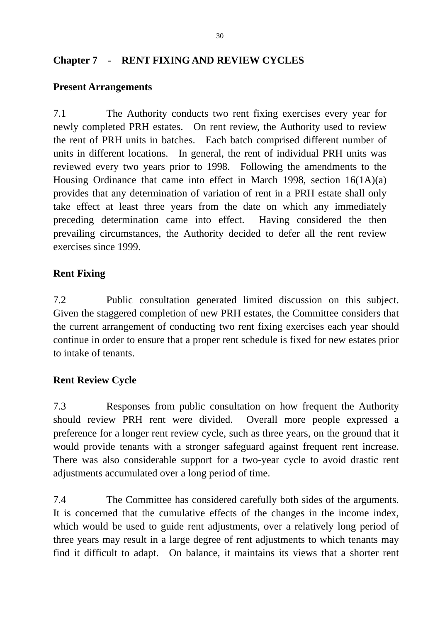# **Chapter 7 - RENT FIXING AND REVIEW CYCLES**

#### **Present Arrangements**

7.1 The Authority conducts two rent fixing exercises every year for newly completed PRH estates. On rent review, the Authority used to review the rent of PRH units in batches. Each batch comprised different number of units in different locations. In general, the rent of individual PRH units was reviewed every two years prior to 1998. Following the amendments to the Housing Ordinance that came into effect in March 1998, section 16(1A)(a) provides that any determination of variation of rent in a PRH estate shall only take effect at least three years from the date on which any immediately preceding determination came into effect. Having considered the then prevailing circumstances, the Authority decided to defer all the rent review exercises since 1999.

#### **Rent Fixing**

7.2 Public consultation generated limited discussion on this subject. Given the staggered completion of new PRH estates, the Committee considers that the current arrangement of conducting two rent fixing exercises each year should continue in order to ensure that a proper rent schedule is fixed for new estates prior to intake of tenants.

#### **Rent Review Cycle**

7.3 Responses from public consultation on how frequent the Authority should review PRH rent were divided. Overall more people expressed a preference for a longer rent review cycle, such as three years, on the ground that it would provide tenants with a stronger safeguard against frequent rent increase. There was also considerable support for a two-year cycle to avoid drastic rent adjustments accumulated over a long period of time.

7.4 The Committee has considered carefully both sides of the arguments. It is concerned that the cumulative effects of the changes in the income index, which would be used to guide rent adjustments, over a relatively long period of three years may result in a large degree of rent adjustments to which tenants may find it difficult to adapt. On balance, it maintains its views that a shorter rent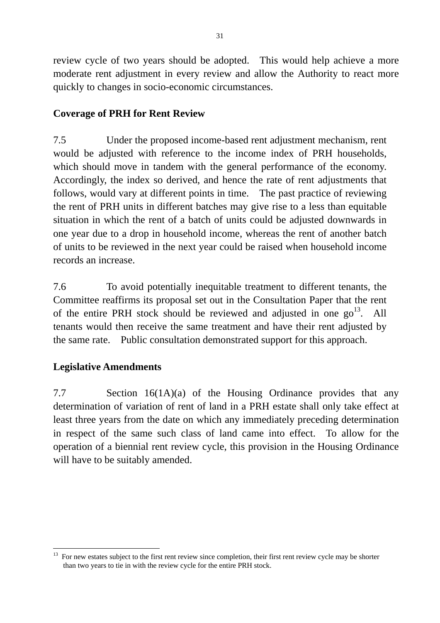review cycle of two years should be adopted. This would help achieve a more moderate rent adjustment in every review and allow the Authority to react more quickly to changes in socio-economic circumstances.

# **Coverage of PRH for Rent Review**

7.5 Under the proposed income-based rent adjustment mechanism, rent would be adjusted with reference to the income index of PRH households, which should move in tandem with the general performance of the economy. Accordingly, the index so derived, and hence the rate of rent adjustments that follows, would vary at different points in time. The past practice of reviewing the rent of PRH units in different batches may give rise to a less than equitable situation in which the rent of a batch of units could be adjusted downwards in one year due to a drop in household income, whereas the rent of another batch of units to be reviewed in the next year could be raised when household income records an increase.

7.6 To avoid potentially inequitable treatment to different tenants, the Committee reaffirms its proposal set out in the Consultation Paper that the rent of the entire PRH stock should be reviewed and adjusted in one  $\text{go}^{13}$ . All tenants would then receive the same treatment and have their rent adjusted by the same rate. Public consultation demonstrated support for this approach.

#### **Legislative Amendments**

7.7 Section 16(1A)(a) of the Housing Ordinance provides that any determination of variation of rent of land in a PRH estate shall only take effect at least three years from the date on which any immediately preceding determination in respect of the same such class of land came into effect. To allow for the operation of a biennial rent review cycle, this provision in the Housing Ordinance will have to be suitably amended.

<sup>&</sup>lt;u>.</u>  $13$  For new estates subject to the first rent review since completion, their first rent review cycle may be shorter than two years to tie in with the review cycle for the entire PRH stock.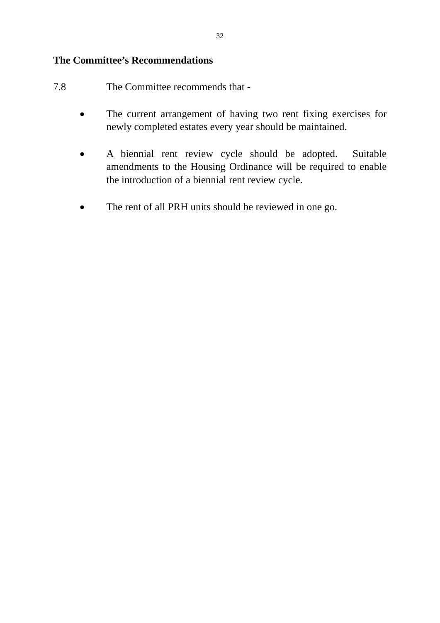#### **The Committee's Recommendations**

- 7.8 The Committee recommends that
	- The current arrangement of having two rent fixing exercises for newly completed estates every year should be maintained.
	- A biennial rent review cycle should be adopted. Suitable amendments to the Housing Ordinance will be required to enable the introduction of a biennial rent review cycle.
	- The rent of all PRH units should be reviewed in one go.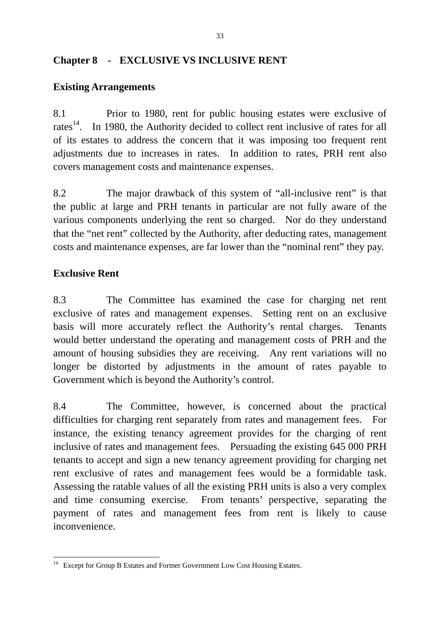# **Chapter 8 - EXCLUSIVE VS INCLUSIVE RENT**

# **Existing Arrangements**

8.1 Prior to 1980, rent for public housing estates were exclusive of rates<sup>14</sup>. In 1980, the Authority decided to collect rent inclusive of rates for all of its estates to address the concern that it was imposing too frequent rent adjustments due to increases in rates. In addition to rates, PRH rent also covers management costs and maintenance expenses.

8.2 The major drawback of this system of "all-inclusive rent" is that the public at large and PRH tenants in particular are not fully aware of the various components underlying the rent so charged. Nor do they understand that the "net rent" collected by the Authority, after deducting rates, management costs and maintenance expenses, are far lower than the "nominal rent" they pay.

# **Exclusive Rent**

8.3 The Committee has examined the case for charging net rent exclusive of rates and management expenses. Setting rent on an exclusive basis will more accurately reflect the Authority's rental charges. Tenants would better understand the operating and management costs of PRH and the amount of housing subsidies they are receiving. Any rent variations will no longer be distorted by adjustments in the amount of rates payable to Government which is beyond the Authority's control.

8.4 The Committee, however, is concerned about the practical difficulties for charging rent separately from rates and management fees. For instance, the existing tenancy agreement provides for the charging of rent inclusive of rates and management fees. Persuading the existing 645 000 PRH tenants to accept and sign a new tenancy agreement providing for charging net rent exclusive of rates and management fees would be a formidable task. Assessing the ratable values of all the existing PRH units is also a very complex and time consuming exercise. From tenants' perspective, separating the payment of rates and management fees from rent is likely to cause inconvenience.

<sup>1</sup> <sup>14</sup> Except for Group B Estates and Former Government Low Cost Housing Estates.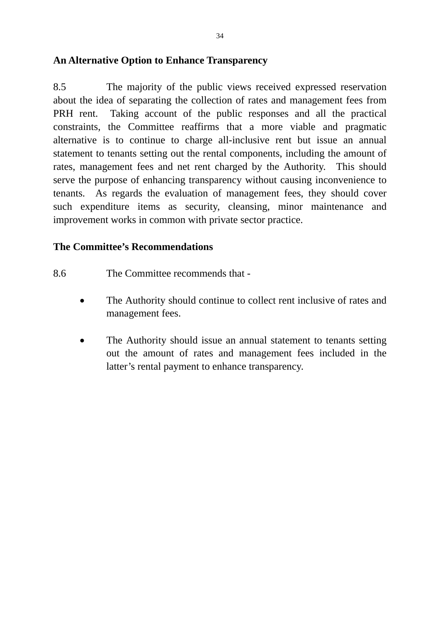## **An Alternative Option to Enhance Transparency**

8.5 The majority of the public views received expressed reservation about the idea of separating the collection of rates and management fees from PRH rent. Taking account of the public responses and all the practical constraints, the Committee reaffirms that a more viable and pragmatic alternative is to continue to charge all-inclusive rent but issue an annual statement to tenants setting out the rental components, including the amount of rates, management fees and net rent charged by the Authority. This should serve the purpose of enhancing transparency without causing inconvenience to tenants. As regards the evaluation of management fees, they should cover such expenditure items as security, cleansing, minor maintenance and improvement works in common with private sector practice.

# **The Committee's Recommendations**

- 8.6 The Committee recommends that
	- The Authority should continue to collect rent inclusive of rates and management fees.
	- The Authority should issue an annual statement to tenants setting out the amount of rates and management fees included in the latter's rental payment to enhance transparency.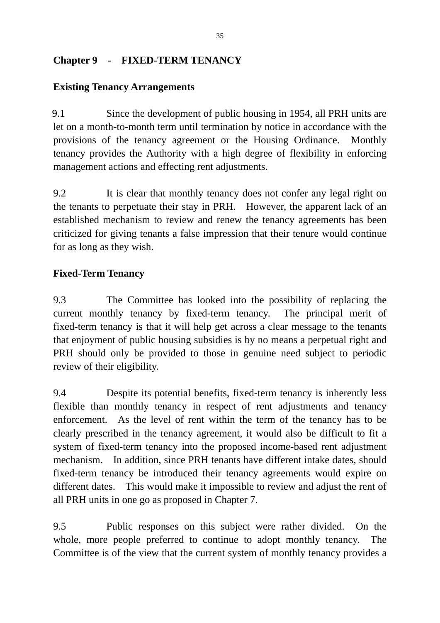# **Chapter 9 - FIXED-TERM TENANCY**

# **Existing Tenancy Arrangements**

9.1 Since the development of public housing in 1954, all PRH units are let on a month-to-month term until termination by notice in accordance with the provisions of the tenancy agreement or the Housing Ordinance. Monthly tenancy provides the Authority with a high degree of flexibility in enforcing management actions and effecting rent adjustments.

9.2 It is clear that monthly tenancy does not confer any legal right on the tenants to perpetuate their stay in PRH. However, the apparent lack of an established mechanism to review and renew the tenancy agreements has been criticized for giving tenants a false impression that their tenure would continue for as long as they wish.

# **Fixed-Term Tenancy**

9.3 The Committee has looked into the possibility of replacing the current monthly tenancy by fixed-term tenancy. The principal merit of fixed-term tenancy is that it will help get across a clear message to the tenants that enjoyment of public housing subsidies is by no means a perpetual right and PRH should only be provided to those in genuine need subject to periodic review of their eligibility.

9.4 Despite its potential benefits, fixed-term tenancy is inherently less flexible than monthly tenancy in respect of rent adjustments and tenancy enforcement. As the level of rent within the term of the tenancy has to be clearly prescribed in the tenancy agreement, it would also be difficult to fit a system of fixed-term tenancy into the proposed income-based rent adjustment mechanism. In addition, since PRH tenants have different intake dates, should fixed-term tenancy be introduced their tenancy agreements would expire on different dates. This would make it impossible to review and adjust the rent of all PRH units in one go as proposed in Chapter 7.

9.5 Public responses on this subject were rather divided. On the whole, more people preferred to continue to adopt monthly tenancy. The Committee is of the view that the current system of monthly tenancy provides a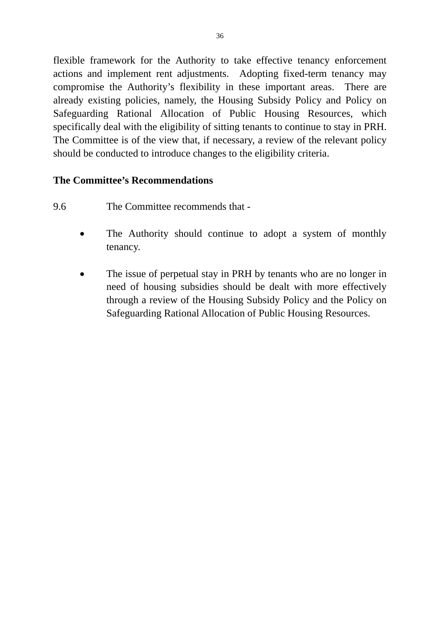flexible framework for the Authority to take effective tenancy enforcement actions and implement rent adjustments. Adopting fixed-term tenancy may compromise the Authority's flexibility in these important areas. There are already existing policies, namely, the Housing Subsidy Policy and Policy on Safeguarding Rational Allocation of Public Housing Resources, which specifically deal with the eligibility of sitting tenants to continue to stay in PRH. The Committee is of the view that, if necessary, a review of the relevant policy should be conducted to introduce changes to the eligibility criteria.

# **The Committee's Recommendations**

- 9.6 The Committee recommends that
	- The Authority should continue to adopt a system of monthly tenancy.
	- The issue of perpetual stay in PRH by tenants who are no longer in need of housing subsidies should be dealt with more effectively through a review of the Housing Subsidy Policy and the Policy on Safeguarding Rational Allocation of Public Housing Resources.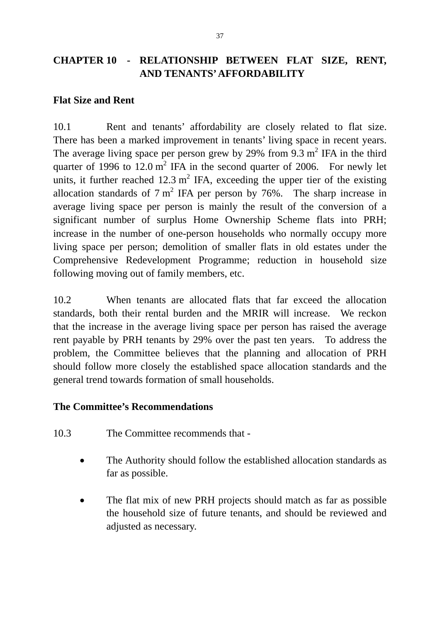# **CHAPTER 10 - RELATIONSHIP BETWEEN FLAT SIZE, RENT, AND TENANTS' AFFORDABILITY**

## **Flat Size and Rent**

10.1 Rent and tenants' affordability are closely related to flat size. There has been a marked improvement in tenants' living space in recent years. The average living space per person grew by 29% from 9.3  $m^2$  IFA in the third quarter of 1996 to  $12.0 \text{ m}^2$  IFA in the second quarter of 2006. For newly let units, it further reached  $12.3 \text{ m}^2$  IFA, exceeding the upper tier of the existing allocation standards of  $7 \text{ m}^2$  IFA per person by 76%. The sharp increase in average living space per person is mainly the result of the conversion of a significant number of surplus Home Ownership Scheme flats into PRH; increase in the number of one-person households who normally occupy more living space per person; demolition of smaller flats in old estates under the Comprehensive Redevelopment Programme; reduction in household size following moving out of family members, etc.

10.2 When tenants are allocated flats that far exceed the allocation standards, both their rental burden and the MRIR will increase. We reckon that the increase in the average living space per person has raised the average rent payable by PRH tenants by 29% over the past ten years. To address the problem, the Committee believes that the planning and allocation of PRH should follow more closely the established space allocation standards and the general trend towards formation of small households.

#### **The Committee's Recommendations**

- 10.3 The Committee recommends that
	- The Authority should follow the established allocation standards as far as possible.
	- The flat mix of new PRH projects should match as far as possible the household size of future tenants, and should be reviewed and adjusted as necessary.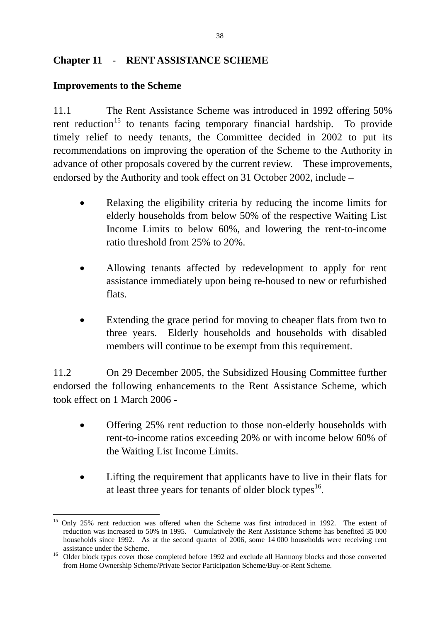# **Chapter 11 - RENT ASSISTANCE SCHEME**

# **Improvements to the Scheme**

11.1 The Rent Assistance Scheme was introduced in 1992 offering 50% rent reduction<sup>15</sup> to tenants facing temporary financial hardship. To provide timely relief to needy tenants, the Committee decided in 2002 to put its recommendations on improving the operation of the Scheme to the Authority in advance of other proposals covered by the current review. These improvements, endorsed by the Authority and took effect on 31 October 2002, include –

- Relaxing the eligibility criteria by reducing the income limits for elderly households from below 50% of the respective Waiting List Income Limits to below 60%, and lowering the rent-to-income ratio threshold from 25% to 20%.
- Allowing tenants affected by redevelopment to apply for rent assistance immediately upon being re-housed to new or refurbished flats.
- Extending the grace period for moving to cheaper flats from two to three years. Elderly households and households with disabled members will continue to be exempt from this requirement.

11.2 On 29 December 2005, the Subsidized Housing Committee further endorsed the following enhancements to the Rent Assistance Scheme, which took effect on 1 March 2006 -

- Offering 25% rent reduction to those non-elderly households with rent-to-income ratios exceeding 20% or with income below 60% of the Waiting List Income Limits.
- Lifting the requirement that applicants have to live in their flats for at least three years for tenants of older block types<sup>16</sup>.

<sup>1</sup> <sup>15</sup> Only 25% rent reduction was offered when the Scheme was first introduced in 1992. The extent of reduction was increased to 50% in 1995. Cumulatively the Rent Assistance Scheme has benefited 35 000 households since 1992. As at the second quarter of 2006, some 14 000 households were receiving rent

assistance under the Scheme.<br><sup>16</sup> Older block types cover those completed before 1992 and exclude all Harmony blocks and those converted from Home Ownership Scheme/Private Sector Participation Scheme/Buy-or-Rent Scheme.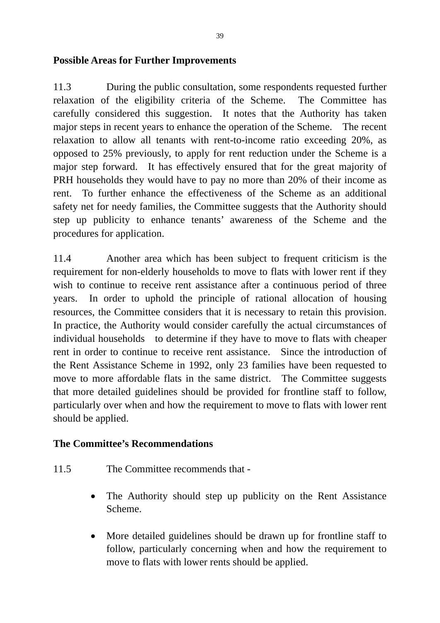## **Possible Areas for Further Improvements**

11.3 During the public consultation, some respondents requested further relaxation of the eligibility criteria of the Scheme. The Committee has carefully considered this suggestion. It notes that the Authority has taken major steps in recent years to enhance the operation of the Scheme. The recent relaxation to allow all tenants with rent-to-income ratio exceeding 20%, as opposed to 25% previously, to apply for rent reduction under the Scheme is a major step forward. It has effectively ensured that for the great majority of PRH households they would have to pay no more than 20% of their income as rent. To further enhance the effectiveness of the Scheme as an additional safety net for needy families, the Committee suggests that the Authority should step up publicity to enhance tenants' awareness of the Scheme and the procedures for application.

11.4 Another area which has been subject to frequent criticism is the requirement for non-elderly households to move to flats with lower rent if they wish to continue to receive rent assistance after a continuous period of three years. In order to uphold the principle of rational allocation of housing resources, the Committee considers that it is necessary to retain this provision. In practice, the Authority would consider carefully the actual circumstances of individual households to determine if they have to move to flats with cheaper rent in order to continue to receive rent assistance. Since the introduction of the Rent Assistance Scheme in 1992, only 23 families have been requested to move to more affordable flats in the same district. The Committee suggests that more detailed guidelines should be provided for frontline staff to follow, particularly over when and how the requirement to move to flats with lower rent should be applied.

#### **The Committee's Recommendations**

- 11.5 The Committee recommends that
	- The Authority should step up publicity on the Rent Assistance Scheme.
	- More detailed guidelines should be drawn up for frontline staff to follow, particularly concerning when and how the requirement to move to flats with lower rents should be applied.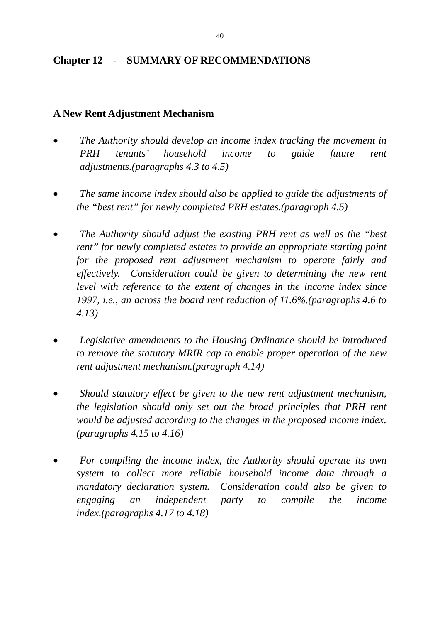## **Chapter 12 - SUMMARY OF RECOMMENDATIONS**

## **A New Rent Adjustment Mechanism**

- *The Authority should develop an income index tracking the movement in PRH tenants' household income to guide future rent adjustments.(paragraphs 4.3 to 4.5)*
- *The same income index should also be applied to guide the adjustments of the "best rent" for newly completed PRH estates.(paragraph 4.5)*
- *The Authority should adjust the existing PRH rent as well as the "best rent" for newly completed estates to provide an appropriate starting point for the proposed rent adjustment mechanism to operate fairly and effectively. Consideration could be given to determining the new rent level with reference to the extent of changes in the income index since 1997, i.e., an across the board rent reduction of 11.6%.(paragraphs 4.6 to 4.13)*
- *Legislative amendments to the Housing Ordinance should be introduced to remove the statutory MRIR cap to enable proper operation of the new rent adjustment mechanism.(paragraph 4.14)*
- *Should statutory effect be given to the new rent adjustment mechanism, the legislation should only set out the broad principles that PRH rent would be adjusted according to the changes in the proposed income index. (paragraphs 4.15 to 4.16)*
- *For compiling the income index, the Authority should operate its own system to collect more reliable household income data through a mandatory declaration system. Consideration could also be given to engaging an independent party to compile the income index.(paragraphs 4.17 to 4.18)*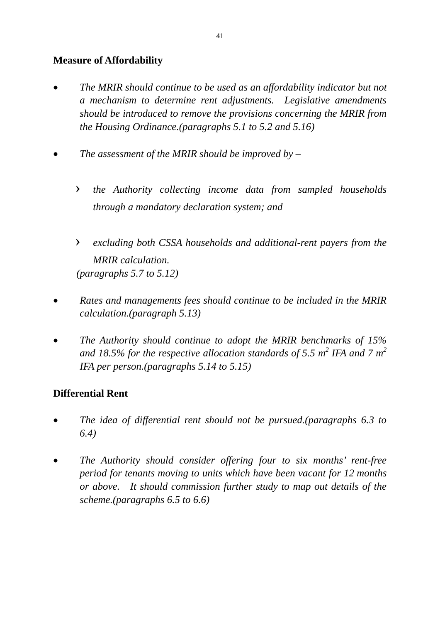# **Measure of Affordability**

- *The MRIR should continue to be used as an affordability indicator but not a mechanism to determine rent adjustments. Legislative amendments should be introduced to remove the provisions concerning the MRIR from the Housing Ordinance.(paragraphs 5.1 to 5.2 and 5.16)*
- *The assessment of the MRIR should be improved by* 
	- › *the Authority collecting income data from sampled households through a mandatory declaration system; and*
	- › *excluding both CSSA households and additional-rent payers from the MRIR calculation. (paragraphs 5.7 to 5.12)*
- *Rates and managements fees should continue to be included in the MRIR calculation.(paragraph 5.13)*
- *The Authority should continue to adopt the MRIR benchmarks of 15%*  and 18.5% for the respective allocation standards of 5.5  $m^2$  IFA and 7  $m^2$ *IFA per person.(paragraphs 5.14 to 5.15)*

# **Differential Rent**

- *The idea of differential rent should not be pursued.(paragraphs 6.3 to 6.4)*
- *The Authority should consider offering four to six months' rent-free period for tenants moving to units which have been vacant for 12 months or above. It should commission further study to map out details of the scheme.(paragraphs 6.5 to 6.6)*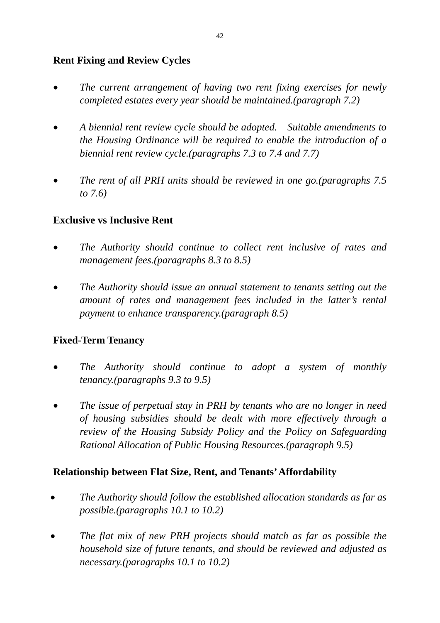# **Rent Fixing and Review Cycles**

- *The current arrangement of having two rent fixing exercises for newly completed estates every year should be maintained.(paragraph 7.2)*
- *A biennial rent review cycle should be adopted. Suitable amendments to the Housing Ordinance will be required to enable the introduction of a biennial rent review cycle.(paragraphs 7.3 to 7.4 and 7.7)*
- *The rent of all PRH units should be reviewed in one go.(paragraphs 7.5 to 7.6)*

# **Exclusive vs Inclusive Rent**

- *The Authority should continue to collect rent inclusive of rates and management fees.(paragraphs 8.3 to 8.5)*
- *The Authority should issue an annual statement to tenants setting out the amount of rates and management fees included in the latter's rental payment to enhance transparency.(paragraph 8.5)*

#### **Fixed-Term Tenancy**

- *The Authority should continue to adopt a system of monthly tenancy.(paragraphs 9.3 to 9.5)*
- *The issue of perpetual stay in PRH by tenants who are no longer in need of housing subsidies should be dealt with more effectively through a review of the Housing Subsidy Policy and the Policy on Safeguarding Rational Allocation of Public Housing Resources.(paragraph 9.5)*

#### **Relationship between Flat Size, Rent, and Tenants' Affordability**

- *The Authority should follow the established allocation standards as far as possible.(paragraphs 10.1 to 10.2)*
- *The flat mix of new PRH projects should match as far as possible the household size of future tenants, and should be reviewed and adjusted as necessary.(paragraphs 10.1 to 10.2)*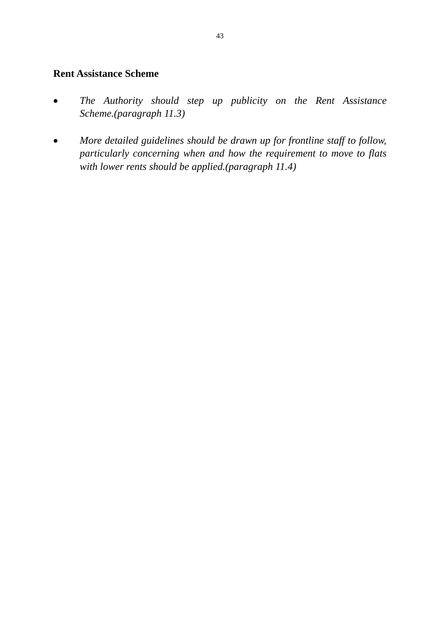## **Rent Assistance Scheme**

- *The Authority should step up publicity on the Rent Assistance Scheme.(paragraph 11.3)*
- *More detailed guidelines should be drawn up for frontline staff to follow, particularly concerning when and how the requirement to move to flats with lower rents should be applied.(paragraph 11.4)*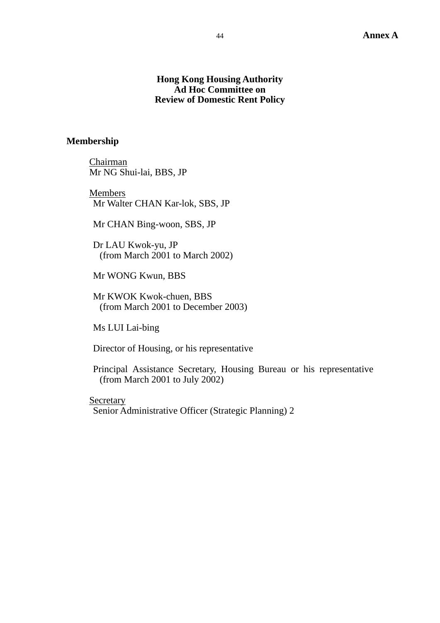#### **Hong Kong Housing Authority Ad Hoc Committee on Review of Domestic Rent Policy**

#### **Membership**

Chairman Mr NG Shui-lai, BBS, JP

Members Mr Walter CHAN Kar-lok, SBS, JP

Mr CHAN Bing-woon, SBS, JP

Dr LAU Kwok-yu, JP (from March 2001 to March 2002)

Mr WONG Kwun, BBS

Mr KWOK Kwok-chuen, BBS (from March 2001 to December 2003)

Ms LUI Lai-bing

Director of Housing, or his representative

Principal Assistance Secretary, Housing Bureau or his representative (from March 2001 to July 2002)

Secretary Senior Administrative Officer (Strategic Planning) 2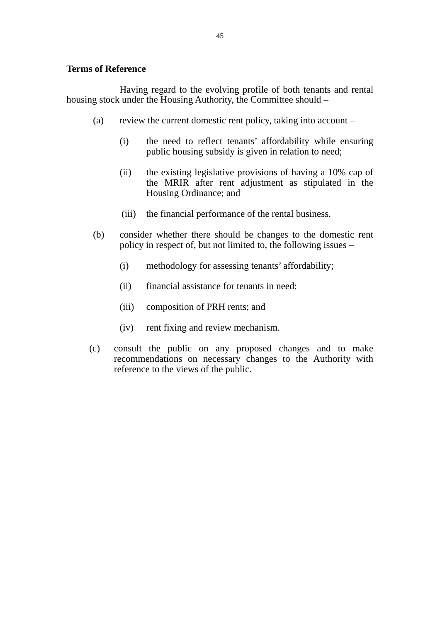#### **Terms of Reference**

 Having regard to the evolving profile of both tenants and rental housing stock under the Housing Authority, the Committee should –

- (a) review the current domestic rent policy, taking into account
	- (i) the need to reflect tenants' affordability while ensuring public housing subsidy is given in relation to need;
	- (ii) the existing legislative provisions of having a 10% cap of the MRIR after rent adjustment as stipulated in the Housing Ordinance; and
	- (iii) the financial performance of the rental business.
- (b) consider whether there should be changes to the domestic rent policy in respect of, but not limited to, the following issues –
	- (i) methodology for assessing tenants' affordability;
	- (ii) financial assistance for tenants in need;
	- (iii) composition of PRH rents; and
	- (iv) rent fixing and review mechanism.
- (c) consult the public on any proposed changes and to make recommendations on necessary changes to the Authority with reference to the views of the public.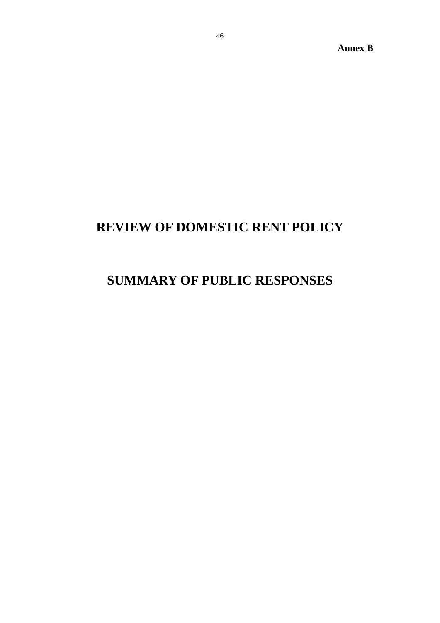**Annex B** 

# **REVIEW OF DOMESTIC RENT POLICY**

# **SUMMARY OF PUBLIC RESPONSES**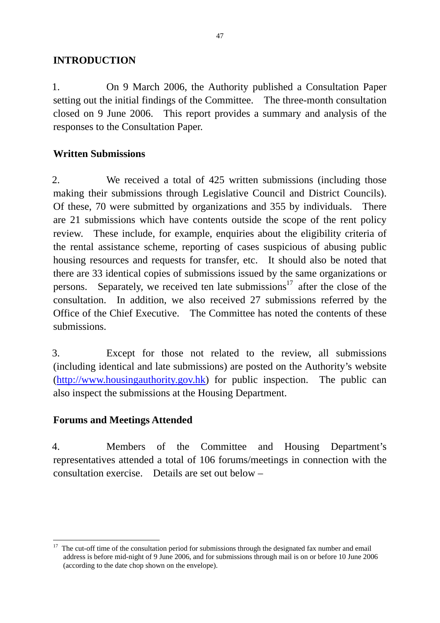#### **INTRODUCTION**

1. On 9 March 2006, the Authority published a Consultation Paper setting out the initial findings of the Committee. The three-month consultation closed on 9 June 2006. This report provides a summary and analysis of the responses to the Consultation Paper.

#### **Written Submissions**

2. We received a total of 425 written submissions (including those making their submissions through Legislative Council and District Councils). Of these, 70 were submitted by organizations and 355 by individuals. There are 21 submissions which have contents outside the scope of the rent policy review. These include, for example, enquiries about the eligibility criteria of the rental assistance scheme, reporting of cases suspicious of abusing public housing resources and requests for transfer, etc. It should also be noted that there are 33 identical copies of submissions issued by the same organizations or persons. Separately, we received ten late submissions<sup>17</sup> after the close of the consultation. In addition, we also received 27 submissions referred by the Office of the Chief Executive. The Committee has noted the contents of these submissions.

3. Except for those not related to the review, all submissions (including identical and late submissions) are posted on the Authority's website (http://www.housingauthority.gov.hk) for public inspection. The public can also inspect the submissions at the Housing Department.

#### **Forums and Meetings Attended**

1

4. Members of the Committee and Housing Department's representatives attended a total of 106 forums/meetings in connection with the consultation exercise. Details are set out below –

 $17$  The cut-off time of the consultation period for submissions through the designated fax number and email address is before mid-night of 9 June 2006, and for submissions through mail is on or before 10 June 2006 (according to the date chop shown on the envelope).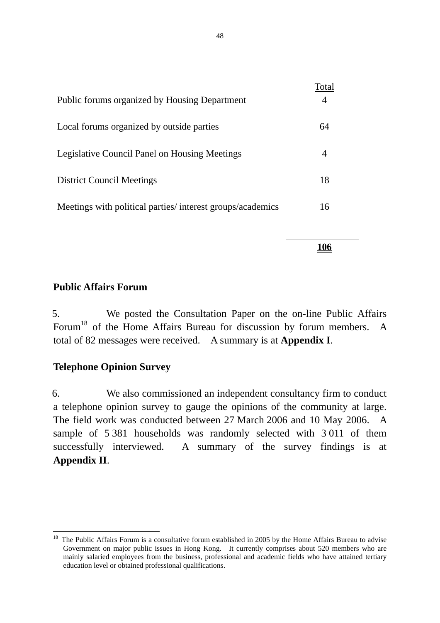| Public forums organized by Housing Department             | Total |
|-----------------------------------------------------------|-------|
| Local forums organized by outside parties                 | 64    |
|                                                           |       |
| <b>Legislative Council Panel on Housing Meetings</b>      |       |
| <b>District Council Meetings</b>                          | 18    |
| Meetings with political parties/interest groups/academics | 16    |

 **106**

#### **Public Affairs Forum**

5. We posted the Consultation Paper on the on-line Public Affairs Forum<sup>18</sup> of the Home Affairs Bureau for discussion by forum members. A total of 82 messages were received. A summary is at **Appendix I**.

#### **Telephone Opinion Survey**

1

6. We also commissioned an independent consultancy firm to conduct a telephone opinion survey to gauge the opinions of the community at large. The field work was conducted between 27 March 2006 and 10 May 2006. A sample of 5 381 households was randomly selected with 3 011 of them successfully interviewed. A summary of the survey findings is at **Appendix II**.

 $18$  The Public Affairs Forum is a consultative forum established in 2005 by the Home Affairs Bureau to advise Government on major public issues in Hong Kong. It currently comprises about 520 members who are mainly salaried employees from the business, professional and academic fields who have attained tertiary education level or obtained professional qualifications.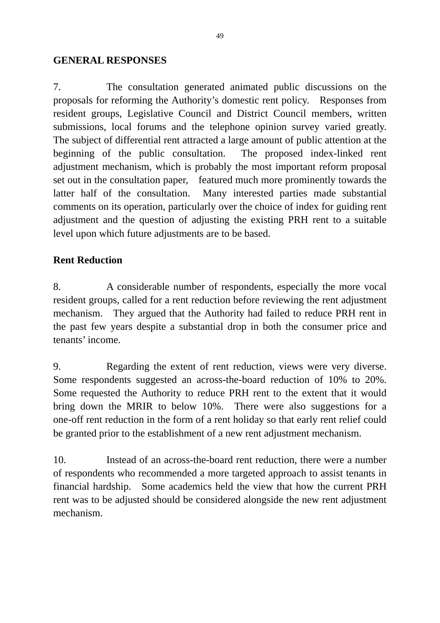#### **GENERAL RESPONSES**

7. The consultation generated animated public discussions on the proposals for reforming the Authority's domestic rent policy. Responses from resident groups, Legislative Council and District Council members, written submissions, local forums and the telephone opinion survey varied greatly. The subject of differential rent attracted a large amount of public attention at the beginning of the public consultation. The proposed index-linked rent adjustment mechanism, which is probably the most important reform proposal set out in the consultation paper, featured much more prominently towards the latter half of the consultation. Many interested parties made substantial comments on its operation, particularly over the choice of index for guiding rent adjustment and the question of adjusting the existing PRH rent to a suitable level upon which future adjustments are to be based.

# **Rent Reduction**

8. A considerable number of respondents, especially the more vocal resident groups, called for a rent reduction before reviewing the rent adjustment mechanism. They argued that the Authority had failed to reduce PRH rent in the past few years despite a substantial drop in both the consumer price and tenants' income.

9. Regarding the extent of rent reduction, views were very diverse. Some respondents suggested an across-the-board reduction of 10% to 20%. Some requested the Authority to reduce PRH rent to the extent that it would bring down the MRIR to below 10%. There were also suggestions for a one-off rent reduction in the form of a rent holiday so that early rent relief could be granted prior to the establishment of a new rent adjustment mechanism.

10. Instead of an across-the-board rent reduction, there were a number of respondents who recommended a more targeted approach to assist tenants in financial hardship. Some academics held the view that how the current PRH rent was to be adjusted should be considered alongside the new rent adjustment mechanism.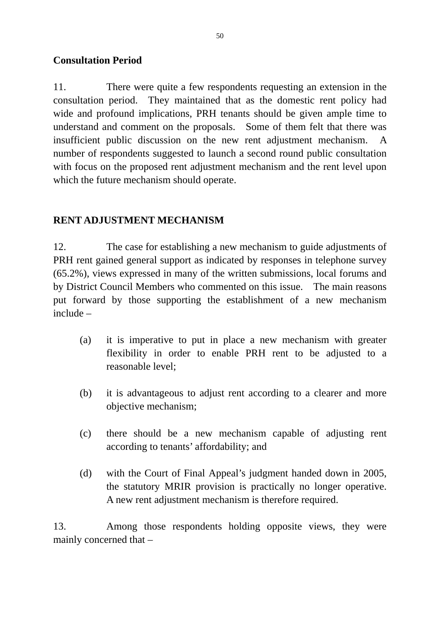# **Consultation Period**

11. There were quite a few respondents requesting an extension in the consultation period. They maintained that as the domestic rent policy had wide and profound implications, PRH tenants should be given ample time to understand and comment on the proposals. Some of them felt that there was insufficient public discussion on the new rent adjustment mechanism. A number of respondents suggested to launch a second round public consultation with focus on the proposed rent adjustment mechanism and the rent level upon which the future mechanism should operate.

# **RENT ADJUSTMENT MECHANISM**

12. The case for establishing a new mechanism to guide adjustments of PRH rent gained general support as indicated by responses in telephone survey (65.2%), views expressed in many of the written submissions, local forums and by District Council Members who commented on this issue. The main reasons put forward by those supporting the establishment of a new mechanism include –

- (a) it is imperative to put in place a new mechanism with greater flexibility in order to enable PRH rent to be adjusted to a reasonable level;
- (b) it is advantageous to adjust rent according to a clearer and more objective mechanism;
- (c) there should be a new mechanism capable of adjusting rent according to tenants' affordability; and
- (d) with the Court of Final Appeal's judgment handed down in 2005, the statutory MRIR provision is practically no longer operative. A new rent adjustment mechanism is therefore required.

13. Among those respondents holding opposite views, they were mainly concerned that –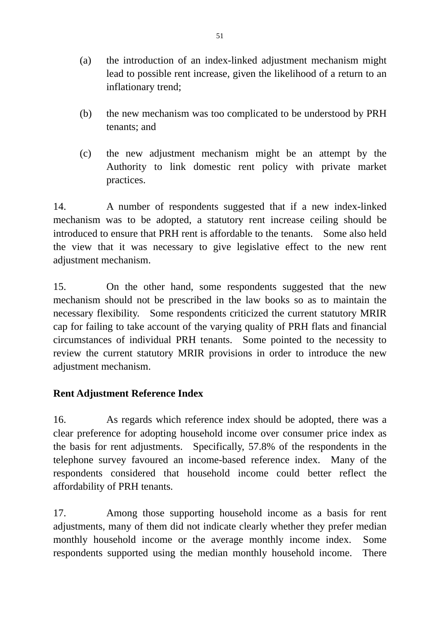- (a) the introduction of an index-linked adjustment mechanism might lead to possible rent increase, given the likelihood of a return to an inflationary trend;
- (b) the new mechanism was too complicated to be understood by PRH tenants; and
- (c) the new adjustment mechanism might be an attempt by the Authority to link domestic rent policy with private market practices.

14. A number of respondents suggested that if a new index-linked mechanism was to be adopted, a statutory rent increase ceiling should be introduced to ensure that PRH rent is affordable to the tenants. Some also held the view that it was necessary to give legislative effect to the new rent adjustment mechanism.

15. On the other hand, some respondents suggested that the new mechanism should not be prescribed in the law books so as to maintain the necessary flexibility. Some respondents criticized the current statutory MRIR cap for failing to take account of the varying quality of PRH flats and financial circumstances of individual PRH tenants. Some pointed to the necessity to review the current statutory MRIR provisions in order to introduce the new adjustment mechanism.

# **Rent Adjustment Reference Index**

16. As regards which reference index should be adopted, there was a clear preference for adopting household income over consumer price index as the basis for rent adjustments. Specifically, 57.8% of the respondents in the telephone survey favoured an income-based reference index. Many of the respondents considered that household income could better reflect the affordability of PRH tenants.

17. Among those supporting household income as a basis for rent adjustments, many of them did not indicate clearly whether they prefer median monthly household income or the average monthly income index. Some respondents supported using the median monthly household income. There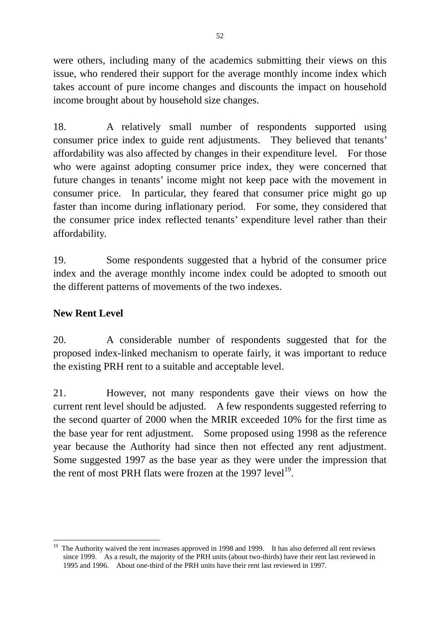were others, including many of the academics submitting their views on this issue, who rendered their support for the average monthly income index which takes account of pure income changes and discounts the impact on household income brought about by household size changes.

18. A relatively small number of respondents supported using consumer price index to guide rent adjustments. They believed that tenants' affordability was also affected by changes in their expenditure level. For those who were against adopting consumer price index, they were concerned that future changes in tenants' income might not keep pace with the movement in consumer price. In particular, they feared that consumer price might go up faster than income during inflationary period. For some, they considered that the consumer price index reflected tenants' expenditure level rather than their affordability.

19. Some respondents suggested that a hybrid of the consumer price index and the average monthly income index could be adopted to smooth out the different patterns of movements of the two indexes.

# **New Rent Level**

1

20. A considerable number of respondents suggested that for the proposed index-linked mechanism to operate fairly, it was important to reduce the existing PRH rent to a suitable and acceptable level.

21. However, not many respondents gave their views on how the current rent level should be adjusted. A few respondents suggested referring to the second quarter of 2000 when the MRIR exceeded 10% for the first time as the base year for rent adjustment. Some proposed using 1998 as the reference year because the Authority had since then not effected any rent adjustment. Some suggested 1997 as the base year as they were under the impression that the rent of most PRH flats were frozen at the 1997 level<sup>19</sup>.

<sup>&</sup>lt;sup>19</sup> The Authority waived the rent increases approved in 1998 and 1999. It has also deferred all rent reviews since 1999. As a result, the majority of the PRH units (about two-thirds) have their rent last reviewed in 1995 and 1996. About one-third of the PRH units have their rent last reviewed in 1997.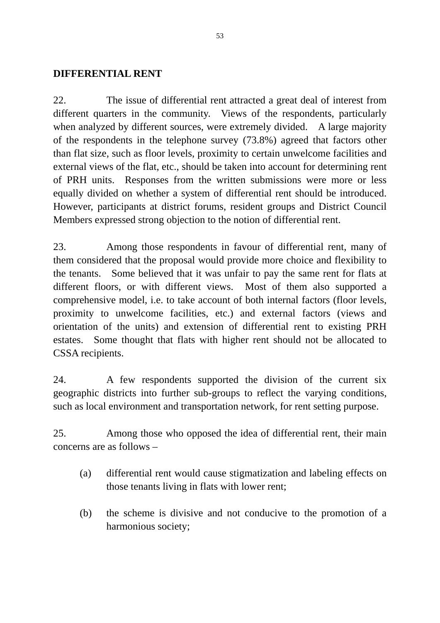#### **DIFFERENTIAL RENT**

22. The issue of differential rent attracted a great deal of interest from different quarters in the community. Views of the respondents, particularly when analyzed by different sources, were extremely divided. A large majority of the respondents in the telephone survey (73.8%) agreed that factors other than flat size, such as floor levels, proximity to certain unwelcome facilities and external views of the flat, etc., should be taken into account for determining rent of PRH units. Responses from the written submissions were more or less equally divided on whether a system of differential rent should be introduced. However, participants at district forums, resident groups and District Council Members expressed strong objection to the notion of differential rent.

23. Among those respondents in favour of differential rent, many of them considered that the proposal would provide more choice and flexibility to the tenants. Some believed that it was unfair to pay the same rent for flats at different floors, or with different views. Most of them also supported a comprehensive model, i.e. to take account of both internal factors (floor levels, proximity to unwelcome facilities, etc.) and external factors (views and orientation of the units) and extension of differential rent to existing PRH estates. Some thought that flats with higher rent should not be allocated to CSSA recipients.

24. A few respondents supported the division of the current six geographic districts into further sub-groups to reflect the varying conditions, such as local environment and transportation network, for rent setting purpose.

25. Among those who opposed the idea of differential rent, their main concerns are as follows –

- (a) differential rent would cause stigmatization and labeling effects on those tenants living in flats with lower rent;
- (b) the scheme is divisive and not conducive to the promotion of a harmonious society;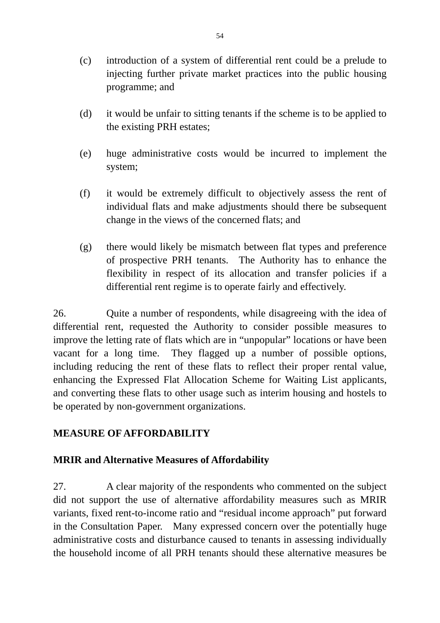- (c) introduction of a system of differential rent could be a prelude to injecting further private market practices into the public housing programme; and
- (d) it would be unfair to sitting tenants if the scheme is to be applied to the existing PRH estates;
- (e) huge administrative costs would be incurred to implement the system;
- (f) it would be extremely difficult to objectively assess the rent of individual flats and make adjustments should there be subsequent change in the views of the concerned flats; and
- (g) there would likely be mismatch between flat types and preference of prospective PRH tenants. The Authority has to enhance the flexibility in respect of its allocation and transfer policies if a differential rent regime is to operate fairly and effectively.

26. Quite a number of respondents, while disagreeing with the idea of differential rent, requested the Authority to consider possible measures to improve the letting rate of flats which are in "unpopular" locations or have been vacant for a long time. They flagged up a number of possible options, including reducing the rent of these flats to reflect their proper rental value, enhancing the Expressed Flat Allocation Scheme for Waiting List applicants, and converting these flats to other usage such as interim housing and hostels to be operated by non-government organizations.

#### **MEASURE OF AFFORDABILITY**

#### **MRIR and Alternative Measures of Affordability**

27. A clear majority of the respondents who commented on the subject did not support the use of alternative affordability measures such as MRIR variants, fixed rent-to-income ratio and "residual income approach" put forward in the Consultation Paper. Many expressed concern over the potentially huge administrative costs and disturbance caused to tenants in assessing individually the household income of all PRH tenants should these alternative measures be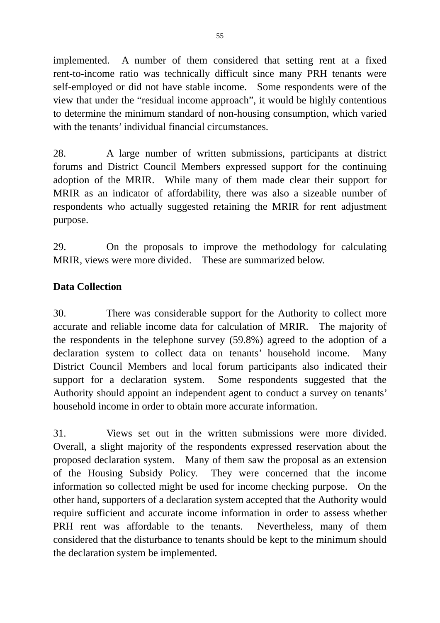implemented. A number of them considered that setting rent at a fixed rent-to-income ratio was technically difficult since many PRH tenants were self-employed or did not have stable income. Some respondents were of the view that under the "residual income approach", it would be highly contentious to determine the minimum standard of non-housing consumption, which varied with the tenants' individual financial circumstances.

28. A large number of written submissions, participants at district forums and District Council Members expressed support for the continuing adoption of the MRIR. While many of them made clear their support for MRIR as an indicator of affordability, there was also a sizeable number of respondents who actually suggested retaining the MRIR for rent adjustment purpose.

29. On the proposals to improve the methodology for calculating MRIR, views were more divided. These are summarized below.

# **Data Collection**

30. There was considerable support for the Authority to collect more accurate and reliable income data for calculation of MRIR. The majority of the respondents in the telephone survey (59.8%) agreed to the adoption of a declaration system to collect data on tenants' household income. Many District Council Members and local forum participants also indicated their support for a declaration system. Some respondents suggested that the Authority should appoint an independent agent to conduct a survey on tenants' household income in order to obtain more accurate information.

31. Views set out in the written submissions were more divided. Overall, a slight majority of the respondents expressed reservation about the proposed declaration system. Many of them saw the proposal as an extension of the Housing Subsidy Policy. They were concerned that the income information so collected might be used for income checking purpose. On the other hand, supporters of a declaration system accepted that the Authority would require sufficient and accurate income information in order to assess whether PRH rent was affordable to the tenants. Nevertheless, many of them considered that the disturbance to tenants should be kept to the minimum should the declaration system be implemented.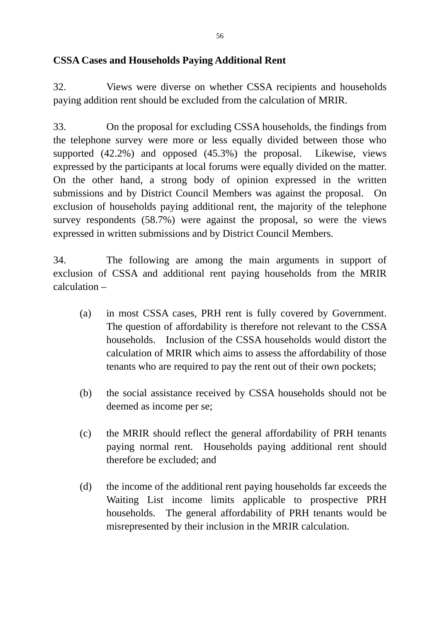# **CSSA Cases and Households Paying Additional Rent**

32. Views were diverse on whether CSSA recipients and households paying addition rent should be excluded from the calculation of MRIR.

33. On the proposal for excluding CSSA households, the findings from the telephone survey were more or less equally divided between those who supported (42.2%) and opposed (45.3%) the proposal. Likewise, views expressed by the participants at local forums were equally divided on the matter. On the other hand, a strong body of opinion expressed in the written submissions and by District Council Members was against the proposal. On exclusion of households paying additional rent, the majority of the telephone survey respondents (58.7%) were against the proposal, so were the views expressed in written submissions and by District Council Members.

34. The following are among the main arguments in support of exclusion of CSSA and additional rent paying households from the MRIR calculation –

- (a) in most CSSA cases, PRH rent is fully covered by Government. The question of affordability is therefore not relevant to the CSSA households. Inclusion of the CSSA households would distort the calculation of MRIR which aims to assess the affordability of those tenants who are required to pay the rent out of their own pockets;
- (b) the social assistance received by CSSA households should not be deemed as income per se;
- (c) the MRIR should reflect the general affordability of PRH tenants paying normal rent. Households paying additional rent should therefore be excluded; and
- (d) the income of the additional rent paying households far exceeds the Waiting List income limits applicable to prospective PRH households. The general affordability of PRH tenants would be misrepresented by their inclusion in the MRIR calculation.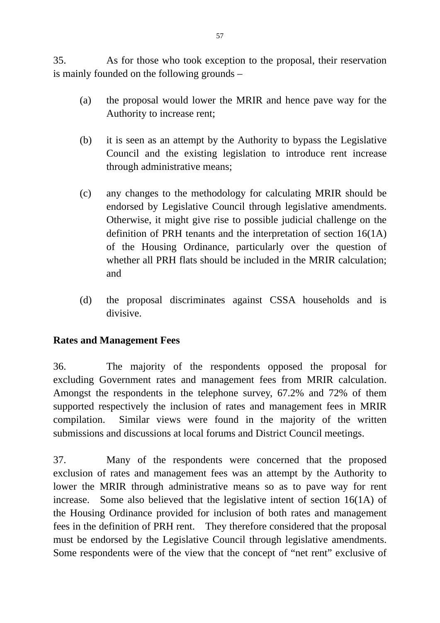35. As for those who took exception to the proposal, their reservation is mainly founded on the following grounds –

- (a) the proposal would lower the MRIR and hence pave way for the Authority to increase rent;
- (b) it is seen as an attempt by the Authority to bypass the Legislative Council and the existing legislation to introduce rent increase through administrative means;
- (c) any changes to the methodology for calculating MRIR should be endorsed by Legislative Council through legislative amendments. Otherwise, it might give rise to possible judicial challenge on the definition of PRH tenants and the interpretation of section 16(1A) of the Housing Ordinance, particularly over the question of whether all PRH flats should be included in the MRIR calculation; and
- (d) the proposal discriminates against CSSA households and is divisive.

#### **Rates and Management Fees**

36. The majority of the respondents opposed the proposal for excluding Government rates and management fees from MRIR calculation. Amongst the respondents in the telephone survey, 67.2% and 72% of them supported respectively the inclusion of rates and management fees in MRIR compilation. Similar views were found in the majority of the written submissions and discussions at local forums and District Council meetings.

37. Many of the respondents were concerned that the proposed exclusion of rates and management fees was an attempt by the Authority to lower the MRIR through administrative means so as to pave way for rent increase. Some also believed that the legislative intent of section 16(1A) of the Housing Ordinance provided for inclusion of both rates and management fees in the definition of PRH rent. They therefore considered that the proposal must be endorsed by the Legislative Council through legislative amendments. Some respondents were of the view that the concept of "net rent" exclusive of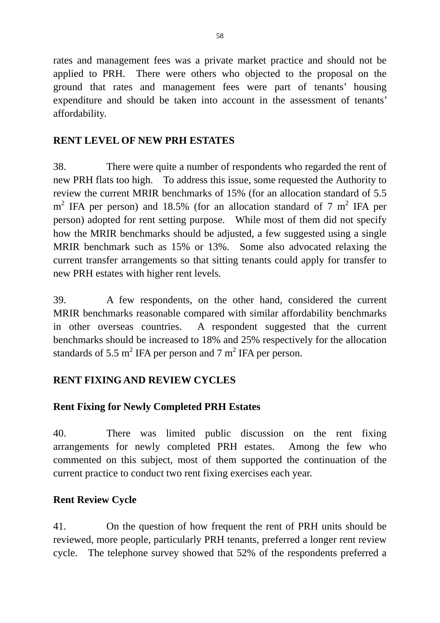rates and management fees was a private market practice and should not be applied to PRH. There were others who objected to the proposal on the ground that rates and management fees were part of tenants' housing expenditure and should be taken into account in the assessment of tenants' affordability.

## **RENT LEVEL OF NEW PRH ESTATES**

38. There were quite a number of respondents who regarded the rent of new PRH flats too high. To address this issue, some requested the Authority to review the current MRIR benchmarks of 15% (for an allocation standard of 5.5  $m<sup>2</sup>$  IFA per person) and 18.5% (for an allocation standard of 7  $m<sup>2</sup>$  IFA per person) adopted for rent setting purpose. While most of them did not specify how the MRIR benchmarks should be adjusted, a few suggested using a single MRIR benchmark such as 15% or 13%. Some also advocated relaxing the current transfer arrangements so that sitting tenants could apply for transfer to new PRH estates with higher rent levels.

39. A few respondents, on the other hand, considered the current MRIR benchmarks reasonable compared with similar affordability benchmarks in other overseas countries. A respondent suggested that the current benchmarks should be increased to 18% and 25% respectively for the allocation standards of 5.5  $m^2$  IFA per person and 7  $m^2$  IFA per person.

# **RENT FIXING AND REVIEW CYCLES**

# **Rent Fixing for Newly Completed PRH Estates**

40. There was limited public discussion on the rent fixing arrangements for newly completed PRH estates. Among the few who commented on this subject, most of them supported the continuation of the current practice to conduct two rent fixing exercises each year.

#### **Rent Review Cycle**

41. On the question of how frequent the rent of PRH units should be reviewed, more people, particularly PRH tenants, preferred a longer rent review cycle. The telephone survey showed that 52% of the respondents preferred a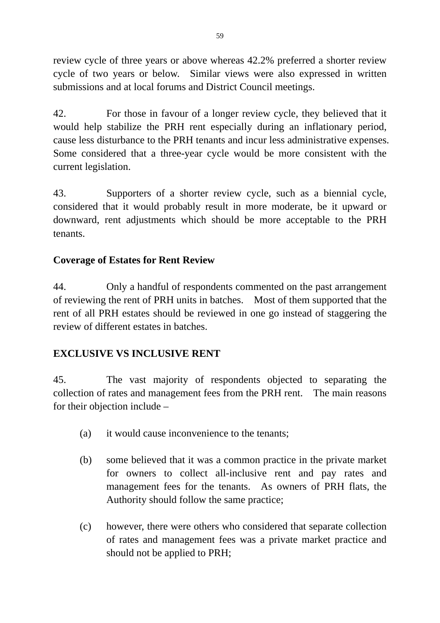review cycle of three years or above whereas 42.2% preferred a shorter review cycle of two years or below. Similar views were also expressed in written submissions and at local forums and District Council meetings.

42. For those in favour of a longer review cycle, they believed that it would help stabilize the PRH rent especially during an inflationary period, cause less disturbance to the PRH tenants and incur less administrative expenses. Some considered that a three-year cycle would be more consistent with the current legislation.

43. Supporters of a shorter review cycle, such as a biennial cycle, considered that it would probably result in more moderate, be it upward or downward, rent adjustments which should be more acceptable to the PRH tenants.

# **Coverage of Estates for Rent Review**

44. Only a handful of respondents commented on the past arrangement of reviewing the rent of PRH units in batches. Most of them supported that the rent of all PRH estates should be reviewed in one go instead of staggering the review of different estates in batches.

# **EXCLUSIVE VS INCLUSIVE RENT**

45. The vast majority of respondents objected to separating the collection of rates and management fees from the PRH rent. The main reasons for their objection include –

- (a) it would cause inconvenience to the tenants;
- (b) some believed that it was a common practice in the private market for owners to collect all-inclusive rent and pay rates and management fees for the tenants. As owners of PRH flats, the Authority should follow the same practice;
- (c) however, there were others who considered that separate collection of rates and management fees was a private market practice and should not be applied to PRH;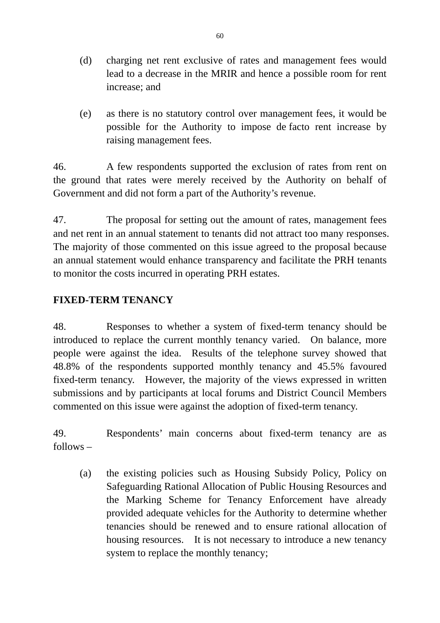- (d) charging net rent exclusive of rates and management fees would lead to a decrease in the MRIR and hence a possible room for rent increase; and
- (e) as there is no statutory control over management fees, it would be possible for the Authority to impose de facto rent increase by raising management fees.

46. A few respondents supported the exclusion of rates from rent on the ground that rates were merely received by the Authority on behalf of Government and did not form a part of the Authority's revenue.

47. The proposal for setting out the amount of rates, management fees and net rent in an annual statement to tenants did not attract too many responses. The majority of those commented on this issue agreed to the proposal because an annual statement would enhance transparency and facilitate the PRH tenants to monitor the costs incurred in operating PRH estates.

# **FIXED-TERM TENANCY**

48. Responses to whether a system of fixed-term tenancy should be introduced to replace the current monthly tenancy varied. On balance, more people were against the idea. Results of the telephone survey showed that 48.8% of the respondents supported monthly tenancy and 45.5% favoured fixed-term tenancy. However, the majority of the views expressed in written submissions and by participants at local forums and District Council Members commented on this issue were against the adoption of fixed-term tenancy.

49. Respondents' main concerns about fixed-term tenancy are as follows –

(a) the existing policies such as Housing Subsidy Policy, Policy on Safeguarding Rational Allocation of Public Housing Resources and the Marking Scheme for Tenancy Enforcement have already provided adequate vehicles for the Authority to determine whether tenancies should be renewed and to ensure rational allocation of housing resources. It is not necessary to introduce a new tenancy system to replace the monthly tenancy;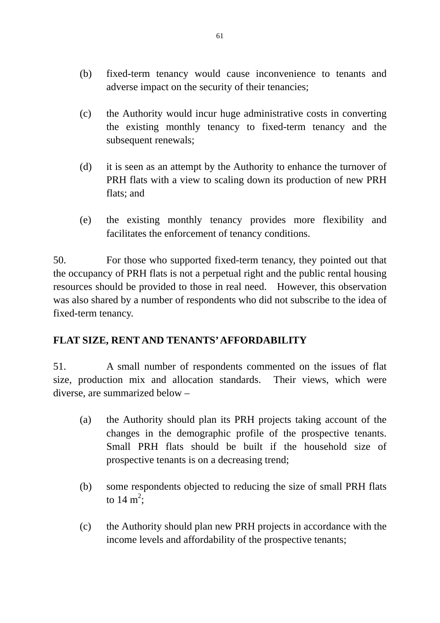- (b) fixed-term tenancy would cause inconvenience to tenants and adverse impact on the security of their tenancies;
- (c) the Authority would incur huge administrative costs in converting the existing monthly tenancy to fixed-term tenancy and the subsequent renewals;
- (d) it is seen as an attempt by the Authority to enhance the turnover of PRH flats with a view to scaling down its production of new PRH flats; and
- (e) the existing monthly tenancy provides more flexibility and facilitates the enforcement of tenancy conditions.

50. For those who supported fixed-term tenancy, they pointed out that the occupancy of PRH flats is not a perpetual right and the public rental housing resources should be provided to those in real need. However, this observation was also shared by a number of respondents who did not subscribe to the idea of fixed-term tenancy.

# **FLAT SIZE, RENT AND TENANTS' AFFORDABILITY**

51. A small number of respondents commented on the issues of flat size, production mix and allocation standards. Their views, which were diverse, are summarized below –

- (a) the Authority should plan its PRH projects taking account of the changes in the demographic profile of the prospective tenants. Small PRH flats should be built if the household size of prospective tenants is on a decreasing trend;
- (b) some respondents objected to reducing the size of small PRH flats to 14 m<sup>2</sup>;
- (c) the Authority should plan new PRH projects in accordance with the income levels and affordability of the prospective tenants;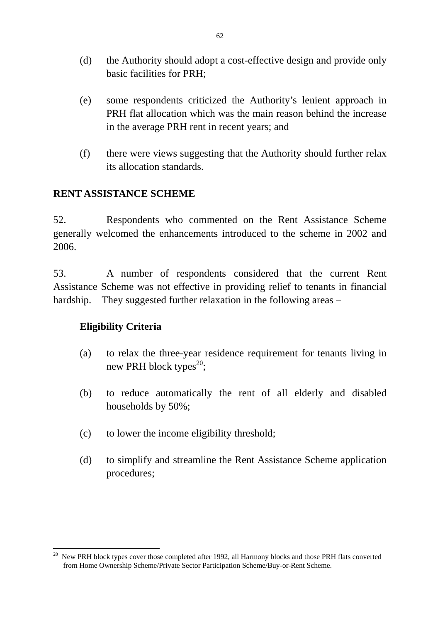- (d) the Authority should adopt a cost-effective design and provide only basic facilities for PRH;
- (e) some respondents criticized the Authority's lenient approach in PRH flat allocation which was the main reason behind the increase in the average PRH rent in recent years; and
- (f) there were views suggesting that the Authority should further relax its allocation standards.

# **RENT ASSISTANCE SCHEME**

52. Respondents who commented on the Rent Assistance Scheme generally welcomed the enhancements introduced to the scheme in 2002 and 2006.

53. A number of respondents considered that the current Rent Assistance Scheme was not effective in providing relief to tenants in financial hardship. They suggested further relaxation in the following areas –

#### **Eligibility Criteria**

- (a) to relax the three-year residence requirement for tenants living in new PRH block types<sup>20</sup>;
- (b) to reduce automatically the rent of all elderly and disabled households by 50%;
- (c) to lower the income eligibility threshold;
- (d) to simplify and streamline the Rent Assistance Scheme application procedures;

<sup>&</sup>lt;u>.</u> <sup>20</sup> New PRH block types cover those completed after 1992, all Harmony blocks and those PRH flats converted from Home Ownership Scheme/Private Sector Participation Scheme/Buy-or-Rent Scheme.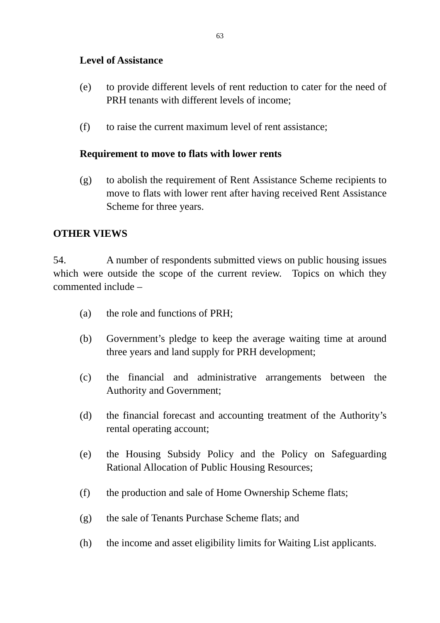### **Level of Assistance**

- (e) to provide different levels of rent reduction to cater for the need of PRH tenants with different levels of income;
- (f) to raise the current maximum level of rent assistance;

#### **Requirement to move to flats with lower rents**

(g) to abolish the requirement of Rent Assistance Scheme recipients to move to flats with lower rent after having received Rent Assistance Scheme for three years.

#### **OTHER VIEWS**

54. A number of respondents submitted views on public housing issues which were outside the scope of the current review. Topics on which they commented include –

- (a) the role and functions of PRH;
- (b) Government's pledge to keep the average waiting time at around three years and land supply for PRH development;
- (c) the financial and administrative arrangements between the Authority and Government;
- (d) the financial forecast and accounting treatment of the Authority's rental operating account;
- (e) the Housing Subsidy Policy and the Policy on Safeguarding Rational Allocation of Public Housing Resources;
- (f) the production and sale of Home Ownership Scheme flats;
- (g) the sale of Tenants Purchase Scheme flats; and
- (h) the income and asset eligibility limits for Waiting List applicants.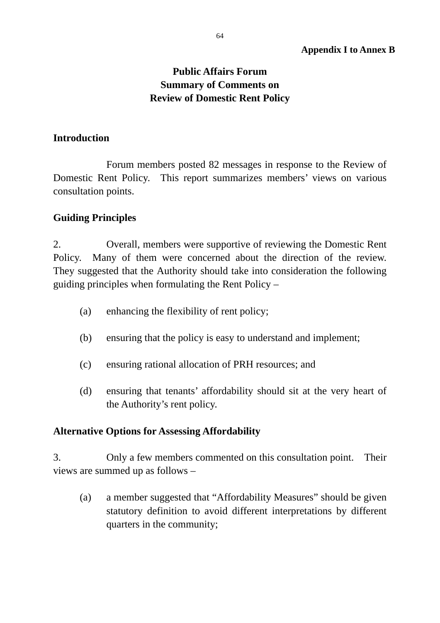# **Public Affairs Forum Summary of Comments on Review of Domestic Rent Policy**

#### **Introduction**

 Forum members posted 82 messages in response to the Review of Domestic Rent Policy. This report summarizes members' views on various consultation points.

### **Guiding Principles**

2. Overall, members were supportive of reviewing the Domestic Rent Policy. Many of them were concerned about the direction of the review. They suggested that the Authority should take into consideration the following guiding principles when formulating the Rent Policy –

- (a) enhancing the flexibility of rent policy;
- (b) ensuring that the policy is easy to understand and implement;
- (c) ensuring rational allocation of PRH resources; and
- (d) ensuring that tenants' affordability should sit at the very heart of the Authority's rent policy.

#### **Alternative Options for Assessing Affordability**

3. Only a few members commented on this consultation point. Their views are summed up as follows –

(a) a member suggested that "Affordability Measures" should be given statutory definition to avoid different interpretations by different quarters in the community;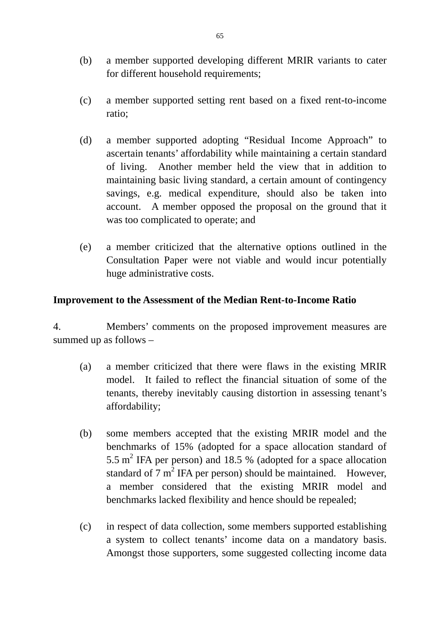- (b) a member supported developing different MRIR variants to cater for different household requirements;
- (c) a member supported setting rent based on a fixed rent-to-income ratio;
- (d) a member supported adopting "Residual Income Approach" to ascertain tenants' affordability while maintaining a certain standard of living. Another member held the view that in addition to maintaining basic living standard, a certain amount of contingency savings, e.g. medical expenditure, should also be taken into account. A member opposed the proposal on the ground that it was too complicated to operate; and
- (e) a member criticized that the alternative options outlined in the Consultation Paper were not viable and would incur potentially huge administrative costs.

#### **Improvement to the Assessment of the Median Rent-to-Income Ratio**

4. Members' comments on the proposed improvement measures are summed up as follows –

- (a) a member criticized that there were flaws in the existing MRIR model. It failed to reflect the financial situation of some of the tenants, thereby inevitably causing distortion in assessing tenant's affordability;
- (b) some members accepted that the existing MRIR model and the benchmarks of 15% (adopted for a space allocation standard of 5.5  $m^2$  IFA per person) and 18.5 % (adopted for a space allocation standard of  $7 \text{ m}^2$  IFA per person) should be maintained. However, a member considered that the existing MRIR model and benchmarks lacked flexibility and hence should be repealed;
- (c) in respect of data collection, some members supported establishing a system to collect tenants' income data on a mandatory basis. Amongst those supporters, some suggested collecting income data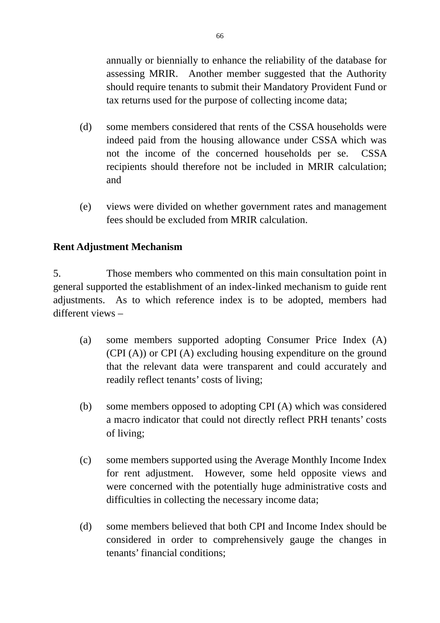annually or biennially to enhance the reliability of the database for assessing MRIR. Another member suggested that the Authority should require tenants to submit their Mandatory Provident Fund or tax returns used for the purpose of collecting income data;

- (d) some members considered that rents of the CSSA households were indeed paid from the housing allowance under CSSA which was not the income of the concerned households per se. CSSA recipients should therefore not be included in MRIR calculation; and
- (e) views were divided on whether government rates and management fees should be excluded from MRIR calculation.

# **Rent Adjustment Mechanism**

5. Those members who commented on this main consultation point in general supported the establishment of an index-linked mechanism to guide rent adjustments. As to which reference index is to be adopted, members had different views –

- (a) some members supported adopting Consumer Price Index (A) (CPI (A)) or CPI (A) excluding housing expenditure on the ground that the relevant data were transparent and could accurately and readily reflect tenants' costs of living;
- (b) some members opposed to adopting CPI (A) which was considered a macro indicator that could not directly reflect PRH tenants' costs of living;
- (c) some members supported using the Average Monthly Income Index for rent adjustment. However, some held opposite views and were concerned with the potentially huge administrative costs and difficulties in collecting the necessary income data;
- (d) some members believed that both CPI and Income Index should be considered in order to comprehensively gauge the changes in tenants' financial conditions;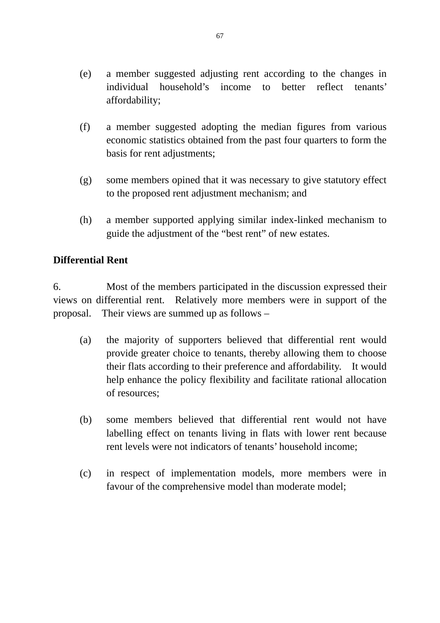- (e) a member suggested adjusting rent according to the changes in individual household's income to better reflect tenants' affordability;
- (f) a member suggested adopting the median figures from various economic statistics obtained from the past four quarters to form the basis for rent adjustments;
- (g) some members opined that it was necessary to give statutory effect to the proposed rent adjustment mechanism; and
- (h) a member supported applying similar index-linked mechanism to guide the adjustment of the "best rent" of new estates.

### **Differential Rent**

6. Most of the members participated in the discussion expressed their views on differential rent. Relatively more members were in support of the proposal. Their views are summed up as follows –

- (a) the majority of supporters believed that differential rent would provide greater choice to tenants, thereby allowing them to choose their flats according to their preference and affordability. It would help enhance the policy flexibility and facilitate rational allocation of resources;
- (b) some members believed that differential rent would not have labelling effect on tenants living in flats with lower rent because rent levels were not indicators of tenants' household income;
- (c) in respect of implementation models, more members were in favour of the comprehensive model than moderate model;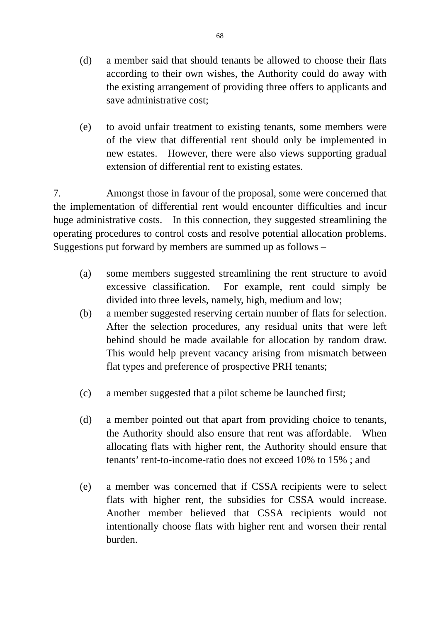- (d) a member said that should tenants be allowed to choose their flats according to their own wishes, the Authority could do away with the existing arrangement of providing three offers to applicants and save administrative cost;
- (e) to avoid unfair treatment to existing tenants, some members were of the view that differential rent should only be implemented in new estates. However, there were also views supporting gradual extension of differential rent to existing estates.

7. Amongst those in favour of the proposal, some were concerned that the implementation of differential rent would encounter difficulties and incur huge administrative costs. In this connection, they suggested streamlining the operating procedures to control costs and resolve potential allocation problems. Suggestions put forward by members are summed up as follows –

- (a) some members suggested streamlining the rent structure to avoid excessive classification. For example, rent could simply be divided into three levels, namely, high, medium and low;
- (b) a member suggested reserving certain number of flats for selection. After the selection procedures, any residual units that were left behind should be made available for allocation by random draw. This would help prevent vacancy arising from mismatch between flat types and preference of prospective PRH tenants;
- (c) a member suggested that a pilot scheme be launched first;
- (d) a member pointed out that apart from providing choice to tenants, the Authority should also ensure that rent was affordable. When allocating flats with higher rent, the Authority should ensure that tenants' rent-to-income-ratio does not exceed 10% to 15% ; and
- (e) a member was concerned that if CSSA recipients were to select flats with higher rent, the subsidies for CSSA would increase. Another member believed that CSSA recipients would not intentionally choose flats with higher rent and worsen their rental burden.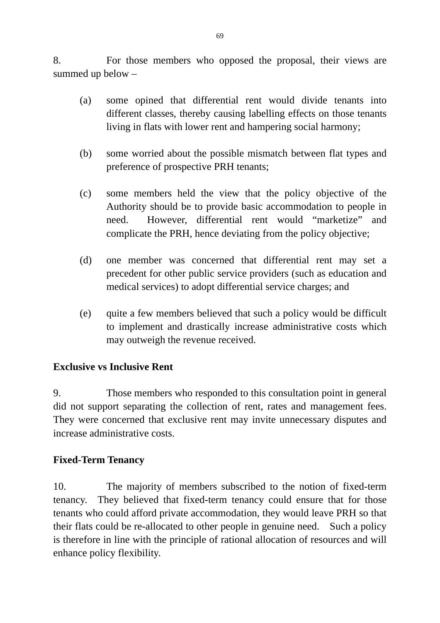8. For those members who opposed the proposal, their views are summed up below –

- (a) some opined that differential rent would divide tenants into different classes, thereby causing labelling effects on those tenants living in flats with lower rent and hampering social harmony;
- (b) some worried about the possible mismatch between flat types and preference of prospective PRH tenants;
- (c) some members held the view that the policy objective of the Authority should be to provide basic accommodation to people in need. However, differential rent would "marketize" and complicate the PRH, hence deviating from the policy objective;
- (d) one member was concerned that differential rent may set a precedent for other public service providers (such as education and medical services) to adopt differential service charges; and
- (e) quite a few members believed that such a policy would be difficult to implement and drastically increase administrative costs which may outweigh the revenue received.

#### **Exclusive vs Inclusive Rent**

9. Those members who responded to this consultation point in general did not support separating the collection of rent, rates and management fees. They were concerned that exclusive rent may invite unnecessary disputes and increase administrative costs.

#### **Fixed-Term Tenancy**

10. The majority of members subscribed to the notion of fixed-term tenancy. They believed that fixed-term tenancy could ensure that for those tenants who could afford private accommodation, they would leave PRH so that their flats could be re-allocated to other people in genuine need. Such a policy is therefore in line with the principle of rational allocation of resources and will enhance policy flexibility.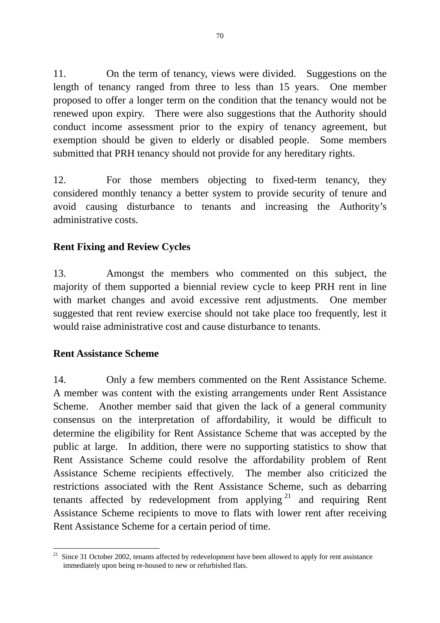11. On the term of tenancy, views were divided. Suggestions on the length of tenancy ranged from three to less than 15 years. One member proposed to offer a longer term on the condition that the tenancy would not be renewed upon expiry. There were also suggestions that the Authority should conduct income assessment prior to the expiry of tenancy agreement, but exemption should be given to elderly or disabled people. Some members submitted that PRH tenancy should not provide for any hereditary rights.

12. For those members objecting to fixed-term tenancy, they considered monthly tenancy a better system to provide security of tenure and avoid causing disturbance to tenants and increasing the Authority's administrative costs.

# **Rent Fixing and Review Cycles**

13. Amongst the members who commented on this subject, the majority of them supported a biennial review cycle to keep PRH rent in line with market changes and avoid excessive rent adjustments. One member suggested that rent review exercise should not take place too frequently, lest it would raise administrative cost and cause disturbance to tenants.

#### **Rent Assistance Scheme**

14. Only a few members commented on the Rent Assistance Scheme. A member was content with the existing arrangements under Rent Assistance Scheme. Another member said that given the lack of a general community consensus on the interpretation of affordability, it would be difficult to determine the eligibility for Rent Assistance Scheme that was accepted by the public at large. In addition, there were no supporting statistics to show that Rent Assistance Scheme could resolve the affordability problem of Rent Assistance Scheme recipients effectively. The member also criticized the restrictions associated with the Rent Assistance Scheme, such as debarring tenants affected by redevelopment from applying  $2<sup>1</sup>$  and requiring Rent Assistance Scheme recipients to move to flats with lower rent after receiving Rent Assistance Scheme for a certain period of time.

<sup>&</sup>lt;u>.</u>  $21$  Since 31 October 2002, tenants affected by redevelopment have been allowed to apply for rent assistance immediately upon being re-housed to new or refurbished flats.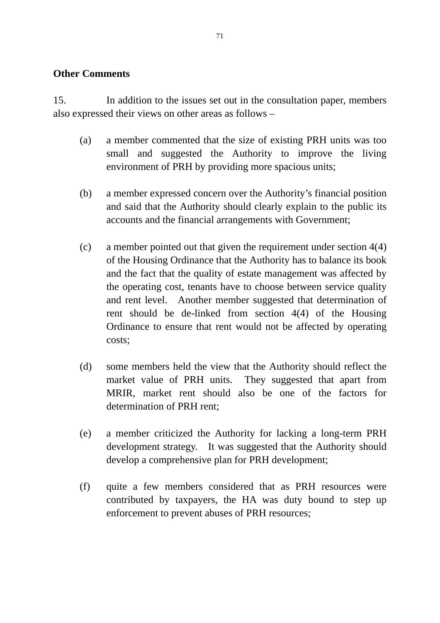#### **Other Comments**

15. In addition to the issues set out in the consultation paper, members also expressed their views on other areas as follows –

- (a) a member commented that the size of existing PRH units was too small and suggested the Authority to improve the living environment of PRH by providing more spacious units;
- (b) a member expressed concern over the Authority's financial position and said that the Authority should clearly explain to the public its accounts and the financial arrangements with Government;
- (c) a member pointed out that given the requirement under section 4(4) of the Housing Ordinance that the Authority has to balance its book and the fact that the quality of estate management was affected by the operating cost, tenants have to choose between service quality and rent level. Another member suggested that determination of rent should be de-linked from section 4(4) of the Housing Ordinance to ensure that rent would not be affected by operating costs;
- (d) some members held the view that the Authority should reflect the market value of PRH units. They suggested that apart from MRIR, market rent should also be one of the factors for determination of PRH rent;
- (e) a member criticized the Authority for lacking a long-term PRH development strategy. It was suggested that the Authority should develop a comprehensive plan for PRH development;
- (f) quite a few members considered that as PRH resources were contributed by taxpayers, the HA was duty bound to step up enforcement to prevent abuses of PRH resources;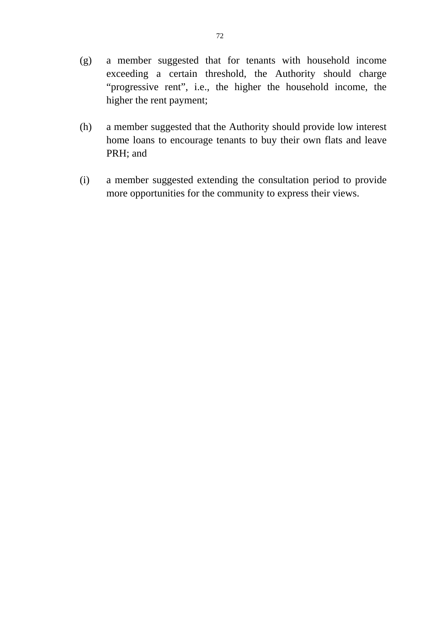- (g) a member suggested that for tenants with household income exceeding a certain threshold, the Authority should charge "progressive rent", i.e., the higher the household income, the higher the rent payment;
- (h) a member suggested that the Authority should provide low interest home loans to encourage tenants to buy their own flats and leave PRH; and
- (i) a member suggested extending the consultation period to provide more opportunities for the community to express their views.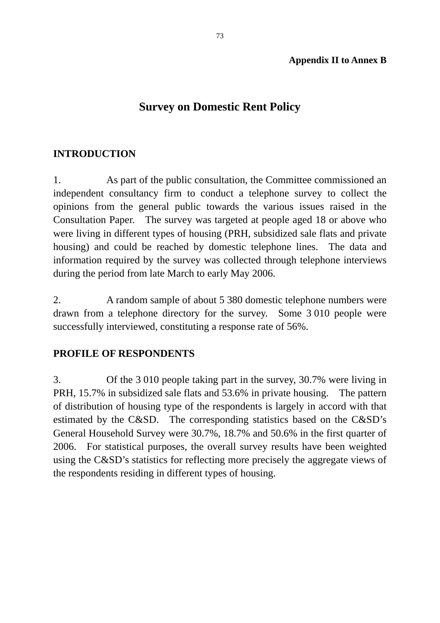#### **Appendix II to Annex B**

# **Survey on Domestic Rent Policy**

### **INTRODUCTION**

1. As part of the public consultation, the Committee commissioned an independent consultancy firm to conduct a telephone survey to collect the opinions from the general public towards the various issues raised in the Consultation Paper. The survey was targeted at people aged 18 or above who were living in different types of housing (PRH, subsidized sale flats and private housing) and could be reached by domestic telephone lines. The data and information required by the survey was collected through telephone interviews during the period from late March to early May 2006.

2. A random sample of about 5 380 domestic telephone numbers were drawn from a telephone directory for the survey. Some 3 010 people were successfully interviewed, constituting a response rate of 56%.

#### **PROFILE OF RESPONDENTS**

3. Of the 3 010 people taking part in the survey, 30.7% were living in PRH, 15.7% in subsidized sale flats and 53.6% in private housing. The pattern of distribution of housing type of the respondents is largely in accord with that estimated by the C&SD. The corresponding statistics based on the C&SD's General Household Survey were 30.7%, 18.7% and 50.6% in the first quarter of 2006. For statistical purposes, the overall survey results have been weighted using the C&SD's statistics for reflecting more precisely the aggregate views of the respondents residing in different types of housing.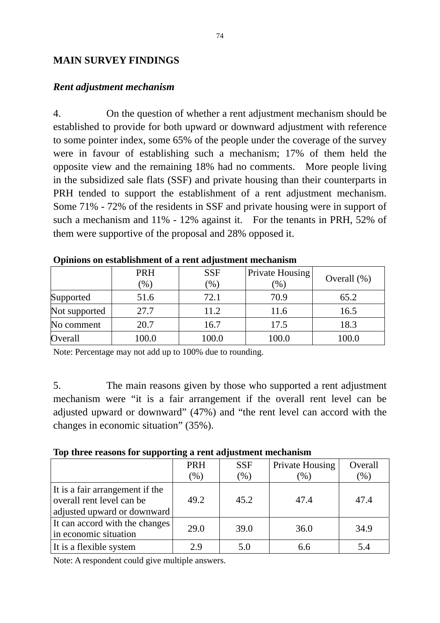#### **MAIN SURVEY FINDINGS**

#### *Rent adjustment mechanism*

4. On the question of whether a rent adjustment mechanism should be established to provide for both upward or downward adjustment with reference to some pointer index, some 65% of the people under the coverage of the survey were in favour of establishing such a mechanism; 17% of them held the opposite view and the remaining 18% had no comments. More people living in the subsidized sale flats (SSF) and private housing than their counterparts in PRH tended to support the establishment of a rent adjustment mechanism. Some 71% - 72% of the residents in SSF and private housing were in support of such a mechanism and 11% - 12% against it. For the tenants in PRH, 52% of them were supportive of the proposal and 28% opposed it.

|               | <b>PRH</b><br>(96) | <b>SSF</b>    | Private Housing<br>$\frac{9}{6}$ | Overall $(\%)$ |  |
|---------------|--------------------|---------------|----------------------------------|----------------|--|
|               |                    | $\frac{9}{6}$ |                                  |                |  |
| Supported     | 51.6               | 72.1          | 70.9                             | 65.2           |  |
| Not supported | 27.7               | 11.2          | 11.6                             | 16.5           |  |
| No comment    | 20.7               | 16.7          | 17.5                             | 18.3           |  |
| Overall       | 100.0              | 100.0         | 100.0                            | 100.0          |  |

**Opinions on establishment of a rent adjustment mechanism** 

Note: Percentage may not add up to 100% due to rounding.

5. The main reasons given by those who supported a rent adjustment mechanism were "it is a fair arrangement if the overall rent level can be adjusted upward or downward" (47%) and "the rent level can accord with the changes in economic situation" (35%).

|  |  |  | Top three reasons for supporting a rent adjustment mechanism |
|--|--|--|--------------------------------------------------------------|
|  |  |  |                                                              |

|                                                                                             | <b>PRH</b> | <b>SSF</b> | <b>Private Housing</b> | Overall |
|---------------------------------------------------------------------------------------------|------------|------------|------------------------|---------|
|                                                                                             | $(\%)$     | $(\%)$     | $\mathcal{C}_0$        | $(\%)$  |
| It is a fair arrangement if the<br>overall rent level can be<br>adjusted upward or downward | 49.2       | 45.2       | 47.4                   | 47.4    |
| It can accord with the changes<br>in economic situation                                     | 29.0       | 39.0       | 36.0                   | 34.9    |
| It is a flexible system                                                                     | 2.9        | 5.0        | 6.6                    | 5.4     |

Note: A respondent could give multiple answers.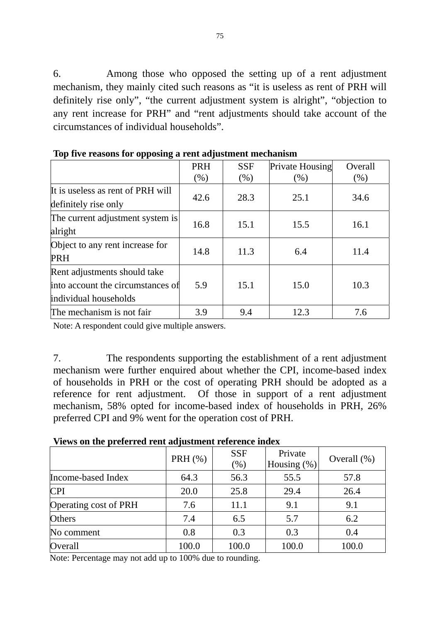6. Among those who opposed the setting up of a rent adjustment mechanism, they mainly cited such reasons as "it is useless as rent of PRH will definitely rise only", "the current adjustment system is alright", "objection to any rent increase for PRH" and "rent adjustments should take account of the circumstances of individual households".

|                                                                                            | <b>PRH</b><br>(% ) | <b>SSF</b><br>(% ) | Private Housing<br>(% ) | Overall<br>(% ) |
|--------------------------------------------------------------------------------------------|--------------------|--------------------|-------------------------|-----------------|
| It is useless as rent of PRH will<br>definitely rise only                                  | 42.6               | 28.3               | 25.1                    | 34.6            |
| The current adjustment system is<br>alright                                                | 16.8               | 15.1               | 15.5                    | 16.1            |
| Object to any rent increase for<br><b>PRH</b>                                              | 14.8               | 11.3               | 6.4                     | 11.4            |
| Rent adjustments should take<br>into account the circumstances of<br>individual households | 5.9                | 15.1               | 15.0                    | 10.3            |
| The mechanism is not fair                                                                  | 3.9                | 9.4                | 12.3                    | 7.6             |

**Top five reasons for opposing a rent adjustment mechanism** 

Note: A respondent could give multiple answers.

7. The respondents supporting the establishment of a rent adjustment mechanism were further enquired about whether the CPI, income-based index of households in PRH or the cost of operating PRH should be adopted as a reference for rent adjustment. Of those in support of a rent adjustment mechanism, 58% opted for income-based index of households in PRH, 26% preferred CPI and 9% went for the operation cost of PRH.

| Views on the preferred rent adjustment reference index |  |
|--------------------------------------------------------|--|
|--------------------------------------------------------|--|

|                       | PRH $(\%)$ | <b>SSF</b><br>(% ) | Private<br>Housing $(\%)$ | Overall $(\%)$ |
|-----------------------|------------|--------------------|---------------------------|----------------|
| Income-based Index    | 64.3       | 56.3               | 55.5                      | 57.8           |
| <b>CPI</b>            | 20.0       | 25.8               | 29.4                      | 26.4           |
| Operating cost of PRH | 7.6        | 11.1               | 9.1                       | 9.1            |
| <b>Others</b>         | 7.4        | 6.5                | 5.7                       | 6.2            |
| No comment            | 0.8        | 0.3                | 0.3                       | 0.4            |
| Overall               | 100.0      | 100.0              | 100.0                     | 100.0          |

Note: Percentage may not add up to 100% due to rounding.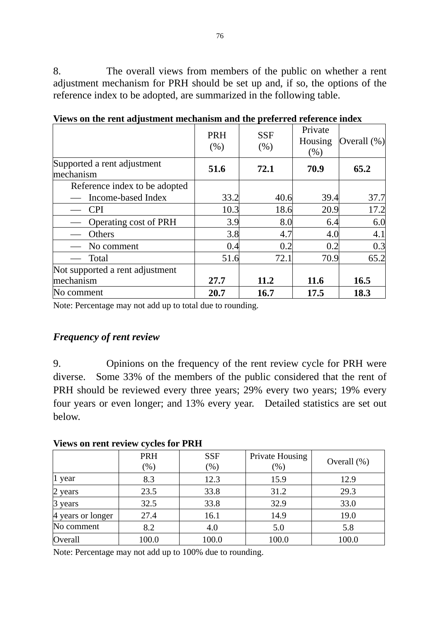8. The overall views from members of the public on whether a rent adjustment mechanism for PRH should be set up and, if so, the options of the reference index to be adopted, are summarized in the following table.

|                                          | <b>PRH</b><br>(% ) | <b>SSF</b><br>(% ) | Private<br>Housing<br>(%) | Overall $(\%)$ |
|------------------------------------------|--------------------|--------------------|---------------------------|----------------|
| Supported a rent adjustment<br>mechanism | 51.6               | 72.1               | 70.9                      | 65.2           |
| Reference index to be adopted            |                    |                    |                           |                |
| Income-based Index                       | 33.2               | 40.6               | 39.4                      | 37.7           |
| <b>CPI</b>                               | 10.3               | 18.6               | 20.9                      | 17.2           |
| Operating cost of PRH                    | 3.9                | 8.0                | 6.4                       | 6.0            |
| Others                                   | 3.8                | 4.7                | 4.0                       | 4.1            |
| No comment                               | 0.4                | 0.2                | 0.2                       | 0.3            |
| Total                                    | 51.6               | 72.1               | 70.9                      | 65.2           |
| Not supported a rent adjustment          |                    |                    |                           |                |
| mechanism                                | 27.7               | 11.2               | 11.6                      | 16.5           |
| No comment                               | 20.7               | 16.7               | 17.5                      | 18.3           |

**Views on the rent adjustment mechanism and the preferred reference index** 

Note: Percentage may not add up to total due to rounding.

#### *Frequency of rent review*

9. Opinions on the frequency of the rent review cycle for PRH were diverse. Some 33% of the members of the public considered that the rent of PRH should be reviewed every three years; 29% every two years; 19% every four years or even longer; and 13% every year. Detailed statistics are set out below.

|  | <b>Views on rent review cycles for PRH</b> |  |  |
|--|--------------------------------------------|--|--|
|  |                                            |  |  |

|                   | PRH<br>$(\%)$ | <b>SSF</b><br>$(\% )$ | Private Housing<br>(% ) | Overall $(\%)$ |
|-------------------|---------------|-----------------------|-------------------------|----------------|
| 1 year            | 8.3           | 12.3                  | 15.9                    | 12.9           |
| 2 years           | 23.5          | 33.8                  | 31.2                    | 29.3           |
| 3 years           | 32.5          | 33.8                  | 32.9                    | 33.0           |
| 4 years or longer | 27.4          | 16.1                  | 14.9                    | 19.0           |
| No comment        | 8.2           | 4.0                   | 5.0                     | 5.8            |
| Overall           | 100.0         | 100.0                 | 100.0                   | 100.0          |

Note: Percentage may not add up to 100% due to rounding.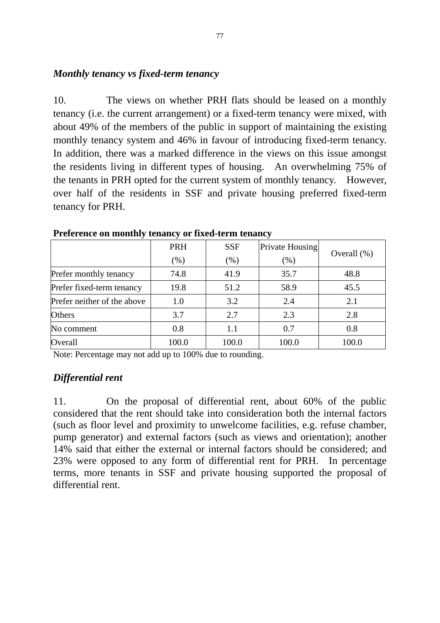#### *Monthly tenancy vs fixed-term tenancy*

10. The views on whether PRH flats should be leased on a monthly tenancy (i.e. the current arrangement) or a fixed-term tenancy were mixed, with about 49% of the members of the public in support of maintaining the existing monthly tenancy system and 46% in favour of introducing fixed-term tenancy. In addition, there was a marked difference in the views on this issue amongst the residents living in different types of housing. An overwhelming 75% of the tenants in PRH opted for the current system of monthly tenancy. However, over half of the residents in SSF and private housing preferred fixed-term tenancy for PRH.

|                             | <b>PRH</b> | <b>SSF</b> | Private Housing | Overall $(\%)$ |  |
|-----------------------------|------------|------------|-----------------|----------------|--|
|                             | (% )       | (% )       | (%)             |                |  |
| Prefer monthly tenancy      | 74.8       | 41.9       | 35.7            | 48.8           |  |
| Prefer fixed-term tenancy   | 19.8       | 51.2       | 58.9            | 45.5           |  |
| Prefer neither of the above | 1.0        | 3.2        | 2.4             | 2.1            |  |
| Others                      | 3.7        | 2.7        | 2.3             | 2.8            |  |
| No comment                  | 0.8        | 1.1        | 0.7             | 0.8            |  |
| Overall                     | 100.0      | 100.0      | 100.0           | 100.0          |  |

**Preference on monthly tenancy or fixed-term tenancy** 

Note: Percentage may not add up to 100% due to rounding.

#### *Differential rent*

11. On the proposal of differential rent, about 60% of the public considered that the rent should take into consideration both the internal factors (such as floor level and proximity to unwelcome facilities, e.g. refuse chamber, pump generator) and external factors (such as views and orientation); another 14% said that either the external or internal factors should be considered; and 23% were opposed to any form of differential rent for PRH. In percentage terms, more tenants in SSF and private housing supported the proposal of differential rent.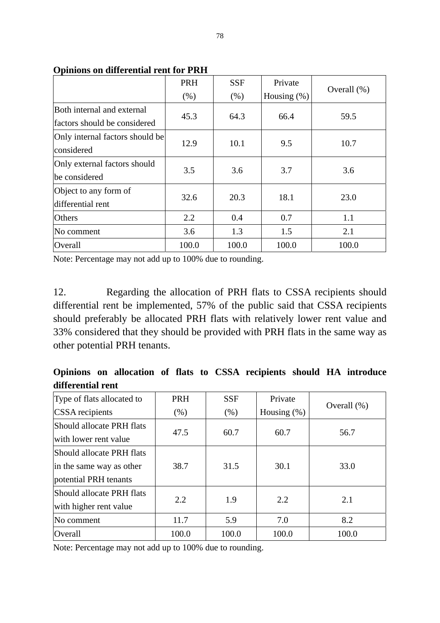|                                 | PRH   | <b>SSF</b>             | Private | Overall $(\%)$ |  |
|---------------------------------|-------|------------------------|---------|----------------|--|
|                                 | (% )  | Housing $(\%)$<br>(% ) |         |                |  |
| Both internal and external      | 45.3  | 64.3                   | 66.4    | 59.5           |  |
| factors should be considered    |       |                        |         |                |  |
| Only internal factors should be | 12.9  | 10.1                   | 9.5     | 10.7           |  |
| considered                      |       |                        |         |                |  |
| Only external factors should    | 3.5   | 3.6                    | 3.7     | 3.6            |  |
| be considered                   |       |                        |         |                |  |
| Object to any form of           | 32.6  | 20.3                   | 18.1    | 23.0           |  |
| differential rent               |       |                        |         |                |  |
| <b>Others</b>                   | 2.2   | 0.4                    | 0.7     | 1.1            |  |
| No comment                      | 3.6   | 1.3                    | 1.5     | 2.1            |  |
| Overall                         | 100.0 | 100.0                  | 100.0   | 100.0          |  |

**Opinions on differential rent for PRH** 

Note: Percentage may not add up to 100% due to rounding.

12. Regarding the allocation of PRH flats to CSSA recipients should differential rent be implemented, 57% of the public said that CSSA recipients should preferably be allocated PRH flats with relatively lower rent value and 33% considered that they should be provided with PRH flats in the same way as other potential PRH tenants.

|                   |  |  |  | Opinions on allocation of flats to CSSA recipients should HA introduce |  |  |
|-------------------|--|--|--|------------------------------------------------------------------------|--|--|
| differential rent |  |  |  |                                                                        |  |  |

| Type of flats allocated to | PRH<br><b>SSF</b> |                        | Private |                |  |
|----------------------------|-------------------|------------------------|---------|----------------|--|
| <b>CSSA</b> recipients     | $(\% )$           | Housing $(\%)$<br>(% ) |         | Overall $(\%)$ |  |
| Should allocate PRH flats  | 47.5              | 60.7                   | 60.7    |                |  |
| with lower rent value      |                   |                        |         | 56.7           |  |
| Should allocate PRH flats  |                   |                        |         |                |  |
| in the same way as other   | 38.7              | 31.5                   | 30.1    | 33.0           |  |
| potential PRH tenants      |                   |                        |         |                |  |
| Should allocate PRH flats  | 2.2               |                        | 2.2     |                |  |
| with higher rent value     |                   | 1.9                    |         | 2.1            |  |
| No comment                 | 11.7              | 5.9                    | 7.0     | 8.2            |  |
| Overall                    | 100.0             | 100.0                  | 100.0   | 100.0          |  |

Note: Percentage may not add up to 100% due to rounding.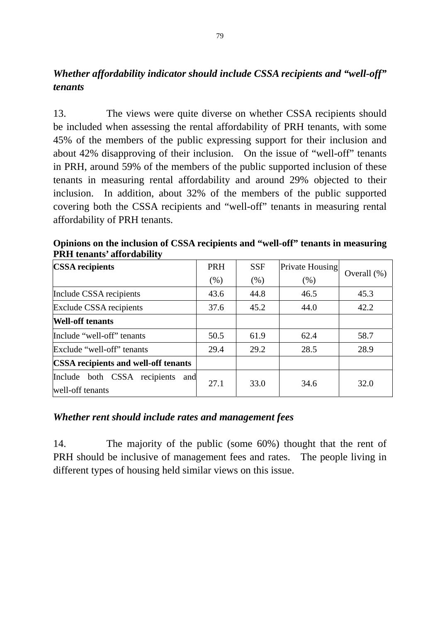# *Whether affordability indicator should include CSSA recipients and "well-off" tenants*

13. The views were quite diverse on whether CSSA recipients should be included when assessing the rental affordability of PRH tenants, with some 45% of the members of the public expressing support for their inclusion and about 42% disapproving of their inclusion. On the issue of "well-off" tenants in PRH, around 59% of the members of the public supported inclusion of these tenants in measuring rental affordability and around 29% objected to their inclusion. In addition, about 32% of the members of the public supported covering both the CSSA recipients and "well-off" tenants in measuring rental affordability of PRH tenants.

| <b>CSSA</b> recipients                                  | <b>PRH</b> | <b>SSF</b> | Private Housing |                |
|---------------------------------------------------------|------------|------------|-----------------|----------------|
|                                                         | (% )       | (% )       | (% )            | Overall $(\%)$ |
| Include CSSA recipients                                 | 43.6       | 44.8       | 46.5            | 45.3           |
| Exclude CSSA recipients                                 | 37.6       | 45.2       | 44.0            | 42.2           |
| <b>Well-off tenants</b>                                 |            |            |                 |                |
| Include "well-off" tenants                              | 50.5       | 61.9       | 62.4            | 58.7           |
| Exclude "well-off" tenants                              | 29.4       | 29.2       | 28.5            | 28.9           |
| <b>CSSA</b> recipients and well-off tenants             |            |            |                 |                |
| Include both CSSA recipients<br>and<br>well-off tenants | 27.1       | 33.0       | 34.6            | 32.0           |

**Opinions on the inclusion of CSSA recipients and "well-off" tenants in measuring PRH tenants' affordability** 

#### *Whether rent should include rates and management fees*

14. The majority of the public (some 60%) thought that the rent of PRH should be inclusive of management fees and rates. The people living in different types of housing held similar views on this issue.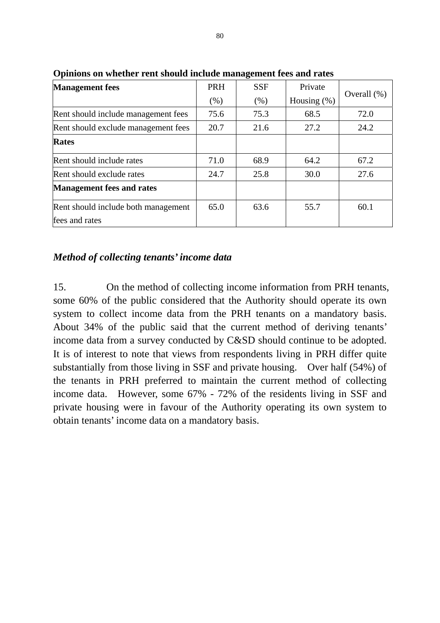| <b>Management</b> fees                                | <b>PRH</b> | <b>SSF</b> | Private        |                 |
|-------------------------------------------------------|------------|------------|----------------|-----------------|
|                                                       | (% )       | (% )       | Housing $(\%)$ | Overall $(\% )$ |
| Rent should include management fees                   | 75.6       | 75.3       | 68.5           | 72.0            |
| Rent should exclude management fees                   | 20.7       | 21.6       | 27.2           | 24.2            |
| <b>Rates</b>                                          |            |            |                |                 |
| Rent should include rates                             | 71.0       | 68.9       | 64.2           | 67.2            |
| Rent should exclude rates                             | 24.7       | 25.8       | 30.0           | 27.6            |
| <b>Management fees and rates</b>                      |            |            |                |                 |
| Rent should include both management<br>fees and rates | 65.0       | 63.6       | 55.7           | 60.1            |

**Opinions on whether rent should include management fees and rates** 

### *Method of collecting tenants' income data*

15. On the method of collecting income information from PRH tenants, some 60% of the public considered that the Authority should operate its own system to collect income data from the PRH tenants on a mandatory basis. About 34% of the public said that the current method of deriving tenants' income data from a survey conducted by C&SD should continue to be adopted. It is of interest to note that views from respondents living in PRH differ quite substantially from those living in SSF and private housing. Over half (54%) of the tenants in PRH preferred to maintain the current method of collecting income data. However, some 67% - 72% of the residents living in SSF and private housing were in favour of the Authority operating its own system to obtain tenants' income data on a mandatory basis.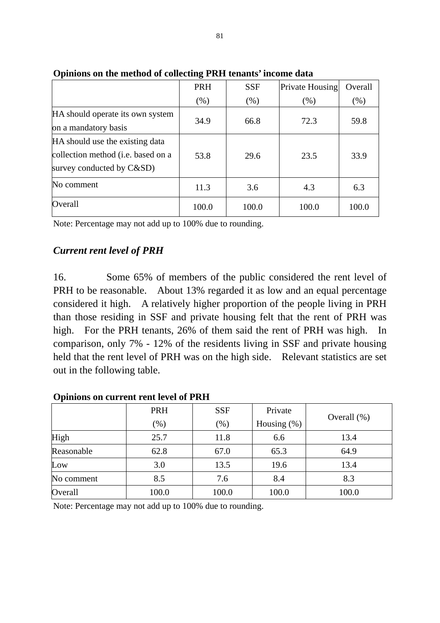|                                                                                                            | PRH   | <b>SSF</b> | Private Housing | Overall |
|------------------------------------------------------------------------------------------------------------|-------|------------|-----------------|---------|
|                                                                                                            | (% )  | $(\% )$    | (% )            | (% )    |
| HA should operate its own system<br>on a mandatory basis                                                   | 34.9  | 66.8       | 72.3            | 59.8    |
| HA should use the existing data<br>collection method ( <i>i.e.</i> based on a<br>survey conducted by C&SD) | 53.8  | 29.6       | 23.5            | 33.9    |
| No comment                                                                                                 | 11.3  | 3.6        | 4.3             | 6.3     |
| Overall                                                                                                    | 100.0 | 100.0      | 100.0           | 100.0   |

**Opinions on the method of collecting PRH tenants' income data** 

Note: Percentage may not add up to 100% due to rounding.

# *Current rent level of PRH*

16. Some 65% of members of the public considered the rent level of PRH to be reasonable. About 13% regarded it as low and an equal percentage considered it high. A relatively higher proportion of the people living in PRH than those residing in SSF and private housing felt that the rent of PRH was high. For the PRH tenants, 26% of them said the rent of PRH was high. In comparison, only 7% - 12% of the residents living in SSF and private housing held that the rent level of PRH was on the high side. Relevant statistics are set out in the following table.

|            | <b>PRH</b>       | <b>SSF</b> | Private        |                |
|------------|------------------|------------|----------------|----------------|
|            | $(\%)$<br>$(\%)$ |            | Housing $(\%)$ | Overall $(\%)$ |
| High       | 25.7             | 11.8       | 6.6            | 13.4           |
| Reasonable | 62.8             | 67.0       | 65.3           | 64.9           |
| Low        | 3.0              | 13.5       | 19.6           | 13.4           |
| No comment | 8.5              | 7.6        | 8.4            | 8.3            |
| Overall    | 100.0            | 100.0      | 100.0          | 100.0          |

#### **Opinions on current rent level of PRH**

Note: Percentage may not add up to 100% due to rounding.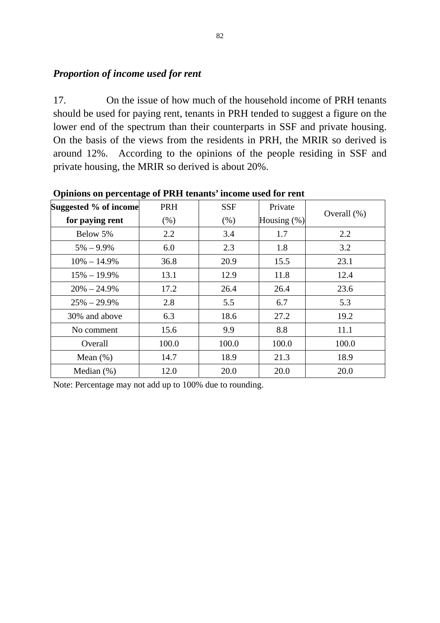### *Proportion of income used for rent*

17. On the issue of how much of the household income of PRH tenants should be used for paying rent, tenants in PRH tended to suggest a figure on the lower end of the spectrum than their counterparts in SSF and private housing. On the basis of the views from the residents in PRH, the MRIR so derived is around 12%. According to the opinions of the people residing in SSF and private housing, the MRIR so derived is about 20%.

| Suggested % of income | PRH          | <b>SSF</b> | Private        |                |
|-----------------------|--------------|------------|----------------|----------------|
| for paying rent       | (% )         | (% )       | Housing $(\%)$ | Overall $(\%)$ |
| Below 5%              | 2.2          | 3.4        | 1.7            | 2.2            |
| $5\% - 9.9\%$         | 6.0          | 2.3        | 1.8            | 3.2            |
| $10\% - 14.9\%$       | 36.8         | 20.9       | 15.5           | 23.1           |
| $15\% - 19.9\%$       | 13.1         | 12.9       | 11.8           | 12.4           |
| $20\% - 24.9\%$       | 17.2<br>26.4 |            | 26.4           | 23.6           |
| $25\% - 29.9\%$       | 2.8          | 5.5        | 6.7            | 5.3            |
| 30% and above         | 6.3          | 18.6       | 27.2           | 19.2           |
| No comment            | 15.6         | 9.9        | 8.8            | 11.1           |
| Overall               | 100.0        | 100.0      | 100.0          | 100.0          |
| Mean $(\%)$           | 14.7         | 18.9       | 21.3           | 18.9           |
| Median $(\%)$         | 12.0         | 20.0       | 20.0           | 20.0           |

**Opinions on percentage of PRH tenants' income used for rent** 

Note: Percentage may not add up to 100% due to rounding.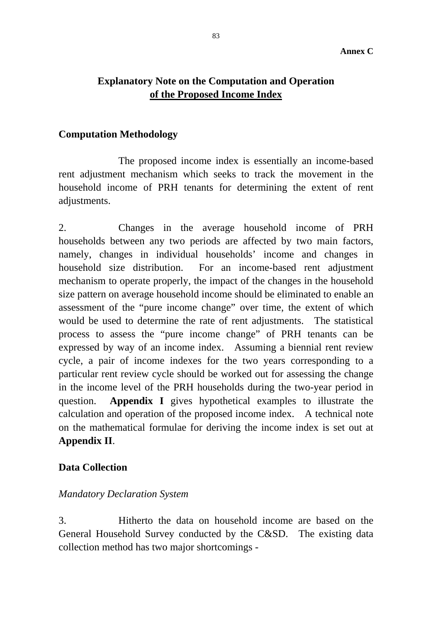### **Explanatory Note on the Computation and Operation of the Proposed Income Index**

#### **Computation Methodology**

 The proposed income index is essentially an income-based rent adjustment mechanism which seeks to track the movement in the household income of PRH tenants for determining the extent of rent adjustments.

2. Changes in the average household income of PRH households between any two periods are affected by two main factors, namely, changes in individual households' income and changes in household size distribution. For an income-based rent adjustment mechanism to operate properly, the impact of the changes in the household size pattern on average household income should be eliminated to enable an assessment of the "pure income change" over time, the extent of which would be used to determine the rate of rent adjustments. The statistical process to assess the "pure income change" of PRH tenants can be expressed by way of an income index. Assuming a biennial rent review cycle, a pair of income indexes for the two years corresponding to a particular rent review cycle should be worked out for assessing the change in the income level of the PRH households during the two-year period in question. **Appendix I** gives hypothetical examples to illustrate the calculation and operation of the proposed income index. A technical note on the mathematical formulae for deriving the income index is set out at **Appendix II**.

#### **Data Collection**

#### *Mandatory Declaration System*

3. Hitherto the data on household income are based on the General Household Survey conducted by the C&SD. The existing data collection method has two major shortcomings -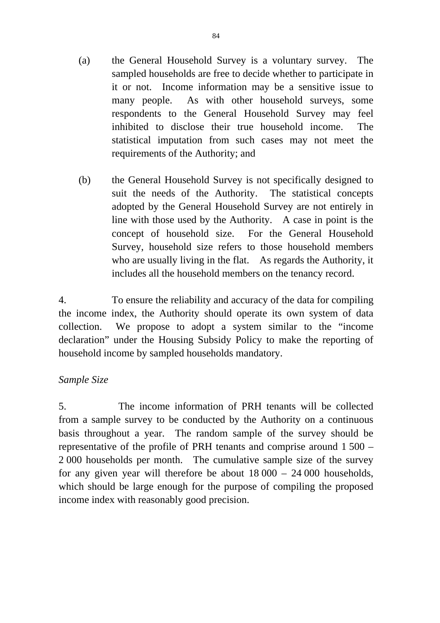- (a) the General Household Survey is a voluntary survey. The sampled households are free to decide whether to participate in it or not. Income information may be a sensitive issue to many people. As with other household surveys, some respondents to the General Household Survey may feel inhibited to disclose their true household income. The statistical imputation from such cases may not meet the requirements of the Authority; and
- (b) the General Household Survey is not specifically designed to suit the needs of the Authority. The statistical concepts adopted by the General Household Survey are not entirely in line with those used by the Authority. A case in point is the concept of household size. For the General Household Survey, household size refers to those household members who are usually living in the flat. As regards the Authority, it includes all the household members on the tenancy record.

4. To ensure the reliability and accuracy of the data for compiling the income index, the Authority should operate its own system of data collection. We propose to adopt a system similar to the "income declaration" under the Housing Subsidy Policy to make the reporting of household income by sampled households mandatory.

#### *Sample Size*

5. The income information of PRH tenants will be collected from a sample survey to be conducted by the Authority on a continuous basis throughout a year. The random sample of the survey should be representative of the profile of PRH tenants and comprise around 1 500 – 2 000 households per month. The cumulative sample size of the survey for any given year will therefore be about 18 000 – 24 000 households, which should be large enough for the purpose of compiling the proposed income index with reasonably good precision.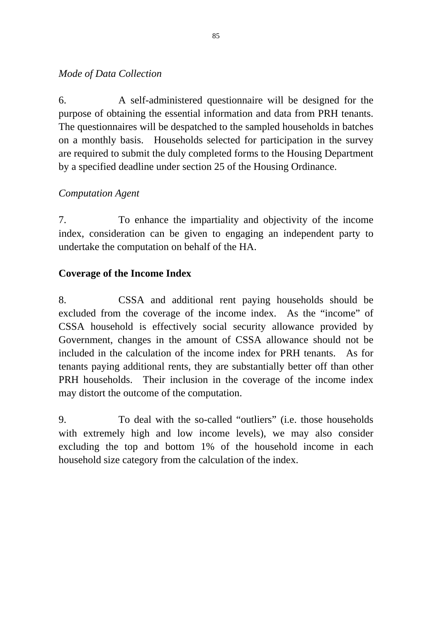### *Mode of Data Collection*

6. A self-administered questionnaire will be designed for the purpose of obtaining the essential information and data from PRH tenants. The questionnaires will be despatched to the sampled households in batches on a monthly basis. Households selected for participation in the survey are required to submit the duly completed forms to the Housing Department by a specified deadline under section 25 of the Housing Ordinance.

# *Computation Agent*

7. To enhance the impartiality and objectivity of the income index, consideration can be given to engaging an independent party to undertake the computation on behalf of the HA.

# **Coverage of the Income Index**

8. CSSA and additional rent paying households should be excluded from the coverage of the income index. As the "income" of CSSA household is effectively social security allowance provided by Government, changes in the amount of CSSA allowance should not be included in the calculation of the income index for PRH tenants. As for tenants paying additional rents, they are substantially better off than other PRH households. Their inclusion in the coverage of the income index may distort the outcome of the computation.

9. To deal with the so-called "outliers" (i.e. those households with extremely high and low income levels), we may also consider excluding the top and bottom 1% of the household income in each household size category from the calculation of the index.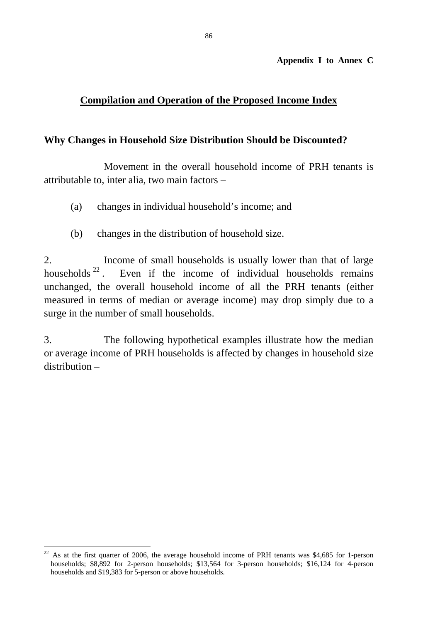**Appendix I to Annex C**

# **Compilation and Operation of the Proposed Income Index**

#### **Why Changes in Household Size Distribution Should be Discounted?**

 Movement in the overall household income of PRH tenants is attributable to, inter alia, two main factors –

- (a) changes in individual household's income; and
- (b) changes in the distribution of household size.

2. Income of small households is usually lower than that of large households  $2^2$ . Even if the income of individual households remains Even if the income of individual households remains unchanged, the overall household income of all the PRH tenants (either measured in terms of median or average income) may drop simply due to a surge in the number of small households.

3. The following hypothetical examples illustrate how the median or average income of PRH households is affected by changes in household size distribution –

 $22\,$ 22 As at the first quarter of 2006, the average household income of PRH tenants was \$4,685 for 1-person households; \$8,892 for 2-person households; \$13,564 for 3-person households; \$16,124 for 4-person households and \$19,383 for 5-person or above households.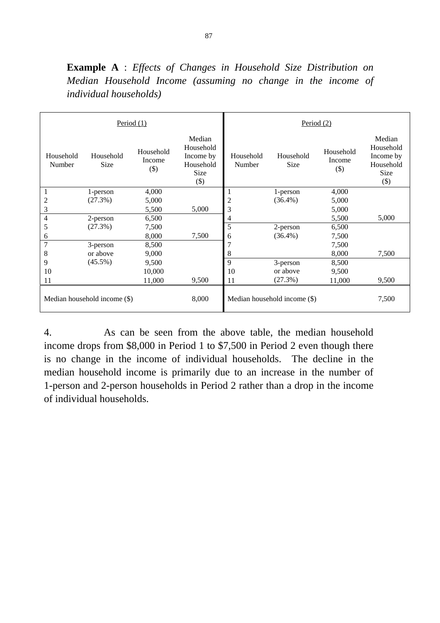|                     |                              | Period $(1)$                   |                                                                 |                     |                              | Period $(2)$                  |                                                                 |
|---------------------|------------------------------|--------------------------------|-----------------------------------------------------------------|---------------------|------------------------------|-------------------------------|-----------------------------------------------------------------|
| Household<br>Number | Household<br>Size            | Household<br>Income<br>$($ \$) | Median<br>Household<br>Income by<br>Household<br>Size<br>$(\$)$ | Household<br>Number | Household<br>Size            | Household<br>Income<br>$($ \$ | Median<br>Household<br>Income by<br>Household<br>Size<br>$(\$)$ |
| 1                   | 1-person                     | 4,000                          |                                                                 |                     | 1-person                     | 4,000                         |                                                                 |
| $\overline{c}$      | (27.3%)                      | 5,000                          |                                                                 | $\overline{c}$      | $(36.4\%)$                   | 5,000                         |                                                                 |
| 3                   |                              | 5,500                          | 5,000                                                           | 3                   |                              | 5,000                         |                                                                 |
| 4                   | 2-person                     | 6,500                          |                                                                 | 4                   |                              | 5,500                         | 5,000                                                           |
| 5                   | (27.3%)                      | 7,500                          |                                                                 | 5                   | 2-person                     | 6,500                         |                                                                 |
| 6                   |                              | 8,000                          | 7,500                                                           | 6                   | $(36.4\%)$                   | 7,500                         |                                                                 |
| 7                   | 3-person                     | 8,500                          |                                                                 | 7                   |                              | 7,500                         |                                                                 |
| 8                   | or above                     | 9,000                          |                                                                 | 8                   |                              | 8,000                         | 7,500                                                           |
| 9                   | $(45.5\%)$                   | 9,500                          |                                                                 | 9                   | 3-person                     | 8,500                         |                                                                 |
| 10                  |                              | 10,000                         |                                                                 | 10                  | or above                     | 9,500                         |                                                                 |
| 11                  |                              | 11,000                         | 9,500                                                           | 11                  | (27.3%)                      | 11,000                        | 9,500                                                           |
|                     | Median household income (\$) |                                | 8,000                                                           |                     | Median household income (\$) |                               | 7,500                                                           |

**Example A** : *Effects of Changes in Household Size Distribution on Median Household Income (assuming no change in the income of individual households)*

4. As can be seen from the above table, the median household income drops from \$8,000 in Period 1 to \$7,500 in Period 2 even though there is no change in the income of individual households. The decline in the median household income is primarily due to an increase in the number of 1-person and 2-person households in Period 2 rather than a drop in the income of individual households.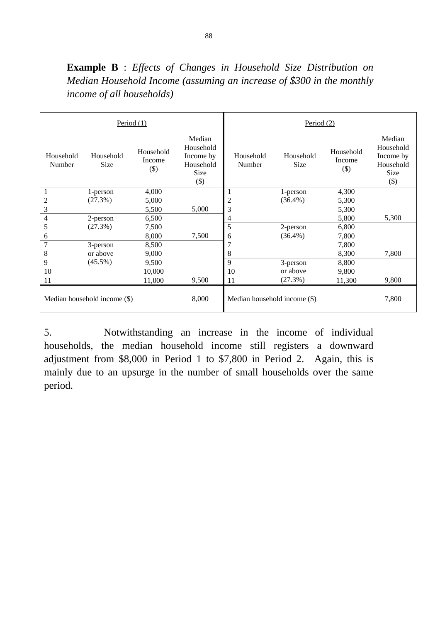**Example B** : *Effects of Changes in Household Size Distribution on Median Household Income (assuming an increase of \$300 in the monthly income of all households)*

|                     |                              | Period $(1)$                  |                                                                 |                              | Period $(2)$      |                               |                                                                 |
|---------------------|------------------------------|-------------------------------|-----------------------------------------------------------------|------------------------------|-------------------|-------------------------------|-----------------------------------------------------------------|
| Household<br>Number | Household<br><b>Size</b>     | Household<br>Income<br>$(\$)$ | Median<br>Household<br>Income by<br>Household<br>Size<br>$(\$)$ | Household<br>Number          | Household<br>Size | Household<br>Income<br>$(\$)$ | Median<br>Household<br>Income by<br>Household<br>Size<br>$(\$)$ |
|                     | 1-person                     | 4,000                         |                                                                 | 1                            | 1-person          | 4,300                         |                                                                 |
| 2                   | (27.3%)                      | 5,000                         |                                                                 | 2                            | $(36.4\%)$        | 5,300                         |                                                                 |
| 3                   |                              | 5,500                         | 5,000                                                           | 3                            |                   | 5,300                         |                                                                 |
| 4                   | 2-person                     | 6,500                         |                                                                 | 4                            |                   | 5,800                         | 5,300                                                           |
| 5                   | (27.3%)                      | 7,500                         |                                                                 | 5                            | 2-person          | 6,800                         |                                                                 |
| 6                   |                              | 8,000                         | 7,500                                                           | 6                            | $(36.4\%)$        | 7,800                         |                                                                 |
| 7                   | 3-person                     | 8,500                         |                                                                 | 7                            |                   | 7,800                         |                                                                 |
| 8                   | or above                     | 9,000                         |                                                                 | 8                            |                   | 8,300                         | 7,800                                                           |
| 9                   | $(45.5\%)$                   | 9,500                         |                                                                 | 9                            | 3-person          | 8,800                         |                                                                 |
| 10                  |                              | 10,000                        |                                                                 | 10                           | or above          | 9,800                         |                                                                 |
| 11                  |                              | 11,000                        | 9,500                                                           | 11                           | (27.3%)           | 11,300                        | 9,800                                                           |
|                     | Median household income (\$) |                               | 8,000                                                           | Median household income (\$) |                   |                               | 7,800                                                           |

5. Notwithstanding an increase in the income of individual households, the median household income still registers a downward adjustment from \$8,000 in Period 1 to \$7,800 in Period 2. Again, this is mainly due to an upsurge in the number of small households over the same period.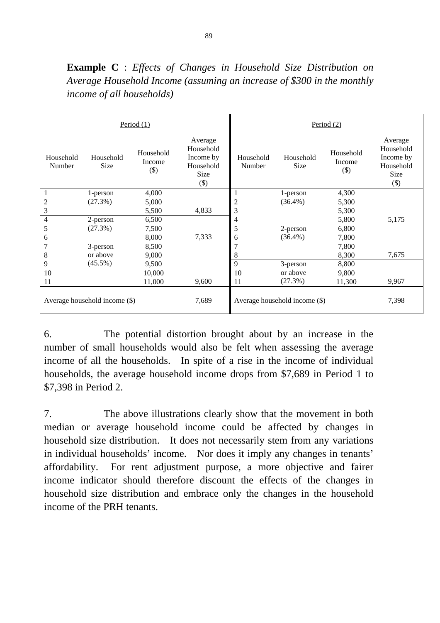|                                        |                   | Period $(1)$                  |                                                                  |                     |                   | Period (2)                    |                                                                  |
|----------------------------------------|-------------------|-------------------------------|------------------------------------------------------------------|---------------------|-------------------|-------------------------------|------------------------------------------------------------------|
| Household<br>Number                    | Household<br>Size | Household<br>Income<br>$(\$)$ | Average<br>Household<br>Income by<br>Household<br>Size<br>$(\$)$ | Household<br>Number | Household<br>Size | Household<br>Income<br>$(\$)$ | Average<br>Household<br>Income by<br>Household<br>Size<br>$(\$)$ |
| 1                                      | 1-person          | 4,000                         |                                                                  | 1                   | 1-person          | 4,300                         |                                                                  |
| $\overline{c}$                         | (27.3%)           | 5,000                         |                                                                  | $\overline{c}$      | $(36.4\%)$        | 5,300                         |                                                                  |
| 3                                      |                   | 5,500                         | 4,833                                                            | 3                   |                   | 5,300                         |                                                                  |
| $\overline{4}$                         | 2-person          | 6,500                         |                                                                  | 4                   |                   | 5,800                         | 5,175                                                            |
| 5                                      | (27.3%)           | 7,500                         |                                                                  | 5                   | 2-person          | 6,800                         |                                                                  |
| 6                                      |                   | 8,000                         | 7,333                                                            | 6                   | $(36.4\%)$        | 7,800                         |                                                                  |
| 7                                      | 3-person          | 8,500                         |                                                                  | 7                   |                   | 7,800                         |                                                                  |
| 8                                      | or above          | 9,000                         |                                                                  | 8                   |                   | 8,300                         | 7,675                                                            |
| 9                                      | $(45.5\%)$        | 9,500                         |                                                                  | 9                   | 3-person          | 8,800                         |                                                                  |
| 10                                     |                   | 10,000                        |                                                                  | 10                  | or above          | 9,800                         |                                                                  |
| 11                                     |                   | 11,000                        | 9,600                                                            | 11                  | (27.3%)           | 11,300                        | 9,967                                                            |
| 7,689<br>Average household income (\$) |                   |                               | Average household income (\$)                                    |                     | 7,398             |                               |                                                                  |

**Example C** : *Effects of Changes in Household Size Distribution on Average Household Income (assuming an increase of \$300 in the monthly income of all households)* 

6. The potential distortion brought about by an increase in the number of small households would also be felt when assessing the average income of all the households. In spite of a rise in the income of individual households, the average household income drops from \$7,689 in Period 1 to \$7,398 in Period 2.

7. The above illustrations clearly show that the movement in both median or average household income could be affected by changes in household size distribution. It does not necessarily stem from any variations in individual households' income. Nor does it imply any changes in tenants' affordability. For rent adjustment purpose, a more objective and fairer income indicator should therefore discount the effects of the changes in household size distribution and embrace only the changes in the household income of the PRH tenants.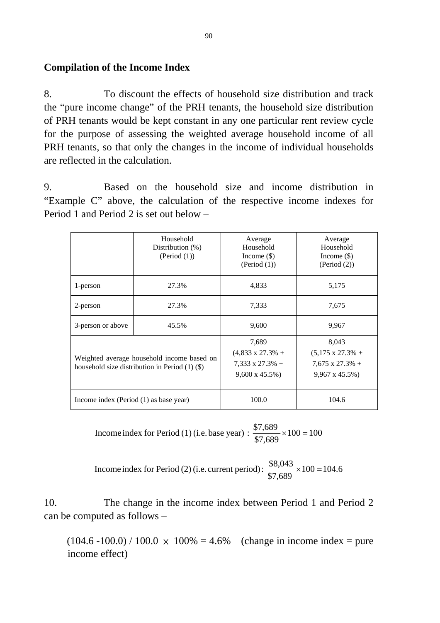### **Compilation of the Income Index**

8. To discount the effects of household size distribution and track the "pure income change" of the PRH tenants, the household size distribution of PRH tenants would be kept constant in any one particular rent review cycle for the purpose of assessing the weighted average household income of all PRH tenants, so that only the changes in the income of individual households are reflected in the calculation.

9. Based on the household size and income distribution in "Example C" above, the calculation of the respective income indexes for Period 1 and Period 2 is set out below –

|                                        | Household<br>Distribution $(\%)$<br>(Period (1))                                                 | Average<br>Household<br>Income $(\$)$<br>(Period (1))                                  | Average<br>Household<br>Income $(\$)$<br>(Period (2))                                  |
|----------------------------------------|--------------------------------------------------------------------------------------------------|----------------------------------------------------------------------------------------|----------------------------------------------------------------------------------------|
| 1-person                               | 27.3%                                                                                            | 4,833                                                                                  | 5,175                                                                                  |
| 2-person                               | 27.3%                                                                                            | 7,333                                                                                  | 7,675                                                                                  |
| 3-person or above                      | 45.5%                                                                                            | 9,600                                                                                  | 9,967                                                                                  |
|                                        | Weighted average household income based on<br>household size distribution in Period $(1)$ $(\$)$ | 7,689<br>$(4,833 \times 27.3\% +$<br>$7,333 \times 27.3\% +$<br>$9,600 \times 45.5\%)$ | 8,043<br>$(5,175 \times 27.3\% +$<br>$7,675 \times 27.3\%$ +<br>$9,967 \times 45.5\%)$ |
| Income index (Period (1) as base year) |                                                                                                  | 100.0                                                                                  | 104.6                                                                                  |

 $100 = 100$ \$7,689 Income index for Period (1) (i.e. base year) :  $\frac{$7,689}{12} \times 100 =$ 

 $100 = 104.6$ \$7,689 Income index for Period (2) (i.e. current period):  $\frac{$8,043}{$2,000} \times 100 =$ 

10. The change in the income index between Period 1 and Period 2 can be computed as follows –

 $(104.6 -100.0) / 100.0 \times 100\% = 4.6\%$  (change in income index = pure income effect)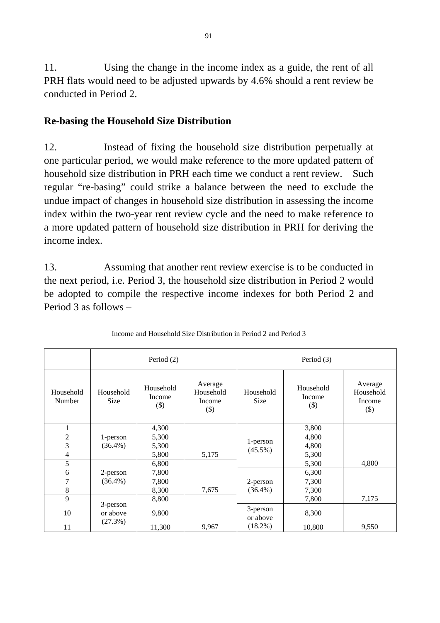11. Using the change in the income index as a guide, the rent of all PRH flats would need to be adjusted upwards by 4.6% should a rent review be conducted in Period 2.

### **Re-basing the Household Size Distribution**

12. Instead of fixing the household size distribution perpetually at one particular period, we would make reference to the more updated pattern of household size distribution in PRH each time we conduct a rent review. Such regular "re-basing" could strike a balance between the need to exclude the undue impact of changes in household size distribution in assessing the income index within the two-year rent review cycle and the need to make reference to a more updated pattern of household size distribution in PRH for deriving the income index.

13. Assuming that another rent review exercise is to be conducted in the next period, i.e. Period 3, the household size distribution in Period 2 would be adopted to compile the respective income indexes for both Period 2 and Period 3 as follows –

|                               | Period (2)               |                                  |                                          | Period (3)               |                                  |                                          |
|-------------------------------|--------------------------|----------------------------------|------------------------------------------|--------------------------|----------------------------------|------------------------------------------|
| Household<br>Number           | Household<br><b>Size</b> | Household<br>Income<br>$(\$)$    | Average<br>Household<br>Income<br>$(\$)$ | Household<br><b>Size</b> | Household<br>Income<br>$($ \$)   | Average<br>Household<br>Income<br>$(\$)$ |
| 1<br>$\overline{2}$<br>3<br>4 | 1-person<br>$(36.4\%)$   | 4,300<br>5,300<br>5,300<br>5,800 | 5,175                                    | 1-person<br>$(45.5\%)$   | 3,800<br>4,800<br>4,800<br>5,300 |                                          |
| 5                             |                          | 6,800                            |                                          |                          | 5,300                            | 4,800                                    |
| 6                             | 2-person                 | 7,800                            |                                          |                          | 6,300                            |                                          |
| 7                             | $(36.4\%)$               | 7,800                            |                                          | 2-person                 | 7,300                            |                                          |
| 8                             |                          | 8,300                            | 7,675                                    | $(36.4\%)$               | 7,300                            |                                          |
| 9                             |                          | 8,800                            |                                          |                          | 7,800                            | 7,175                                    |
| 10                            | 3-person<br>or above     | 9,800                            |                                          | 3-person<br>or above     | 8,300                            |                                          |
| 11                            | (27.3%)                  | 11,300                           | 9,967                                    | $(18.2\%)$               | 10,800                           | 9,550                                    |

|  |  | Income and Household Size Distribution in Period 2 and Period 3 |
|--|--|-----------------------------------------------------------------|
|  |  |                                                                 |
|  |  |                                                                 |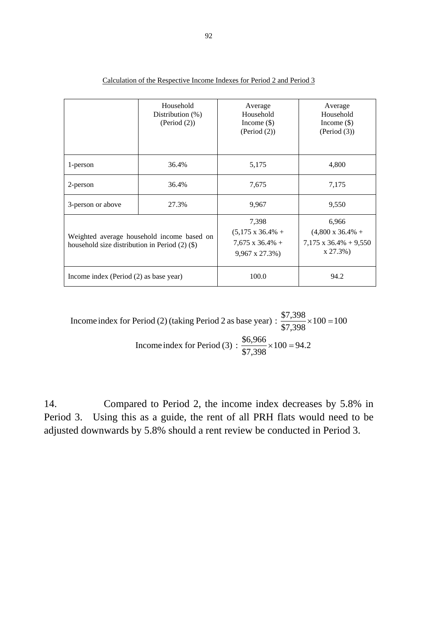|                                                    | Household<br>Distribution $(\%)$<br>(Period (2)) | Average<br>Household<br>Income $(\$)$<br>(Period (2))                                  | Average<br>Household<br>Income $(\$)$<br>(Period (3))                             |  |  |  |
|----------------------------------------------------|--------------------------------------------------|----------------------------------------------------------------------------------------|-----------------------------------------------------------------------------------|--|--|--|
| 1-person                                           | 36.4%                                            | 5,175                                                                                  | 4,800                                                                             |  |  |  |
| 2-person                                           | 36.4%                                            | 7,675                                                                                  | 7,175                                                                             |  |  |  |
| 3-person or above                                  | 27.3%                                            | 9,967                                                                                  | 9,550                                                                             |  |  |  |
| household size distribution in Period $(2)$ $(\$)$ | Weighted average household income based on       | 7,398<br>$(5,175 \times 36.4\% +$<br>$7,675 \times 36.4\% +$<br>$9,967 \times 27.3\%)$ | 6,966<br>$(4,800 \times 36.4\% +$<br>$7,175 \times 36.4\% + 9,550$<br>$x 27.3\%)$ |  |  |  |
| Income index (Period $(2)$ as base year)           |                                                  | 100.0                                                                                  | 94.2                                                                              |  |  |  |

| Calculation of the Respective Income Indexes for Period 2 and Period 3 |  |  |  |  |  |  |
|------------------------------------------------------------------------|--|--|--|--|--|--|
|                                                                        |  |  |  |  |  |  |

 $100 = 100$ \$7,398 Income index for Period (2) (taking Period 2 as base year) :  $\frac{$7,398}{$7,398} \times 100 =$  $100 = 94.2$ \$7,398 Income index for Period (3) :  $\frac{$6,966}{95,000} \times 100 =$ 

14. Compared to Period 2, the income index decreases by 5.8% in Period 3. Using this as a guide, the rent of all PRH flats would need to be adjusted downwards by 5.8% should a rent review be conducted in Period 3.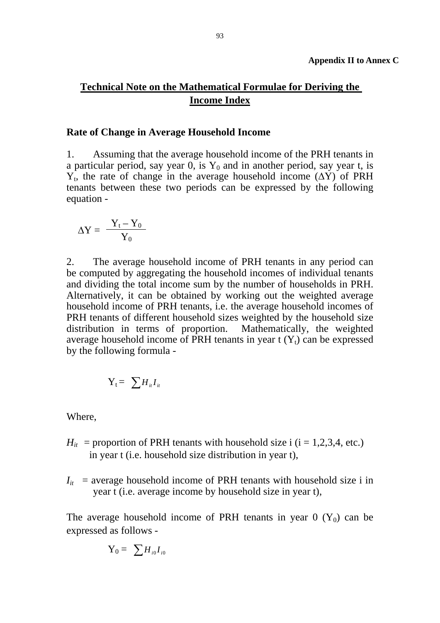### **Technical Note on the Mathematical Formulae for Deriving the Income Index**

#### **Rate of Change in Average Household Income**

1. Assuming that the average household income of the PRH tenants in a particular period, say year 0, is  $Y_0$  and in another period, say year t, is  $Y_t$ , the rate of change in the average household income ( $\Delta Y$ ) of PRH tenants between these two periods can be expressed by the following equation -

$$
\Delta Y = \frac{Y_t - Y_0}{Y_0}
$$

2. The average household income of PRH tenants in any period can be computed by aggregating the household incomes of individual tenants and dividing the total income sum by the number of households in PRH. Alternatively, it can be obtained by working out the weighted average household income of PRH tenants, i.e. the average household incomes of PRH tenants of different household sizes weighted by the household size distribution in terms of proportion. Mathematically, the weighted average household income of PRH tenants in year  $t(Y_t)$  can be expressed by the following formula -

$$
Y_t = \sum H_{it} I_{it}
$$

Where,

- $H_{it}$  = proportion of PRH tenants with household size i (i = 1,2,3,4, etc.) in year t (i.e. household size distribution in year t),
- $I_{it}$  = average household income of PRH tenants with household size i in year t (i.e. average income by household size in year t),

The average household income of PRH tenants in year  $0$  (Y<sub>0</sub>) can be expressed as follows -

$$
\mathbf{Y}_0 = \sum H_{i0} I_{i0}
$$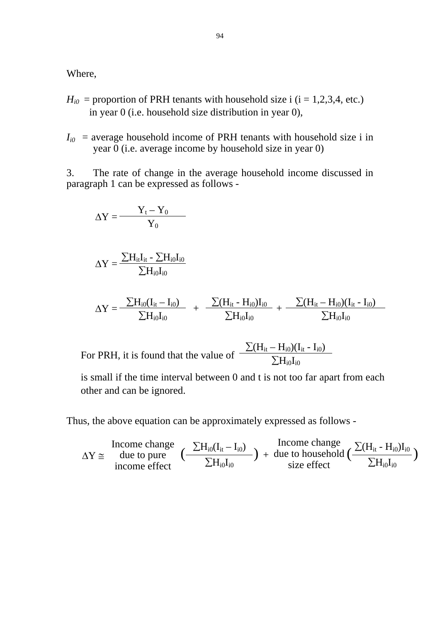Where,

- $H_{i0}$  = proportion of PRH tenants with household size i (i = 1,2,3,4, etc.) in year 0 (i.e. household size distribution in year 0),
- $I_{i0}$  = average household income of PRH tenants with household size i in year 0 (i.e. average income by household size in year 0)

3. The rate of change in the average household income discussed in paragraph 1 can be expressed as follows -

$$
\Delta Y = \frac{Y_t - Y_0}{Y_0}
$$

$$
\Delta Y = \frac{\sum H_{it} I_{it} - \sum H_{i0} I_{i0}}{\sum H_{i0} I_{i0}}
$$

$$
\Delta Y = \frac{\sum H_{i0}(I_{it} - I_{i0})}{\sum H_{i0}I_{i0}} ~+~ \frac{\sum (H_{it} - H_{i0})I_{i0}}{\sum H_{i0}I_{i0}} + \frac{\sum (H_{it} - H_{i0})(I_{it} - I_{i0})}{\sum H_{i0}I_{i0}}
$$

For PRH, it is found that the value of  $\frac{\sum (H_{it} - H_{i0})(I_{it} - I_{i0})}{\sum H_{i0}I_{i0}}$ 

is small if the time interval between 0 and t is not too far apart from each other and can be ignored.

Thus, the above equation can be approximately expressed as follows -

$$
\Delta Y \cong \begin{array}{c} \text{Income change} \\ \text{due to pure} \\ \text{income effect} \end{array} \big( \frac{\sum H_{i0}(I_{it}-I_{i0})}{\sum H_{i0}I_{i0}} \big) \text{ + due to household } \big( \frac{\sum (H_{it}-H_{i0})I_{i0}}{\sum H_{i0}I_{i0}} \big)
$$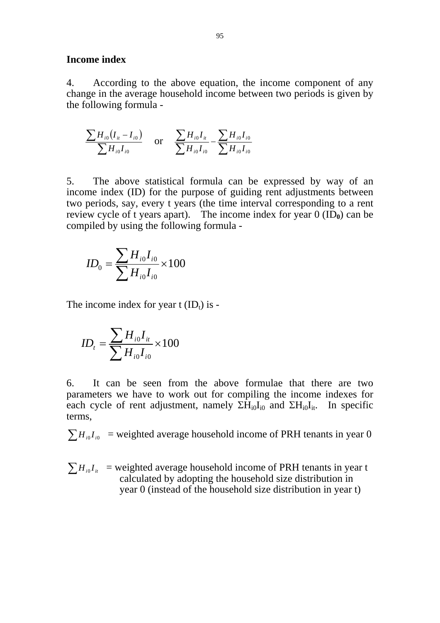#### **Income index**

4. According to the above equation, the income component of any change in the average household income between two periods is given by the following formula -

$$
\frac{\sum H_{i0}(I_{it} - I_{i0})}{\sum H_{i0}I_{i0}} \quad \text{or} \quad \frac{\sum H_{i0}I_{it}}{\sum H_{i0}I_{i0}} - \frac{\sum H_{i0}I_{i0}}{\sum H_{i0}I_{i0}}
$$

5. The above statistical formula can be expressed by way of an income index (ID) for the purpose of guiding rent adjustments between two periods, say, every t years (the time interval corresponding to a rent review cycle of t years apart). The income index for year  $0$  (ID<sub>0</sub>) can be compiled by using the following formula -

$$
ID_0 = \frac{\sum H_{i0} I_{i0}}{\sum H_{i0} I_{i0}} \times 100
$$

The income index for year  $t$  (ID<sub>t</sub>) is -

$$
ID_{t} = \frac{\sum H_{i0} I_{it}}{\sum H_{i0} I_{i0}} \times 100
$$

6. It can be seen from the above formulae that there are two parameters we have to work out for compiling the income indexes for each cycle of rent adjustment, namely  $\Sigma H_{i0}I_{i0}$  and  $\Sigma H_{i0}I_{i1}$ . In specific terms,

 $\sum H_{i0}I_{i0}$  = weighted average household income of PRH tenants in year 0

 $\sum H_{i0} I_{i}$  = weighted average household income of PRH tenants in year t calculated by adopting the household size distribution in year 0 (instead of the household size distribution in year t)